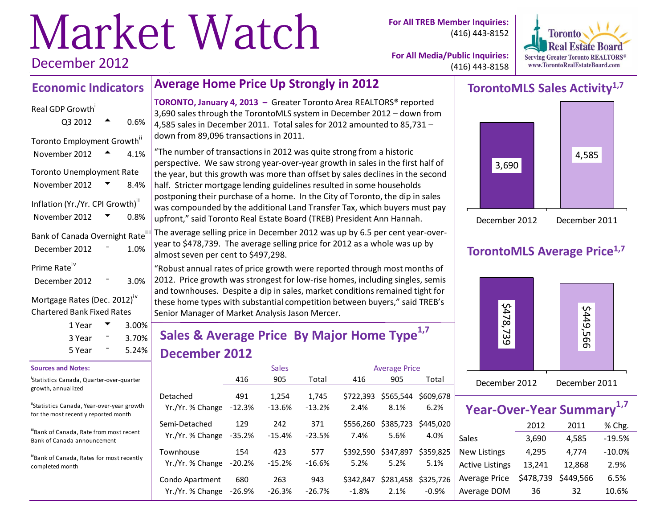# Market Watch December 2012

**For All TREB Member Inquiries:** (416) 443-8152



**For All Media/Public Inquiries:** (416) 443-8158

#### **Economic Indicators Average Home Price Up Strongly in 2012**

#### Real GDP Growth<sup>i</sup>

| Q3 2012                                  | 0.6% |
|------------------------------------------|------|
| Toronto Employment Growth"               |      |
| November 2012                            | 4.1% |
| <b>Toronto Unemployment Rate</b>         |      |
| November 2012                            | 8.4% |
| Inflation (Yr./Yr. CPI Growth)"          |      |
| November 2012                            | 0.8% |
| Bank of Canada Overnight Rate            |      |
| December 2012                            | 1.0% |
| Prime Rate <sup>iv</sup>                 |      |
| December 2012                            | 3.0% |
| Mortgage Rates (Dec. 2012) <sup>iv</sup> |      |

Mortgage Rates (Dec. 2012) Chartered Bank Fixed Rates

| 1 Year | $3.00\%$ |
|--------|----------|
| 3 Year | $3.70\%$ |
| 5 Year | $5.24\%$ |

#### **Sources and Notes:**

i Statistics Canada, Quarter-over-quarter growth, annualized

"Statistics Canada, Year-over-year growth for the most recently reported month

iiiBank of Canada, Rate from most recent Bank of Canada announcement

ivBank of Canada, Rates for most recently completed month

**TORONTO, January 4, 2013 –** Greater Toronto Area REALTORS® reported 3,690 sales through the TorontoMLS system in December 2012 – down from 4,585 sales in December 2011. Total sales for 2012 amounted to 85,731 – down from 89,096 transactions in 2011.

"The number of transactions in 2012 was quite strong from a historic perspective. We saw strong year-over-year growth in sales in the first half of the year, but this growth was more than offset by sales declines in the second half. Stricter mortgage lending guidelines resulted in some households postponing their purchase of a home. In the City of Toronto, the dip in sales was compounded by the additional Land Transfer Tax, which buyers must pay upfront," said Toronto Real Estate Board (TREB) President Ann Hannah.

The average selling price in December 2012 was up by 6.5 per cent year-overyear to \$478,739. The average selling price for 2012 as a whole was up by almost seven per cent to \$497,298.

"Robust annual rates of price growth were reported through most months of 2012. Price growth was strongest for low-rise homes, including singles, semis and townhouses. Despite a dip in sales, market conditions remained tight for these home types with substantial competition between buyers," said TREB's Senior Manager of Market Analysis Jason Mercer.

# **Sales & Average Price By Major Home Type1,7 December 2012**

|                                   |                 | <b>Sales</b><br><b>Average Price</b> |                 |                   |                             |           |
|-----------------------------------|-----------------|--------------------------------------|-----------------|-------------------|-----------------------------|-----------|
|                                   | 416             | 905                                  | Total           | 416               | 905                         | Total     |
| Detached                          | 491             | 1,254                                | 1,745           | \$722.393         | \$565,544                   | \$609.678 |
| Yr./Yr. % Change                  | $-12.3%$        | $-13.6%$                             | $-13.2%$        | 2.4%              | 8.1%                        | 6.2%      |
| Semi-Detached<br>Yr./Yr. % Change | 129<br>$-35.2%$ | 242<br>$-15.4%$                      | 371<br>$-23.5%$ | \$556.260<br>7.4% | \$385,723 \$445,020<br>5.6% | 4.0%      |
| Townhouse                         | 154             | 423                                  | 577             | \$392.590         | \$347,897                   | \$359.825 |
| Yr./Yr. % Change                  | $-20.2%$        | $-15.2%$                             | $-16.6%$        | 5.2%              | 5.2%                        | 5.1%      |
| Condo Apartment                   | 680             | 263                                  | 943             | \$342,847         | \$281,458                   | \$325.726 |
| Yr./Yr. % Change                  | $-26.9%$        | $-26.3%$                             | $-26.7%$        | $-1.8%$           | 2.1%                        | $-0.9%$   |

# **TorontoMLS Sales Activity1,7**



## **TorontoMLS Average Price1,7**



| <b>Year-Over-Year Summary</b> |           |           |          |
|-------------------------------|-----------|-----------|----------|
|                               | 2012      | 2011      | % Chg.   |
| <b>Sales</b>                  | 3,690     | 4,585     | $-19.5%$ |
| New Listings                  | 4,295     | 4,774     | $-10.0%$ |
| <b>Active Listings</b>        | 13,241    | 12,868    | 2.9%     |
| Average Price                 | \$478,739 | \$449,566 | 6.5%     |
| Average DOM                   | 36        | 32        | 10.6%    |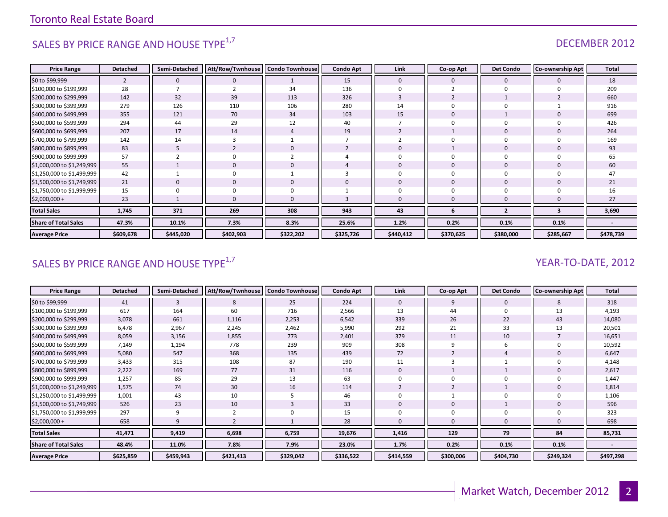# SALES BY PRICE RANGE AND HOUSE TYPE<sup>1,7</sup>  $\sqrt{1.5}$  DECEMBER 2012

| <b>Price Range</b>          | <b>Detached</b> | Semi-Detached | Att/Row/Twnhouse   Condo Townhouse |                | <b>Condo Apt</b> | Link         | Co-op Apt    | <b>Det Condo</b>        | <b>Co-ownership Apt</b> | Total     |
|-----------------------------|-----------------|---------------|------------------------------------|----------------|------------------|--------------|--------------|-------------------------|-------------------------|-----------|
| \$0 to \$99,999             | $\overline{2}$  |               |                                    |                | 15               | $\mathbf{0}$ | 0            | 0                       | 0                       | 18        |
| \$100,000 to \$199,999      | 28              |               |                                    | 34             | 136              |              |              | $\Omega$                |                         | 209       |
| \$200,000 to \$299,999      | 142             | 32            | 39                                 | 113            | 326              |              |              |                         |                         | 660       |
| \$300,000 to \$399,999      | 279             | 126           | 110                                | 106            | 280              | 14           | $\Omega$     | $\Omega$                |                         | 916       |
| \$400,000 to \$499,999      | 355             | 121           | 70                                 | 34             | 103              | 15           | $\mathbf{0}$ |                         |                         | 699       |
| \$500,000 to \$599,999      | 294             | 44            | 29                                 | 12             | 40               |              | $\Omega$     | $\Omega$                |                         | 426       |
| \$600,000 to \$699,999      | 207             | 17            | 14                                 | $\overline{4}$ | 19               |              |              | $\Omega$                |                         | 264       |
| \$700,000 to \$799,999      | 142             | 14            |                                    |                |                  |              | $\Omega$     | 0                       |                         | 169       |
| \$800,000 to \$899,999      | 83              | C.            |                                    | $\Omega$       |                  |              |              | $\mathbf{0}$            |                         | 93        |
| \$900,000 to \$999,999      | 57              |               |                                    |                |                  |              | $\Omega$     | $\Omega$                |                         | 65        |
| \$1,000,000 to \$1,249,999  | 55              |               |                                    | $\mathbf{0}$   |                  | $\Omega$     | $\mathbf{0}$ | $\mathbf{0}$            |                         | 60        |
| \$1,250,000 to \$1,499,999  | 42              |               |                                    |                |                  |              | 0            | 0                       |                         | 47        |
| \$1,500,000 to \$1,749,999  | 21              |               | $\Omega$                           | $\mathbf{0}$   | 0                | $\Omega$     | $\mathbf{0}$ | $\mathbf{0}$            | $\Omega$                | 21        |
| \$1,750,000 to \$1,999,999  | 15              |               |                                    | 0              |                  |              | $\Omega$     | $\Omega$                |                         | 16        |
| $$2,000,000+$               | 23              |               |                                    | $\mathbf{0}$   |                  | $\Omega$     | $\mathbf 0$  | $\Omega$                |                         | 27        |
| <b>Total Sales</b>          | 1,745           | 371           | 269                                | 308            | 943              | 43           | 6            | $\overline{\mathbf{z}}$ | 3                       | 3,690     |
| <b>Share of Total Sales</b> | 47.3%           | 10.1%         | 7.3%                               | 8.3%           | 25.6%            | 1.2%         | 0.2%         | 0.1%                    | 0.1%                    |           |
| <b>Average Price</b>        | \$609,678       | \$445,020     | \$402,903                          | \$322,202      | \$325,726        | \$440,412    | \$370,625    | \$380,000               | \$285,667               | \$478,739 |

# SALES BY PRICE RANGE AND HOUSE TYPE<sup>1,7</sup>  $\sqrt{2}$  and  $\sqrt{2}$  and  $\sqrt{2}$  and  $\sqrt{2}$  and  $\sqrt{2}$  and  $\sqrt{2}$  and  $\sqrt{2}$  and  $\sqrt{2}$  and  $\sqrt{2}$  and  $\sqrt{2}$  and  $\sqrt{2}$  and  $\sqrt{2}$  and  $\sqrt{2}$  and  $\sqrt{2}$  and  $\sqrt{2}$  and

| <b>Price Range</b>          | <b>Detached</b> | Semi-Detached | Att/Row/Twnhouse | <b>Condo Townhouse</b> | <b>Condo Apt</b> | Link         | Co-op Apt | <b>Det Condo</b> | <b>Co-ownership Apt</b> | <b>Total</b> |
|-----------------------------|-----------------|---------------|------------------|------------------------|------------------|--------------|-----------|------------------|-------------------------|--------------|
| \$0 to \$99,999             | 41              | 3             | 8                | 25                     | 224              | $\mathbf{0}$ | 9         | $\mathbf{0}$     |                         | 318          |
| \$100,000 to \$199,999      | 617             | 164           | 60               | 716                    | 2,566            | 13           | 44        |                  | 13                      | 4,193        |
| \$200,000 to \$299,999      | 3,078           | 661           | 1,116            | 2,253                  | 6,542            | 339          | 26        | 22               | 43                      | 14,080       |
| \$300,000 to \$399,999      | 6,478           | 2,967         | 2,245            | 2,462                  | 5,990            | 292          | 21        | 33               | 13                      | 20,501       |
| \$400,000 to \$499,999      | 8,059           | 3,156         | 1,855            | 773                    | 2,401            | 379          | 11        | 10               |                         | 16,651       |
| \$500,000 to \$599,999      | 7,149           | 1,194         | 778              | 239                    | 909              | 308          |           | 6                |                         | 10,592       |
| \$600,000 to \$699,999      | 5,080           | 547           | 368              | 135                    | 439              | 72           |           |                  |                         | 6,647        |
| \$700,000 to \$799,999      | 3,433           | 315           | 108              | 87                     | 190              | 11           |           |                  |                         | 4,148        |
| \$800,000 to \$899,999      | 2,222           | 169           | 77               | 31                     | 116              | $\mathbf{0}$ |           |                  |                         | 2,617        |
| \$900,000 to \$999,999      | 1,257           | 85            | 29               | 13                     | 63               |              |           |                  |                         | 1,447        |
| \$1,000,000 to \$1,249,999  | 1,575           | 74            | 30               | 16                     | 114              |              |           |                  |                         | 1,814        |
| \$1,250,000 to \$1,499,999  | 1,001           | 43            | 10               | 5                      | 46               |              |           |                  |                         | 1,106        |
| \$1,500,000 to \$1,749,999  | 526             | 23            | 10               | 3                      | 33               | 0            |           |                  |                         | 596          |
| \$1,750,000 to \$1,999,999  | 297             | 9             |                  | 0                      | 15               |              |           |                  |                         | 323          |
| $$2,000,000+$               | 658             | 9             |                  |                        | 28               | $\Omega$     |           |                  |                         | 698          |
| <b>Total Sales</b>          | 41,471          | 9,419         | 6,698            | 6,759                  | 19,676           | 1,416        | 129       | 79               | 84                      | 85,731       |
| <b>Share of Total Sales</b> | 48.4%           | 11.0%         | 7.8%             | 7.9%                   | 23.0%            | 1.7%         | 0.2%      | 0.1%             | 0.1%                    |              |
| <b>Average Price</b>        | \$625,859       | \$459,943     | \$421,413        | \$329,042              | \$336,522        | \$414,559    | \$300,006 | \$404,730        | \$249,324               | \$497,298    |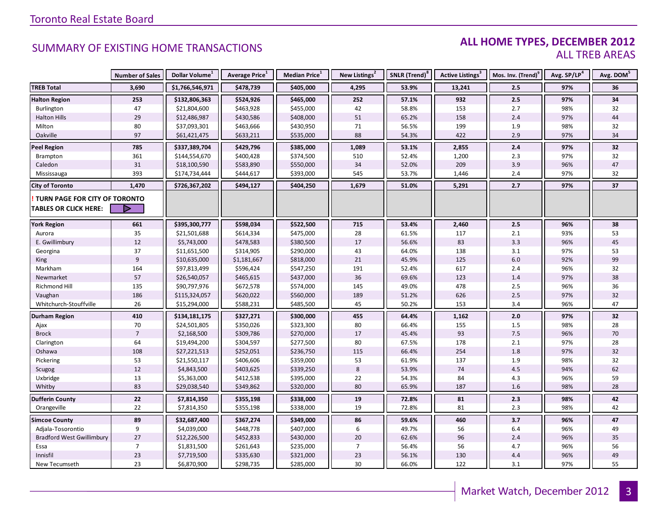### **ALL HOME TYPES, DECEMBER 2012** ALL TREB AREAS

|                                      | <b>Number of Sales</b> | Dollar Volume <sup>1</sup> | Average Price <sup>1</sup> | Median Price <sup>1</sup> | New Listings <sup>2</sup> | SNLR (Trend) <sup>8</sup> | Active Listings <sup>3</sup> | Mos. Inv. (Trend) <sup>9</sup> | Avg. SP/LP <sup>4</sup> | Avg. DOM <sup>5</sup> |
|--------------------------------------|------------------------|----------------------------|----------------------------|---------------------------|---------------------------|---------------------------|------------------------------|--------------------------------|-------------------------|-----------------------|
| <b>TREB Total</b>                    | 3,690                  | \$1,766,546,971            | \$478,739                  | \$405,000                 | 4,295                     | 53.9%                     | 13,241                       | 2.5                            | 97%                     | 36                    |
| <b>Halton Region</b>                 | 253                    | \$132,806,363              | \$524,926                  | \$465,000                 | 252                       | 57.1%                     | 932                          | 2.5                            | 97%                     | 34                    |
| Burlington                           | 47                     | \$21,804,600               | \$463,928                  | \$455,000                 | 42                        | 58.8%                     | 153                          | 2.7                            | 98%                     | 32                    |
| <b>Halton Hills</b>                  | 29                     | \$12,486,987               | \$430,586                  | \$408,000                 | 51                        | 65.2%                     | 158                          | 2.4                            | 97%                     | 44                    |
| Milton                               | 80                     | \$37,093,301               | \$463,666                  | \$430,950                 | 71                        | 56.5%                     | 199                          | 1.9                            | 98%                     | 32                    |
| Oakville                             | 97                     | \$61,421,475               | \$633,211                  | \$535,000                 | 88                        | 54.3%                     | 422                          | 2.9                            | 97%                     | 34                    |
| <b>Peel Region</b>                   | 785                    | \$337,389,704              | \$429,796                  | \$385,000                 | 1,089                     | 53.1%                     | 2,855                        | 2.4                            | 97%                     | 32                    |
| Brampton                             | 361                    | \$144,554,670              | \$400,428                  | \$374,500                 | 510                       | 52.4%                     | 1,200                        | 2.3                            | 97%                     | 32                    |
| Caledon                              | 31                     | \$18,100,590               | \$583,890                  | \$550,000                 | 34                        | 52.0%                     | 209                          | 3.9                            | 96%                     | 47                    |
| Mississauga                          | 393                    | \$174,734,444              | \$444,617                  | \$393,000                 | 545                       | 53.7%                     | 1,446                        | 2.4                            | 97%                     | 32                    |
| <b>City of Toronto</b>               | 1,470                  | \$726,367,202              | \$494,127                  | \$404,250                 | 1,679                     | 51.0%                     | 5,291                        | 2.7                            | 97%                     | 37                    |
| <b>TURN PAGE FOR CITY OF TORONTO</b> |                        |                            |                            |                           |                           |                           |                              |                                |                         |                       |
| <b>TABLES OR CLICK HERE:</b>         |                        |                            |                            |                           |                           |                           |                              |                                |                         |                       |
| <b>York Region</b>                   | 661                    | \$395,300,777              | \$598,034                  | \$522,500                 | 715                       | 53.4%                     | 2,460                        | 2.5                            | 96%                     | 38                    |
| Aurora                               | 35                     | \$21,501,688               | \$614,334                  | \$475,000                 | 28                        | 61.5%                     | 117                          | 2.1                            | 93%                     | 53                    |
| E. Gwillimbury                       | 12                     | \$5,743,000                | \$478,583                  | \$380,500                 | 17                        | 56.6%                     | 83                           | 3.3                            | 96%                     | $45\,$                |
| Georgina                             | 37                     | \$11,651,500               | \$314,905                  | \$290,000                 | 43                        | 64.0%                     | 138                          | 3.1                            | 97%                     | 53                    |
| King                                 | 9                      | \$10,635,000               | \$1,181,667                | \$818,000                 | 21                        | 45.9%                     | 125                          | 6.0                            | 92%                     | 99                    |
| Markham                              | 164                    | \$97,813,499               | \$596,424                  | \$547,250                 | 191                       | 52.4%                     | 617                          | 2.4                            | 96%                     | 32                    |
| Newmarket                            | 57                     | \$26,540,057               | \$465,615                  | \$437,000                 | 36                        | 69.6%                     | 123                          | 1.4                            | 97%                     | 38                    |
| Richmond Hill                        | 135                    | \$90,797,976               | \$672,578                  | \$574,000                 | 145                       | 49.0%                     | 478                          | 2.5                            | 96%                     | 36                    |
| Vaughan                              | 186                    | \$115,324,057              | \$620,022                  | \$560,000                 | 189                       | 51.2%                     | 626                          | 2.5                            | 97%                     | 32                    |
| Whitchurch-Stouffville               | 26                     | \$15,294,000               | \$588,231                  | \$485,500                 | 45                        | 50.2%                     | 153                          | 3.4                            | 96%                     | 47                    |
| <b>Durham Region</b>                 | 410                    | \$134,181,175              | \$327,271                  | \$300,000                 | 455                       | 64.4%                     | 1,162                        | 2.0                            | 97%                     | 32                    |
| Ajax                                 | 70                     | \$24,501,805               | \$350,026                  | \$323,300                 | 80                        | 66.4%                     | 155                          | 1.5                            | 98%                     | 28                    |
| <b>Brock</b>                         | $\overline{7}$         | \$2,168,500                | \$309,786                  | \$270,000                 | 17                        | 45.4%                     | 93                           | 7.5                            | 96%                     | 70                    |
| Clarington                           | 64                     | \$19,494,200               | \$304,597                  | \$277,500                 | 80                        | 67.5%                     | 178                          | 2.1                            | 97%                     | 28                    |
| Oshawa                               | 108                    | \$27,221,513               | \$252,051                  | \$236,750                 | 115                       | 66.4%                     | 254                          | 1.8                            | 97%                     | 32                    |
| Pickering                            | 53                     | \$21,550,117               | \$406,606                  | \$359,000                 | 53                        | 61.9%                     | 137                          | 1.9                            | 98%                     | 32                    |
| Scugog                               | 12                     | \$4,843,500                | \$403,625                  | \$339,250                 | 8                         | 53.9%                     | 74                           | 4.5                            | 94%                     | 62                    |
| Uxbridge                             | 13                     | \$5,363,000                | \$412,538                  | \$395,000                 | 22                        | 54.3%                     | 84                           | 4.3                            | 96%                     | 59                    |
| Whitby                               | 83                     | \$29,038,540               | \$349,862                  | \$320,000                 | 80                        | 65.9%                     | 187                          | 1.6                            | 98%                     | 28                    |
| <b>Dufferin County</b>               | $22$                   | \$7,814,350                | \$355,198                  | \$338,000                 | 19                        | 72.8%                     | 81                           | 2.3                            | 98%                     | 42                    |
| Orangeville                          | 22                     | \$7,814,350                | \$355,198                  | \$338,000                 | 19                        | 72.8%                     | 81                           | 2.3                            | 98%                     | 42                    |
| <b>Simcoe County</b>                 | 89                     | \$32,687,400               | \$367,274                  | \$349,000                 | 86                        | 59.6%                     | 460                          | 3.7                            | 96%                     | 47                    |
| Adjala-Tosorontio                    | 9                      | \$4,039,000                | \$448,778                  | \$407,000                 | 6                         | 49.7%                     | 56                           | 6.4                            | 96%                     | 49                    |
| <b>Bradford West Gwillimbury</b>     | 27                     | \$12,226,500               | \$452,833                  | \$430,000                 | 20                        | 62.6%                     | 96                           | 2.4                            | 96%                     | 35                    |
| Essa                                 | $\overline{7}$         | \$1,831,500                | \$261,643                  | \$235,000                 | $\overline{7}$            | 56.4%                     | 56                           | 4.7                            | 96%                     | 56                    |
| Innisfil                             | 23                     | \$7,719,500                | \$335,630                  | \$321,000                 | 23                        | 56.1%                     | 130                          | 4.4                            | 96%                     | 49                    |
| New Tecumseth                        | 23                     | \$6,870,900                | \$298,735                  | \$285,000                 | 30                        | 66.0%                     | 122                          | 3.1                            | 97%                     | 55                    |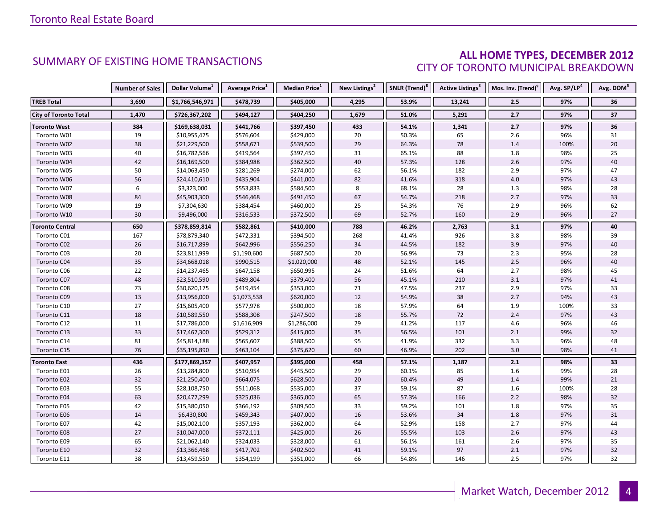### **ALL HOME TYPES, DECEMBER 2012** CITY OF TORONTO MUNICIPAL BREAKDOWN

|                              | <b>Number of Sales</b> | Dollar Volume <sup>1</sup> | Average Price <sup>1</sup> | <b>Median Price</b> <sup>1</sup> | New Listings <sup>2</sup> | SNLR (Trend) <sup>8</sup> | Active Listings <sup>3</sup> | Mos. Inv. (Trend) <sup>9</sup> | Avg. SP/LP <sup>4</sup> | Avg. DOM <sup>5</sup> |
|------------------------------|------------------------|----------------------------|----------------------------|----------------------------------|---------------------------|---------------------------|------------------------------|--------------------------------|-------------------------|-----------------------|
| <b>TREB Total</b>            | 3,690                  | \$1,766,546,971            | \$478,739                  | \$405,000                        | 4,295                     | 53.9%                     | 13,241                       | 2.5                            | 97%                     | 36                    |
| <b>City of Toronto Total</b> | 1,470                  | \$726,367,202              | \$494,127                  | \$404,250                        | 1,679                     | 51.0%                     | 5,291                        | 2.7                            | 97%                     | 37                    |
| Toronto West                 | 384                    | \$169,638,031              | \$441,766                  | \$397,450                        | 433                       | 54.1%                     | 1,341                        | 2.7                            | 97%                     | 36                    |
| Toronto W01                  | 19                     | \$10,955,475               | \$576,604                  | \$429,000                        | 20                        | 50.3%                     | 65                           | 2.6                            | 96%                     | 31                    |
| Toronto W02                  | 38                     | \$21,229,500               | \$558,671                  | \$539,500                        | 29                        | 64.3%                     | 78                           | 1.4                            | 100%                    | 20                    |
| Toronto W03                  | 40                     | \$16,782,566               | \$419,564                  | \$397,450                        | 31                        | 65.1%                     | 88                           | 1.8                            | 98%                     | 25                    |
| Toronto W04                  | 42                     | \$16,169,500               | \$384,988                  | \$362,500                        | $40\,$                    | 57.3%                     | 128                          | 2.6                            | 97%                     | 40                    |
| Toronto W05                  | 50                     | \$14,063,450               | \$281,269                  | \$274,000                        | 62                        | 56.1%                     | 182                          | 2.9                            | 97%                     | 47                    |
| Toronto W06                  | 56                     | \$24,410,610               | \$435,904                  | \$441,000                        | 82                        | 41.6%                     | 318                          | $4.0$                          | 97%                     | 43                    |
| Toronto W07                  | 6                      | \$3,323,000                | \$553,833                  | \$584,500                        | 8                         | 68.1%                     | 28                           | 1.3                            | 98%                     | 28                    |
| Toronto W08                  | 84                     | \$45,903,300               | \$546,468                  | \$491,450                        | 67                        | 54.7%                     | 218                          | 2.7                            | 97%                     | 33                    |
| Toronto W09                  | 19                     | \$7,304,630                | \$384,454                  | \$460,000                        | 25                        | 54.3%                     | 76                           | 2.9                            | 96%                     | 62                    |
| Toronto W10                  | 30                     | \$9,496,000                | \$316,533                  | \$372,500                        | 69                        | 52.7%                     | 160                          | 2.9                            | 96%                     | 27                    |
| <b>Toronto Central</b>       | 650                    | \$378,859,814              | \$582,861                  | \$410,000                        | 788                       | 46.2%                     | 2,763                        | 3.1                            | 97%                     | 40                    |
| Toronto C01                  | 167                    | \$78,879,340               | \$472,331                  | \$394,500                        | 268                       | 41.4%                     | 926                          | 3.8                            | 98%                     | 39                    |
| Toronto C02                  | 26                     | \$16,717,899               | \$642,996                  | \$556,250                        | 34                        | 44.5%                     | 182                          | 3.9                            | 97%                     | 40                    |
| Toronto C03                  | 20                     | \$23,811,999               | \$1,190,600                | \$687,500                        | 20                        | 56.9%                     | 73                           | 2.3                            | 95%                     | 28                    |
| Toronto C04                  | 35                     | \$34,668,018               | \$990,515                  | \$1,020,000                      | 48                        | 52.1%                     | 145                          | 2.5                            | 96%                     | 40                    |
| Toronto C06                  | 22                     | \$14,237,465               | \$647,158                  | \$650,995                        | 24                        | 51.6%                     | 64                           | 2.7                            | 98%                     | 45                    |
| Toronto C07                  | 48                     | \$23,510,590               | \$489,804                  | \$379,400                        | 56                        | 45.1%                     | 210                          | 3.1                            | 97%                     | 41                    |
| Toronto C08                  | 73                     | \$30,620,175               | \$419,454                  | \$353,000                        | 71                        | 47.5%                     | 237                          | 2.9                            | 97%                     | 33                    |
| Toronto C09                  | 13                     | \$13,956,000               | \$1,073,538                | \$620,000                        | $12\,$                    | 54.9%                     | 38                           | 2.7                            | 94%                     | 43                    |
| Toronto C10                  | 27                     | \$15,605,400               | \$577,978                  | \$500,000                        | 18                        | 57.9%                     | 64                           | 1.9                            | 100%                    | 33                    |
| Toronto C11                  | 18                     | \$10,589,550               | \$588,308                  | \$247,500                        | 18                        | 55.7%                     | 72                           | 2.4                            | 97%                     | 43                    |
| Toronto C12                  | 11                     | \$17,786,000               | \$1,616,909                | \$1,286,000                      | 29                        | 41.2%                     | 117                          | 4.6                            | 96%                     | 46                    |
| Toronto C13                  | 33                     | \$17,467,300               | \$529,312                  | \$415,000                        | 35                        | 56.5%                     | 101                          | 2.1                            | 99%                     | 32                    |
| Toronto C14                  | 81                     | \$45,814,188               | \$565,607                  | \$388,500                        | 95                        | 41.9%                     | 332                          | 3.3                            | 96%                     | 48                    |
| Toronto C15                  | 76                     | \$35,195,890               | \$463,104                  | \$375,620                        | 60                        | 46.9%                     | 202                          | 3.0                            | 98%                     | 41                    |
| <b>Toronto East</b>          | 436                    | \$177,869,357              | \$407,957                  | \$395,000                        | 458                       | 57.1%                     | 1,187                        | 2.1                            | 98%                     | 33                    |
| Toronto E01                  | 26                     | \$13,284,800               | \$510,954                  | \$445,500                        | 29                        | 60.1%                     | 85                           | 1.6                            | 99%                     | 28                    |
| Toronto E02                  | 32                     | \$21,250,400               | \$664,075                  | \$628,500                        | 20                        | 60.4%                     | 49                           | 1.4                            | 99%                     | 21                    |
| Toronto E03                  | 55                     | \$28,108,750               | \$511,068                  | \$535,000                        | 37                        | 59.1%                     | 87                           | 1.6                            | 100%                    | 28                    |
| Toronto E04                  | 63                     | \$20,477,299               | \$325,036                  | \$365,000                        | 65                        | 57.3%                     | 166                          | 2.2                            | 98%                     | 32                    |
| Toronto E05                  | 42                     | \$15,380,050               | \$366,192                  | \$309,500                        | 33                        | 59.2%                     | 101                          | 1.8                            | 97%                     | 35                    |
| Toronto E06                  | 14                     | \$6,430,800                | \$459,343                  | \$407,000                        | 16                        | 53.6%                     | 34                           | 1.8                            | 97%                     | 31                    |
| Toronto E07                  | 42                     | \$15,002,100               | \$357,193                  | \$362,000                        | 64                        | 52.9%                     | 158                          | 2.7                            | 97%                     | 44                    |
| Toronto E08                  | 27                     | \$10,047,000               | \$372,111                  | \$425,000                        | 26                        | 55.5%                     | 103                          | 2.6                            | 97%                     | 43                    |
| Toronto E09                  | 65                     | \$21,062,140               | \$324,033                  | \$328,000                        | 61                        | 56.1%                     | 161                          | 2.6                            | 97%                     | 35                    |
| Toronto E10                  | 32                     | \$13,366,468               | \$417,702                  | \$402,500                        | 41                        | 59.1%                     | 97                           | 2.1                            | 97%                     | 32                    |
| Toronto E11                  | 38                     | \$13,459,550               | \$354,199                  | \$351,000                        | 66                        | 54.8%                     | 146                          | 2.5                            | 97%                     | 32                    |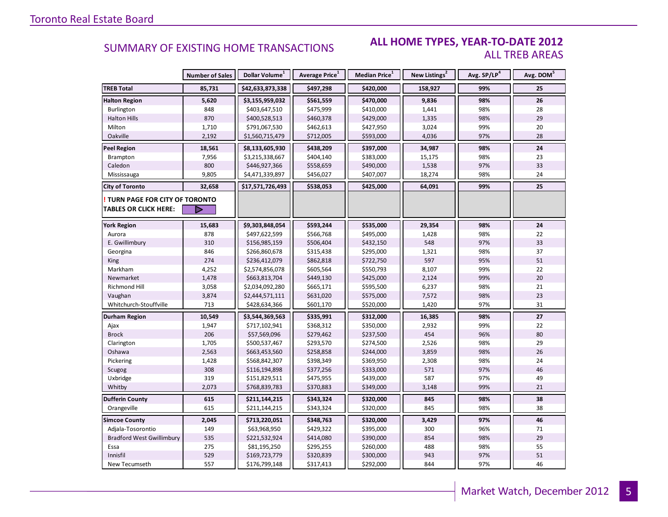#### **ALL HOME TYPES, YEAR-TO-DATE 2012** ALL TREB AREAS

|                                        | <b>Number of Sales</b> | Dollar Volume <sup>1</sup> | Average Price <sup>1</sup> | <b>Median Price</b> $1$ | New Listings <sup>2</sup> | Avg. SP/LP <sup>4</sup> | Avg. DOM <sup>5</sup> |
|----------------------------------------|------------------------|----------------------------|----------------------------|-------------------------|---------------------------|-------------------------|-----------------------|
| <b>TREB Total</b>                      | 85,731                 | \$42,633,873,338           | \$497,298                  | \$420,000               | 158,927                   | 99%                     | 25                    |
| <b>Halton Region</b>                   | 5,620                  | \$3,155,959,032            | \$561,559                  | \$470,000               | 9,836                     | 98%                     | 26                    |
| Burlington                             | 848                    | \$403,647,510              | \$475,999                  | \$410,000               | 1,441                     | 98%                     | 28                    |
| <b>Halton Hills</b>                    | 870                    | \$400,528,513              | \$460,378                  | \$429,000               | 1,335                     | 98%                     | 29                    |
| Milton                                 | 1,710                  | \$791,067,530              | \$462,613                  | \$427,950               | 3,024                     | 99%                     | 20                    |
| Oakville                               | 2,192                  | \$1,560,715,479            | \$712,005                  | \$593,000               | 4,036                     | 97%                     | 28                    |
| <b>Peel Region</b>                     | 18,561                 | \$8,133,605,930            | \$438,209                  | \$397,000               | 34,987                    | 98%                     | 24                    |
| Brampton                               | 7,956                  | \$3,215,338,667            | \$404,140                  | \$383,000               | 15,175                    | 98%                     | 23                    |
| Caledon                                | 800                    | \$446,927,366              | \$558,659                  | \$490,000               | 1,538                     | 97%                     | 33                    |
| Mississauga                            | 9,805                  | \$4,471,339,897            | \$456,027                  | \$407,007               | 18,274                    | 98%                     | 24                    |
| <b>City of Toronto</b>                 | 32,658                 | \$17,571,726,493           | \$538,053                  | \$425,000               | 64,091                    | 99%                     | 25                    |
| <b>! TURN PAGE FOR CITY OF TORONTO</b> |                        |                            |                            |                         |                           |                         |                       |
| <b>TABLES OR CLICK HERE:</b>           |                        |                            |                            |                         |                           |                         |                       |
| <b>York Region</b>                     | 15,683                 | \$9,303,848,054            | \$593,244                  | \$535,000               | 29,354                    | 98%                     | 24                    |
| Aurora                                 | 878                    | \$497,622,599              | \$566,768                  | \$495,000               | 1,428                     | 98%                     | 22                    |
| E. Gwillimbury                         | 310                    | \$156,985,159              | \$506,404                  | \$432,150               | 548                       | 97%                     | 33                    |
| Georgina                               | 846                    | \$266,860,678              | \$315,438                  | \$295,000               | 1,321                     | 98%                     | 37                    |
| <b>King</b>                            | 274                    | \$236,412,079              | \$862,818                  | \$722,750               | 597                       | 95%                     | 51                    |
| Markham                                | 4,252                  | \$2,574,856,078            | \$605,564                  | \$550,793               | 8,107                     | 99%                     | 22                    |
| Newmarket                              | 1,478                  | \$663,813,704              | \$449,130                  | \$425,000               | 2,124                     | 99%                     | 20                    |
| Richmond Hill                          | 3,058                  | \$2,034,092,280            | \$665,171                  | \$595,500               | 6,237                     | 98%                     | 21                    |
| Vaughan                                | 3,874                  | \$2,444,571,111            | \$631,020                  | \$575,000               | 7,572                     | 98%                     | 23                    |
| Whitchurch-Stouffville                 | 713                    | \$428,634,366              | \$601,170                  | \$520,000               | 1,420                     | 97%                     | 31                    |
| Durham Region                          | 10,549                 | \$3,544,369,563            | \$335,991                  | \$312,000               | 16,385                    | 98%                     | 27                    |
| Ajax                                   | 1,947                  | \$717,102,941              | \$368,312                  | \$350,000               | 2,932                     | 99%                     | 22                    |
| <b>Brock</b>                           | 206                    | \$57,569,096               | \$279,462                  | \$237,500               | 454                       | 96%                     | 80                    |
| Clarington                             | 1,705                  | \$500,537,467              | \$293,570                  | \$274,500               | 2,526                     | 98%                     | 29                    |
| Oshawa                                 | 2,563                  | \$663,453,560              | \$258,858                  | \$244,000               | 3,859                     | 98%                     | 26                    |
| Pickering                              | 1,428                  | \$568,842,307              | \$398,349                  | \$369,950               | 2,308                     | 98%                     | 24                    |
| Scugog                                 | 308                    | \$116,194,898              | \$377,256                  | \$333,000               | 571                       | 97%                     | 46                    |
| Uxbridge                               | 319                    | \$151,829,511              | \$475,955                  | \$439,000               | 587                       | 97%                     | 49                    |
| Whitby                                 | 2,073                  | \$768,839,783              | \$370,883                  | \$349,000               | 3,148                     | 99%                     | 21                    |
| <b>Dufferin County</b>                 | 615                    | \$211,144,215              | \$343,324                  | \$320,000               | 845                       | 98%                     | 38                    |
| Orangeville                            | 615                    | \$211,144,215              | \$343,324                  | \$320,000               | 845                       | 98%                     | 38                    |
| <b>Simcoe County</b>                   | 2,045                  | \$713,220,051              | \$348,763                  | \$320,000               | 3,429                     | 97%                     | 46                    |
| Adjala-Tosorontio                      | 149                    | \$63,968,950               | \$429,322                  | \$395,000               | 300                       | 96%                     | 71                    |
| <b>Bradford West Gwillimbury</b>       | 535                    | \$221,532,924              | \$414,080                  | \$390,000               | 854                       | 98%                     | 29                    |
| Essa                                   | 275                    | \$81,195,250               | \$295,255                  | \$260,000               | 488                       | 98%                     | 55                    |
| Innisfil                               | 529                    | \$169,723,779              | \$320,839                  | \$300,000               | 943                       | 97%                     | 51                    |
| New Tecumseth                          | 557                    | \$176,799,148              | \$317,413                  | \$292,000               | 844                       | 97%                     | 46                    |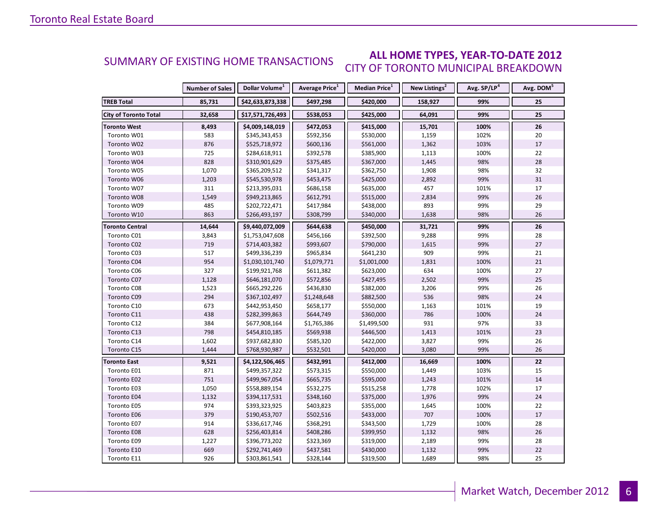#### **ALL HOME TYPES, YEAR-TO-DATE 2012** CITY OF TORONTO MUNICIPAL BREAKDOWN SUMMARY OF EXISTING HOME TRANSACTIONS

|                              | <b>Number of Sales</b> | Dollar Volume <sup>1</sup> | Average Price <sup>1</sup> | Median Price <sup>1</sup> | New Listings <sup>2</sup> | Avg. SP/LP <sup>4</sup> | Avg. DOM <sup>5</sup> |
|------------------------------|------------------------|----------------------------|----------------------------|---------------------------|---------------------------|-------------------------|-----------------------|
| <b>TREB Total</b>            | 85,731                 | \$42,633,873,338           | \$497,298                  | \$420,000                 | 158,927                   | 99%                     | 25                    |
| <b>City of Toronto Total</b> | 32,658                 | \$17,571,726,493           | \$538,053                  | \$425,000                 | 64,091                    | 99%                     | 25                    |
| <b>Toronto West</b>          | 8,493                  | \$4,009,148,019            | \$472,053                  | \$415,000                 | 15,701                    | 100%                    | 26                    |
| Toronto W01                  | 583                    | \$345,343,453              | \$592,356                  | \$530,000                 | 1,159                     | 102%                    | 20                    |
| Toronto W02                  | 876                    | \$525,718,972              | \$600,136                  | \$561,000                 | 1,362                     | 103%                    | 17                    |
| Toronto W03                  | 725                    | \$284,618,911              | \$392,578                  | \$385,900                 | 1,113                     | 100%                    | 22                    |
| Toronto W04                  | 828                    | \$310,901,629              | \$375,485                  | \$367,000                 | 1,445                     | 98%                     | 28                    |
| Toronto W05                  | 1,070                  | \$365,209,512              | \$341,317                  | \$362,750                 | 1,908                     | 98%                     | 32                    |
| Toronto W06                  | 1,203                  | \$545,530,978              | \$453,475                  | \$425,000                 | 2,892                     | 99%                     | 31                    |
| Toronto W07                  | 311                    | \$213,395,031              | \$686,158                  | \$635,000                 | 457                       | 101%                    | 17                    |
| Toronto W08                  | 1,549                  | \$949,213,865              | \$612,791                  | \$515,000                 | 2,834                     | 99%                     | 26                    |
| Toronto W09                  | 485                    | \$202,722,471              | \$417,984                  | \$438,000                 | 893                       | 99%                     | 29                    |
| Toronto W10                  | 863                    | \$266,493,197              | \$308,799                  | \$340,000                 | 1,638                     | 98%                     | 26                    |
| <b>Toronto Central</b>       | 14,644                 | \$9,440,072,009            | \$644,638                  | \$450,000                 | 31,721                    | 99%                     | 26                    |
| Toronto C01                  | 3,843                  | \$1,753,047,608            | \$456,166                  | \$392,500                 | 9,288                     | 99%                     | 28                    |
| Toronto C02                  | 719                    | \$714,403,382              | \$993,607                  | \$790,000                 | 1,615                     | 99%                     | 27                    |
| Toronto C03                  | 517                    | \$499,336,239              | \$965,834                  | \$641,230                 | 909                       | 99%                     | 21                    |
| Toronto C04                  | 954                    | \$1,030,101,740            | \$1,079,771                | \$1,001,000               | 1,831                     | 100%                    | 21                    |
| Toronto C06                  | 327                    | \$199,921,768              | \$611,382                  | \$623,000                 | 634                       | 100%                    | 27                    |
| Toronto C07                  | 1,128                  | \$646,181,070              | \$572,856                  | \$427,495                 | 2,502                     | 99%                     | 25                    |
| Toronto C08                  | 1,523                  | \$665,292,226              | \$436,830                  | \$382,000                 | 3,206                     | 99%                     | 26                    |
| Toronto C09                  | 294                    | \$367,102,497              | \$1,248,648                | \$882,500                 | 536                       | 98%                     | 24                    |
| Toronto C10                  | 673                    | \$442,953,450              | \$658,177                  | \$550,000                 | 1,163                     | 101%                    | 19                    |
| Toronto C11                  | 438                    | \$282,399,863              | \$644,749                  | \$360,000                 | 786                       | 100%                    | 24                    |
| Toronto C12                  | 384                    | \$677,908,164              | \$1,765,386                | \$1,499,500               | 931                       | 97%                     | 33                    |
| Toronto C13                  | 798                    | \$454,810,185              | \$569,938                  | \$446,500                 | 1,413                     | 101%                    | 23                    |
| Toronto C14                  | 1,602                  | \$937,682,830              | \$585,320                  | \$422,000                 | 3,827                     | 99%                     | 26                    |
| Toronto C15                  | 1,444                  | \$768,930,987              | \$532,501                  | \$420,000                 | 3,080                     | 99%                     | 26                    |
| <b>Toronto East</b>          | 9,521                  | \$4,122,506,465            | \$432,991                  | \$412,000                 | 16,669                    | 100%                    | 22                    |
| Toronto E01                  | 871                    | \$499,357,322              | \$573,315                  | \$550,000                 | 1,449                     | 103%                    | 15                    |
| Toronto E02                  | 751                    | \$499,967,054              | \$665,735                  | \$595,000                 | 1,243                     | 101%                    | 14                    |
| Toronto E03                  | 1,050                  | \$558,889,154              | \$532,275                  | \$515,258                 | 1,778                     | 102%                    | 17                    |
| Toronto E04                  | 1,132                  | \$394,117,531              | \$348,160                  | \$375,000                 | 1,976                     | 99%                     | 24                    |
| Toronto E05                  | 974                    | \$393,323,925              | \$403,823                  | \$355,000                 | 1,645                     | 100%                    | 22                    |
| Toronto E06                  | 379                    | \$190,453,707              | \$502,516                  | \$433,000                 | 707                       | 100%                    | 17                    |
| Toronto E07                  | 914                    | \$336,617,746              | \$368,291                  | \$343,500                 | 1,729                     | 100%                    | 28                    |
| Toronto E08                  | 628                    | \$256,403,814              | \$408,286                  | \$399,950                 | 1,132                     | 98%                     | 26                    |
| Toronto E09                  | 1,227                  | \$396,773,202              | \$323,369                  | \$319,000                 | 2,189                     | 99%                     | 28                    |
| Toronto E10                  | 669                    | \$292,741,469              | \$437,581                  | \$430,000                 | 1,132                     | 99%                     | 22                    |
| Toronto E11                  | 926                    | \$303,861,541              | \$328,144                  | \$319,500                 | 1,689                     | 98%                     | 25                    |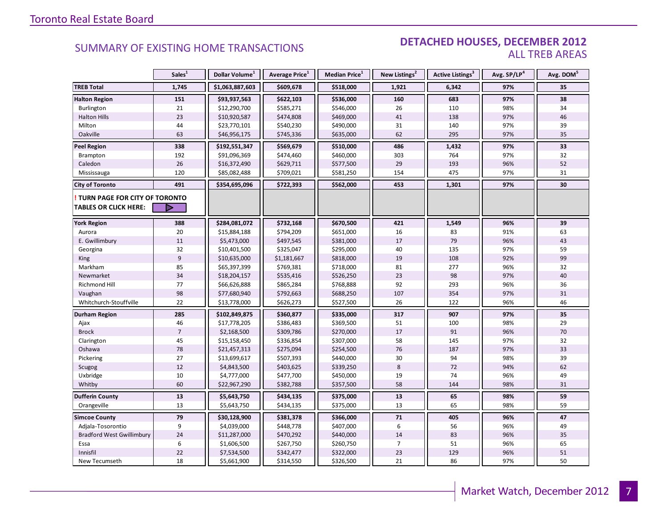#### DETACHED HOUSES, DECEMBER 2012 ALL TREB AREAS

|                                  | Sales <sup>1</sup> | Dollar Volume <sup>1</sup> | Average Price <sup>1</sup> | Median Price <sup>1</sup> | New Listings <sup>2</sup> | Active Listings <sup>3</sup> | Avg. SP/LP <sup>4</sup> | Avg. DOM <sup>5</sup> |
|----------------------------------|--------------------|----------------------------|----------------------------|---------------------------|---------------------------|------------------------------|-------------------------|-----------------------|
| <b>TREB Total</b>                | 1,745              | \$1,063,887,603            | \$609,678                  | \$518,000                 | 1,921                     | 6,342                        | 97%                     | 35                    |
| <b>Halton Region</b>             | 151                | \$93,937,563               | \$622,103                  | \$536,000                 | 160                       | 683                          | 97%                     | 38                    |
| Burlington                       | 21                 | \$12,290,700               | \$585,271                  | \$546,000                 | 26                        | 110                          | 98%                     | 34                    |
| <b>Halton Hills</b>              | 23                 | \$10,920,587               | \$474,808                  | \$469,000                 | 41                        | 138                          | 97%                     | 46                    |
| Milton                           | 44                 | \$23,770,101               | \$540,230                  | \$490,000                 | 31                        | 140                          | 97%                     | 39                    |
| Oakville                         | 63                 | \$46,956,175               | \$745,336                  | \$635,000                 | 62                        | 295                          | 97%                     | 35                    |
| <b>Peel Region</b>               | 338                | \$192,551,347              | \$569,679                  | \$510,000                 | 486                       | 1,432                        | 97%                     | 33                    |
| Brampton                         | 192                | \$91,096,369               | \$474,460                  | \$460,000                 | 303                       | 764                          | 97%                     | 32                    |
| Caledon                          | 26                 | \$16,372,490               | \$629,711                  | \$577,500                 | 29                        | 193                          | 96%                     | 52                    |
| Mississauga                      | 120                | \$85,082,488               | \$709,021                  | \$581,250                 | 154                       | 475                          | 97%                     | 31                    |
| <b>City of Toronto</b>           | 491                | \$354,695,096              | \$722,393                  | \$562,000                 | 453                       | 1,301                        | 97%                     | 30                    |
| TURN PAGE FOR CITY OF TORONTO    |                    |                            |                            |                           |                           |                              |                         |                       |
| <b>TABLES OR CLICK HERE:</b>     | D                  |                            |                            |                           |                           |                              |                         |                       |
| <b>York Region</b>               | 388                | \$284,081,072              | \$732,168                  | \$670,500                 | 421                       | 1,549                        | 96%                     | 39                    |
| Aurora                           | 20                 | \$15,884,188               | \$794,209                  | \$651,000                 | 16                        | 83                           | 91%                     | 63                    |
| E. Gwillimbury                   | 11                 | \$5,473,000                | \$497,545                  | \$381,000                 | 17                        | 79                           | 96%                     | 43                    |
| Georgina                         | 32                 | \$10,401,500               | \$325,047                  | \$295,000                 | 40                        | 135                          | 97%                     | 59                    |
| <b>King</b>                      | $\overline{9}$     | \$10,635,000               | \$1,181,667                | \$818,000                 | 19                        | 108                          | 92%                     | 99                    |
| Markham                          | 85                 | \$65,397,399               | \$769,381                  | \$718,000                 | 81                        | 277                          | 96%                     | 32                    |
| Newmarket                        | 34                 | \$18,204,157               | \$535,416                  | \$526,250                 | 23                        | 98                           | 97%                     | 40                    |
| <b>Richmond Hill</b>             | 77                 | \$66,626,888               | \$865,284                  | \$768,888                 | 92                        | 293                          | 96%                     | 36                    |
| Vaughan                          | 98                 | \$77,680,940               | \$792,663                  | \$688,250                 | 107                       | 354                          | 97%                     | 31                    |
| Whitchurch-Stouffville           | 22                 | \$13,778,000               | \$626,273                  | \$527,500                 | 26                        | 122                          | 96%                     | 46                    |
| <b>Durham Region</b>             | 285                | \$102,849,875              | \$360,877                  | \$335,000                 | 317                       | 907                          | 97%                     | 35                    |
| Ajax                             | 46                 | \$17,778,205               | \$386,483                  | \$369,500                 | 51                        | 100                          | 98%                     | 29                    |
| <b>Brock</b>                     | $\overline{7}$     | \$2,168,500                | \$309,786                  | \$270,000                 | 17                        | 91                           | 96%                     | 70                    |
| Clarington                       | 45                 | \$15,158,450               | \$336,854                  | \$307,000                 | 58                        | 145                          | 97%                     | 32                    |
| Oshawa                           | 78                 | \$21,457,313               | \$275,094                  | \$254,500                 | 76                        | 187                          | 97%                     | 33                    |
| Pickering                        | 27                 | \$13,699,617               | \$507,393                  | \$440,000                 | 30                        | 94                           | 98%                     | 39                    |
| Scugog                           | $12\,$             | \$4,843,500                | \$403,625                  | \$339,250                 | 8                         | 72                           | 94%                     | 62                    |
| Uxbridge                         | 10                 | \$4,777,000                | \$477,700                  | \$450,000                 | 19                        | 74                           | 96%                     | 49                    |
| Whitby                           | 60                 | \$22,967,290               | \$382,788                  | \$357,500                 | 58                        | 144                          | 98%                     | 31                    |
| <b>Dufferin County</b>           | 13                 | \$5,643,750                | \$434,135                  | \$375,000                 | 13                        | 65                           | 98%                     | 59                    |
| Orangeville                      | 13                 | \$5,643,750                | \$434,135                  | \$375,000                 | 13                        | 65                           | 98%                     | 59                    |
| <b>Simcoe County</b>             | 79                 | \$30,128,900               | \$381,378                  | \$366,000                 | 71                        | 405                          | 96%                     | 47                    |
| Adjala-Tosorontio                | 9                  | \$4,039,000                | \$448,778                  | \$407,000                 | 6                         | 56                           | 96%                     | 49                    |
| <b>Bradford West Gwillimbury</b> | 24                 | \$11,287,000               | \$470,292                  | \$440,000                 | 14                        | 83                           | 96%                     | 35                    |
| Essa                             | 6                  | \$1,606,500                | \$267,750                  | \$260,750                 | $\overline{7}$            | 51                           | 96%                     | 65                    |
| Innisfil                         | 22                 | \$7,534,500                | \$342,477                  | \$322,000                 | 23                        | 129                          | 96%                     | 51                    |
| New Tecumseth                    | 18                 | \$5,661,900                | \$314,550                  | \$326,500                 | 21                        | 86                           | 97%                     | 50                    |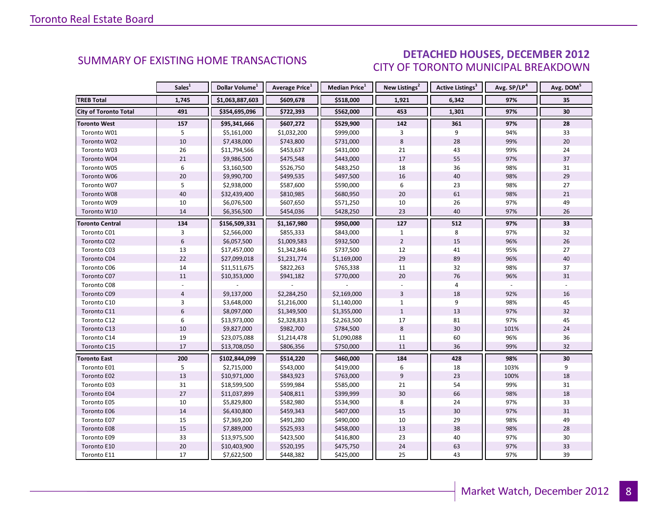### DETACHED HOUSES, DECEMBER 2012 CITY OF TORONTO MUNICIPAL BREAKDOWN

<span id="page-7-0"></span>

|                              | Sales <sup>1</sup> | Dollar Volume <sup>1</sup> | Average Price <sup>1</sup> | <b>Median Price</b> <sup>1</sup> | New Listings <sup>2</sup> | Active Listings <sup>3</sup> | Avg. SP/LP <sup>4</sup> | Avg. DOM <sup>5</sup> |
|------------------------------|--------------------|----------------------------|----------------------------|----------------------------------|---------------------------|------------------------------|-------------------------|-----------------------|
| <b>TREB Total</b>            | 1,745              | \$1,063,887,603            | \$609,678                  | \$518,000                        | 1,921                     | 6,342                        | 97%                     | 35                    |
| <b>City of Toronto Total</b> | 491                | \$354,695,096              | \$722,393                  | \$562,000                        | 453                       | 1,301                        | 97%                     | 30                    |
| <b>Toronto West</b>          | 157                | \$95,341,666               | \$607,272                  | \$529,900                        | 142                       | 361                          | 97%                     | 28                    |
| Toronto W01                  | 5                  | \$5,161,000                | \$1,032,200                | \$999,000                        | 3                         | 9                            | 94%                     | 33                    |
| Toronto W02                  | 10                 | \$7,438,000                | \$743,800                  | \$731,000                        | 8                         | 28                           | 99%                     | 20                    |
| Toronto W03                  | 26                 | \$11,794,566               | \$453,637                  | \$431,000                        | 21                        | 43                           | 99%                     | 24                    |
| Toronto W04                  | 21                 | \$9,986,500                | \$475,548                  | \$443,000                        | 17                        | 55                           | 97%                     | 37                    |
| Toronto W05                  | 6                  | \$3,160,500                | \$526,750                  | \$483,250                        | 18                        | 36                           | 98%                     | 31                    |
| Toronto W06                  | 20                 | \$9,990,700                | \$499,535                  | \$497,500                        | 16                        | 40                           | 98%                     | 29                    |
| Toronto W07                  | 5                  | \$2,938,000                | \$587,600                  | \$590,000                        | 6                         | 23                           | 98%                     | 27                    |
| Toronto W08                  | 40                 | \$32,439,400               | \$810,985                  | \$680,950                        | 20                        | 61                           | 98%                     | 21                    |
| Toronto W09                  | 10                 | \$6,076,500                | \$607,650                  | \$571,250                        | 10                        | 26                           | 97%                     | 49                    |
| Toronto W10                  | 14                 | \$6,356,500                | \$454,036                  | \$428,250                        | 23                        | 40                           | 97%                     | 26                    |
| Toronto Central              | 134                | \$156,509,331              | \$1,167,980                | \$950,000                        | 127                       | 512                          | 97%                     | 33                    |
| Toronto C01                  | 3                  | \$2,566,000                | \$855,333                  | \$843,000                        | $\mathbf{1}$              | 8                            | 97%                     | 32                    |
| Toronto C02                  | 6                  | \$6,057,500                | \$1,009,583                | \$932,500                        | $\overline{2}$            | 15                           | 96%                     | 26                    |
| Toronto C03                  | 13                 | \$17,457,000               | \$1,342,846                | \$737,500                        | 12                        | 41                           | 95%                     | 27                    |
| Toronto C04                  | 22                 | \$27,099,018               | \$1,231,774                | \$1,169,000                      | 29                        | 89                           | 96%                     | 40                    |
| Toronto C06                  | 14                 | \$11,511,675               | \$822,263                  | \$765,338                        | 11                        | 32                           | 98%                     | 37                    |
| Toronto C07                  | 11                 | \$10,353,000               | \$941,182                  | \$770,000                        | 20                        | 76                           | 96%                     | 31                    |
| Toronto C08                  |                    |                            |                            |                                  |                           | 4                            |                         |                       |
| Toronto C09                  | $\sqrt{4}$         | \$9,137,000                | \$2,284,250                | \$2,169,000                      | $\overline{3}$            | 18                           | 92%                     | 16                    |
| Toronto C10                  | 3                  | \$3,648,000                | \$1,216,000                | \$1,140,000                      | $\mathbf{1}$              | 9                            | 98%                     | 45                    |
| Toronto C11                  | 6                  | \$8,097,000                | \$1,349,500                | \$1,355,000                      | $\mathbf{1}$              | 13                           | 97%                     | 32                    |
| Toronto C12                  | 6                  | \$13,973,000               | \$2,328,833                | \$2,263,500                      | 17                        | 81                           | 97%                     | 45                    |
| Toronto C13                  | 10                 | \$9,827,000                | \$982,700                  | \$784,500                        | 8                         | 30                           | 101%                    | 24                    |
| Toronto C14                  | 19                 | \$23,075,088               | \$1,214,478                | \$1,090,088                      | 11                        | 60                           | 96%                     | 36                    |
| Toronto C15                  | 17                 | \$13,708,050               | \$806,356                  | \$750,000                        | 11                        | 36                           | 99%                     | 32                    |
| <b>Toronto East</b>          | 200                | \$102,844,099              | \$514,220                  | \$460,000                        | 184                       | 428                          | 98%                     | 30                    |
| Toronto E01                  | 5                  | \$2,715,000                | \$543,000                  | \$419,000                        | 6                         | 18                           | 103%                    | 9                     |
| Toronto E02                  | 13                 | \$10,971,000               | \$843,923                  | \$763,000                        | $\overline{9}$            | 23                           | 100%                    | 18                    |
| Toronto E03                  | 31                 | \$18,599,500               | \$599,984                  | \$585,000                        | 21                        | 54                           | 99%                     | 31                    |
| Toronto E04                  | 27                 | \$11,037,899               | \$408,811                  | \$399,999                        | 30                        | 66                           | 98%                     | 18                    |
| Toronto E05                  | 10                 | \$5,829,800                | \$582,980                  | \$534,900                        | 8                         | 24                           | 97%                     | 33                    |
| Toronto E06                  | 14                 | \$6,430,800                | \$459,343                  | \$407,000                        | 15                        | 30                           | 97%                     | 31                    |
| Toronto E07                  | 15                 | \$7,369,200                | \$491,280                  | \$490,000                        | 10                        | 29                           | 98%                     | 49                    |
| Toronto E08                  | 15                 | \$7,889,000                | \$525,933                  | \$458,000                        | 13                        | 38                           | 98%                     | 28                    |
| Toronto E09                  | 33                 | \$13,975,500               | \$423,500                  | \$416,800                        | 23                        | 40                           | 97%                     | 30                    |
| Toronto E10                  | 20                 | \$10,403,900               | \$520,195                  | \$475,750                        | 24                        | 63                           | 97%                     | 33                    |
| Toronto E11                  | 17                 | \$7,622,500                | \$448,382                  | \$425,000                        | 25                        | 43                           | 97%                     | 39                    |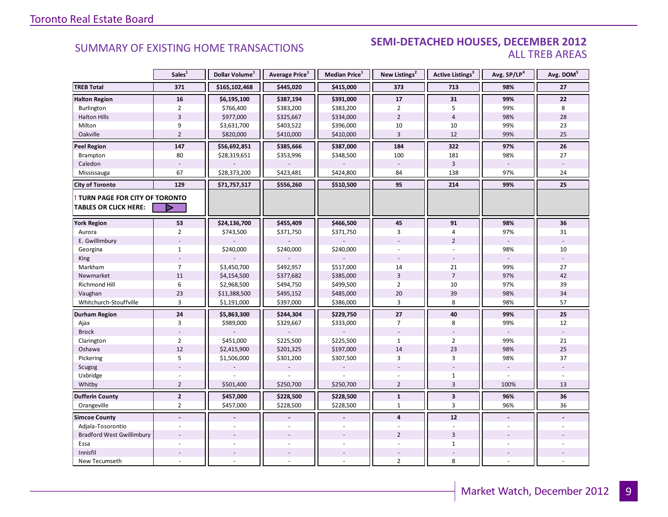### **Industrial Leasing SUMMARY OF EXISTING HOME TRANSACTIONS SEMI-DETACHED HOUSES, DECEMBER 2012** ALL TREB AREAS

|                                                                        | Sales <sup>1</sup>      | Dollar Volume <sup>1</sup> | Average Price <sup>1</sup> | Median Price <sup>1</sup> | New Listings <sup>2</sup> | Active Listings <sup>3</sup> | Avg. SP/LP <sup>4</sup> | Avg. DOM <sup>5</sup> |
|------------------------------------------------------------------------|-------------------------|----------------------------|----------------------------|---------------------------|---------------------------|------------------------------|-------------------------|-----------------------|
| <b>TREB Total</b>                                                      | 371                     | \$165,102,468              | \$445,020                  | \$415,000                 | 373                       | 713                          | 98%                     | 27                    |
| <b>Halton Region</b>                                                   | 16                      | \$6,195,100                | \$387,194                  | \$391,000                 | 17                        | 31                           | 99%                     | 22                    |
| Burlington                                                             | $\overline{2}$          | \$766,400                  | \$383,200                  | \$383,200                 | $\overline{2}$            | 5                            | 99%                     | 8                     |
| <b>Halton Hills</b>                                                    | $\overline{\mathbf{3}}$ | \$977,000                  | \$325,667                  | \$334,000                 | $\overline{2}$            | $\overline{4}$               | 98%                     | 28                    |
| Milton                                                                 | 9                       | \$3,631,700                | \$403,522                  | \$396,000                 | 10                        | 10                           | 99%                     | 23                    |
| Oakville                                                               | $\overline{2}$          | \$820,000                  | \$410,000                  | \$410,000                 | $\overline{3}$            | 12                           | 99%                     | 25                    |
| <b>Peel Region</b>                                                     | 147                     | \$56,692,851               | \$385,666                  | \$387,000                 | 184                       | 322                          | 97%                     | 26                    |
| Brampton                                                               | 80                      | \$28,319,651               | \$353,996                  | \$348,500                 | 100                       | 181                          | 98%                     | 27                    |
| Caledon                                                                |                         |                            |                            |                           |                           | $\overline{3}$               |                         |                       |
| Mississauga                                                            | 67                      | \$28,373,200               | \$423,481                  | \$424,800                 | 84                        | 138                          | 97%                     | 24                    |
| <b>City of Toronto</b>                                                 | 129                     | \$71,757,517               | \$556,260                  | \$510,500                 | 95                        | 214                          | 99%                     | 25                    |
| <b>! TURN PAGE FOR CITY OF TORONTO</b><br><b>TABLES OR CLICK HERE:</b> | ▷                       |                            |                            |                           |                           |                              |                         |                       |
| <b>York Region</b>                                                     | 53                      | \$24,136,700               | \$455,409                  | \$466,500                 | 45                        | 91                           | 98%                     | 36                    |
| Aurora                                                                 | $\overline{2}$          | \$743,500                  | \$371,750                  | \$371,750                 | 3                         | $\overline{4}$               | 97%                     | 31                    |
| E. Gwillimbury                                                         |                         |                            |                            |                           |                           | $\overline{2}$               |                         |                       |
| Georgina                                                               | $\mathbf{1}$            | \$240,000                  | \$240,000                  | \$240,000                 |                           |                              | 98%                     | 10                    |
| King                                                                   |                         |                            |                            |                           |                           |                              |                         |                       |
| Markham                                                                | $\overline{7}$          | \$3,450,700                | \$492,957                  | \$517,000                 | 14                        | 21                           | 99%                     | 27                    |
| Newmarket                                                              | 11                      | \$4,154,500                | \$377,682                  | \$385,000                 | $\overline{3}$            | $\overline{7}$               | 97%                     | 42                    |
| Richmond Hill                                                          | 6                       | \$2,968,500                | \$494,750                  | \$499,500                 | $\overline{2}$            | 10                           | 97%                     | 39                    |
| Vaughan                                                                | 23                      | \$11,388,500               | \$495,152                  | \$485,000                 | 20                        | 39                           | 98%                     | 34                    |
| Whitchurch-Stouffville                                                 | $\overline{3}$          | \$1,191,000                | \$397,000                  | \$386,000                 | 3                         | 8                            | 98%                     | 57                    |
| Durham Region                                                          | $24$                    | \$5,863,300                | \$244,304                  | \$229,750                 | 27                        | 40                           | 99%                     | 25                    |
| Ajax                                                                   | 3                       | \$989,000                  | \$329,667                  | \$333,000                 | 7                         | 8                            | 99%                     | 12                    |
| <b>Brock</b>                                                           |                         |                            |                            |                           |                           |                              |                         |                       |
| Clarington                                                             | $\overline{2}$          | \$451,000                  | \$225,500                  | \$225,500                 | $\mathbf{1}$              | $\overline{2}$               | 99%                     | 21                    |
| Oshawa                                                                 | 12                      | \$2,415,900                | \$201,325                  | \$197,000                 | 14                        | 23                           | 98%                     | 25                    |
| Pickering                                                              | 5                       | \$1,506,000                | \$301,200                  | \$307,500                 | 3                         | $\overline{3}$               | 98%                     | 37                    |
| Scugog                                                                 |                         |                            |                            |                           |                           |                              |                         |                       |
| Uxbridge                                                               |                         |                            |                            |                           |                           | $\mathbf{1}$                 | L.                      |                       |
| Whitby                                                                 | $\overline{2}$          | \$501,400                  | \$250,700                  | \$250,700                 | $\overline{2}$            | $\overline{3}$               | 100%                    | 13                    |
| <b>Dufferin County</b>                                                 | $\overline{2}$          | \$457,000                  | \$228,500                  | \$228,500                 | $\mathbf{1}$              | $\mathbf{3}$                 | 96%                     | 36                    |
| Orangeville                                                            | $\overline{2}$          | \$457,000                  | \$228,500                  | \$228,500                 | $\mathbf{1}$              | 3                            | 96%                     | 36                    |
| <b>Simcoe County</b>                                                   | $\blacksquare$          |                            |                            | $\overline{a}$            | $\overline{\mathbf{4}}$   | 12                           | $\blacksquare$          |                       |
| Adjala-Tosorontio                                                      |                         |                            |                            |                           |                           |                              |                         |                       |
| <b>Bradford West Gwillimbury</b>                                       |                         |                            |                            |                           | $\overline{2}$            | $\overline{3}$               |                         |                       |
| Essa                                                                   |                         |                            |                            |                           | ÷,                        | $\mathbf{1}$                 |                         |                       |
| Innisfil                                                               |                         |                            |                            |                           |                           |                              |                         |                       |
| New Tecumseth                                                          |                         |                            |                            |                           | $\overline{2}$            | 8                            |                         |                       |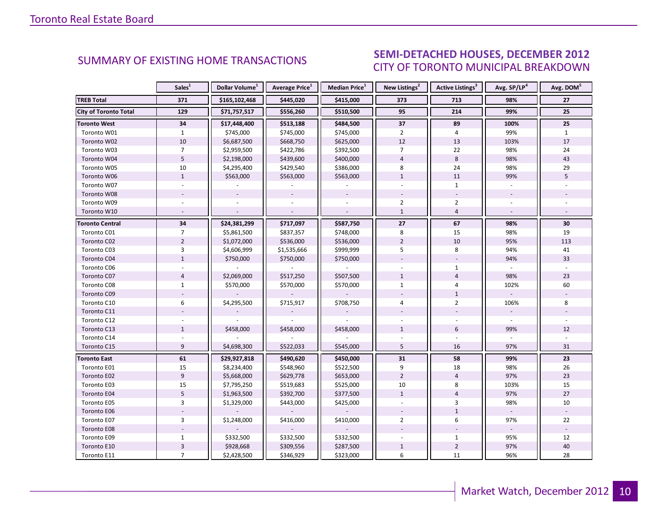#### INDUSTRIAL 2012 CITY OF TORONTO MUNICIPAL BREAKDOWN SUMMARY OF EXISTING HOME TRANSACTIONS **SEMI-DETACHED HOUSES, DECEMBER 2012**

<span id="page-9-0"></span>

|                              | Sales <sup>1</sup>        | Dollar Volume <sup>1</sup> | <b>Average Price</b> <sup>1</sup> | <b>Median Price</b> <sup>1</sup> | New Listings <sup>2</sup> | Active Listings <sup>3</sup> | Avg. SP/LP <sup>4</sup> | Avg. DOM <sup>5</sup> |
|------------------------------|---------------------------|----------------------------|-----------------------------------|----------------------------------|---------------------------|------------------------------|-------------------------|-----------------------|
| <b>TREB Total</b>            | 371                       | \$165,102,468              | \$445,020                         | \$415,000                        | 373                       | 713                          | 98%                     | 27                    |
| <b>City of Toronto Total</b> | 129                       | \$71,757,517               | \$556,260                         | \$510,500                        | 95                        | 214                          | 99%                     | 25                    |
| <b>Toronto West</b>          | 34                        | \$17,448,400               | \$513,188                         | \$484,500                        | 37                        | 89                           | 100%                    | 25                    |
| Toronto W01                  | $\mathbf{1}$              | \$745,000                  | \$745,000                         | \$745,000                        | $\overline{2}$            | 4                            | 99%                     | $\mathbf{1}$          |
| Toronto W02                  | 10                        | \$6,687,500                | \$668,750                         | \$625,000                        | 12                        | 13                           | 103%                    | 17                    |
| Toronto W03                  | $\overline{7}$            | \$2,959,500                | \$422,786                         | \$392,500                        | $\overline{7}$            | 22                           | 98%                     | 24                    |
| Toronto W04                  | 5                         | \$2,198,000                | \$439,600                         | \$400,000                        | $\overline{4}$            | 8                            | 98%                     | 43                    |
| Toronto W05                  | 10                        | \$4,295,400                | \$429,540                         | \$386,000                        | 8                         | 24                           | 98%                     | 29                    |
| Toronto W06                  | $\mathbf{1}$              | \$563,000                  | \$563,000                         | \$563,000                        | $\mathbf{1}$              | 11                           | 99%                     | 5                     |
| Toronto W07                  | $\sim$                    |                            | $\sim$                            |                                  | $\overline{a}$            | $\mathbf{1}$                 | ÷.                      |                       |
| Toronto W08                  |                           |                            |                                   |                                  |                           |                              |                         |                       |
| Toronto W09                  |                           |                            |                                   |                                  | $\overline{2}$            | $\overline{2}$               |                         |                       |
| Toronto W10                  | $\sim$                    |                            | $\sim$                            |                                  | $\mathbf{1}$              | $\overline{4}$               |                         |                       |
| <b>Toronto Central</b>       | 34                        | \$24,381,299               | \$717,097                         | \$587,750                        | 27                        | 67                           | 98%                     | 30                    |
| Toronto C01                  | $\overline{7}$            | \$5,861,500                | \$837,357                         | \$748,000                        | 8                         | 15                           | 98%                     | 19                    |
| Toronto C02                  | $\overline{2}$            | \$1,072,000                | \$536,000                         | \$536,000                        | $\overline{2}$            | 10                           | 95%                     | 113                   |
| Toronto C03                  | 3                         | \$4,606,999                | \$1,535,666                       | \$999,999                        | 5                         | 8                            | 94%                     | 41                    |
| Toronto C04                  | $\mathbf{1}$              | \$750,000                  | \$750,000                         | \$750,000                        |                           |                              | 94%                     | 33                    |
| Toronto C06                  |                           |                            |                                   |                                  |                           | $\mathbf{1}$                 |                         |                       |
| Toronto C07                  | $\overline{4}$            | \$2,069,000                | \$517,250                         | \$507,500                        | $\mathbf{1}$              | $\overline{4}$               | 98%                     | 23                    |
| Toronto C08                  | $\mathbf{1}$              | \$570,000                  | \$570,000                         | \$570,000                        | $\mathbf{1}$              | $\overline{4}$               | 102%                    | 60                    |
| Toronto C09                  |                           |                            |                                   |                                  |                           | $\mathbf{1}$                 |                         |                       |
| Toronto C10                  | 6                         | \$4,295,500                | \$715,917                         | \$708,750                        | $\overline{4}$            | $\overline{2}$               | 106%                    | 8                     |
| Toronto C11                  |                           |                            |                                   |                                  |                           |                              |                         |                       |
| Toronto C12                  |                           |                            |                                   |                                  |                           |                              |                         |                       |
| Toronto C13                  | $\mathbf{1}$              | \$458,000                  | \$458,000                         | \$458,000                        | $\mathbf{1}$              | 6                            | 99%                     | 12                    |
| Toronto C14                  |                           |                            |                                   |                                  |                           |                              |                         |                       |
| Toronto C15                  | 9                         | \$4,698,300                | \$522,033                         | \$545,000                        | 5                         | 16                           | 97%                     | 31                    |
| <b>Toronto East</b>          | 61                        | \$29,927,818               | \$490,620                         | \$450,000                        | 31                        | 58                           | 99%                     | 23                    |
| Toronto E01                  | 15                        | \$8,234,400                | \$548,960                         | \$522,500                        | 9                         | 18                           | 98%                     | 26                    |
| Toronto E02                  | 9                         | \$5,668,000                | \$629,778                         | \$653,000                        | $\overline{2}$            | $\overline{4}$               | 97%                     | 23                    |
| Toronto E03                  | 15                        | \$7,795,250                | \$519,683                         | \$525,000                        | 10                        | 8                            | 103%                    | 15                    |
| Toronto E04                  | 5                         | \$1,963,500                | \$392,700                         | \$377,500                        | $\mathbf{1}$              | $\overline{4}$               | 97%                     | 27                    |
| Toronto E05                  | $\overline{3}$            | \$1,329,000                | \$443,000                         | \$425,000                        |                           | 3                            | 98%                     | 10                    |
| Toronto E06                  |                           |                            |                                   |                                  |                           | $\mathbf{1}$                 |                         |                       |
| Toronto E07                  | 3                         | \$1,248,000                | \$416,000                         | \$410,000                        | $\overline{2}$            | 6                            | 97%                     | 22                    |
| Toronto E08                  |                           |                            |                                   |                                  |                           |                              |                         |                       |
| Toronto E09                  | $\mathbf{1}$              | \$332,500                  | \$332,500                         | \$332,500                        |                           | $\mathbf{1}$                 | 95%                     | 12                    |
| Toronto E10                  | $\ensuremath{\mathsf{3}}$ | \$928,668                  | \$309,556                         | \$287,500                        | $\mathbf{1}$              | $\overline{2}$               | 97%                     | 40                    |
| Toronto E11                  | $\overline{7}$            | \$2,428,500                | \$346,929                         | \$323,000                        | 6                         | 11                           | 96%                     | 28                    |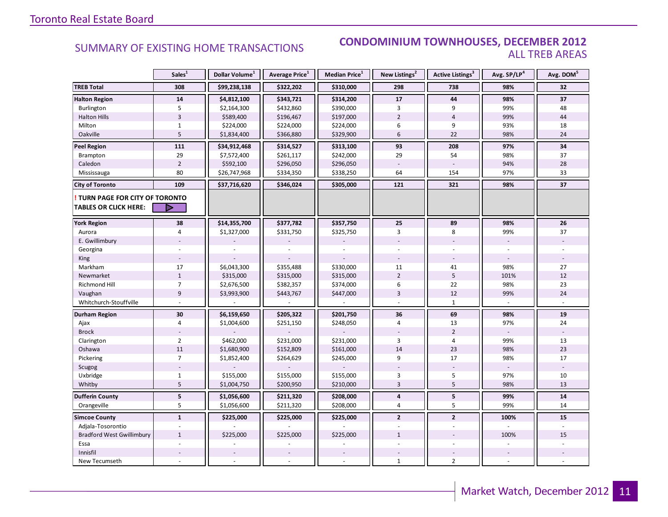#### SUMMARY OF EXISTING HOME TRANSACTIONS **CONDOMINIUM TOWNHOUSES, DECEMBER 2012** ALL TREB AREAS

|                                                               | Sales <sup>1</sup> | Dollar Volume <sup>1</sup> | Average Price <sup>1</sup> | Median Price <sup>1</sup> | New Listings <sup>2</sup> | Active Listings <sup>3</sup> | Avg. SP/LP <sup>4</sup> | Avg. DOM <sup>5</sup> |
|---------------------------------------------------------------|--------------------|----------------------------|----------------------------|---------------------------|---------------------------|------------------------------|-------------------------|-----------------------|
| <b>TREB Total</b>                                             | 308                | \$99,238,138               | \$322,202                  | \$310,000                 | 298                       | 738                          | 98%                     | 32                    |
| <b>Halton Region</b>                                          | 14                 | \$4,812,100                | \$343,721                  | \$314,200                 | 17                        | 44                           | 98%                     | 37                    |
| Burlington                                                    | 5                  | \$2,164,300                | \$432,860                  | \$390,000                 | 3                         | 9                            | 99%                     | 48                    |
| <b>Halton Hills</b>                                           | $\overline{3}$     | \$589,400                  | \$196,467                  | \$197,000                 | $\overline{2}$            | $\overline{4}$               | 99%                     | 44                    |
| Milton                                                        | $\mathbf{1}$       | \$224,000                  | \$224,000                  | \$224,000                 | 6                         | 9                            | 93%                     | 18                    |
| Oakville                                                      | 5                  | \$1,834,400                | \$366,880                  | \$329,900                 | 6                         | 22                           | 98%                     | 24                    |
| <b>Peel Region</b>                                            | 111                | \$34,912,468               | \$314,527                  | \$313,100                 | 93                        | 208                          | 97%                     | 34                    |
| Brampton                                                      | 29                 | \$7,572,400                | \$261,117                  | \$242,000                 | 29                        | 54                           | 98%                     | 37                    |
| Caledon                                                       | $\overline{2}$     | \$592,100                  | \$296,050                  | \$296,050                 |                           |                              | 94%                     | 28                    |
| Mississauga                                                   | 80                 | \$26,747,968               | \$334,350                  | \$338,250                 | 64                        | 154                          | 97%                     | 33                    |
| <b>City of Toronto</b>                                        | 109                | \$37,716,620               | \$346,024                  | \$305,000                 | 121                       | 321                          | 98%                     | 37                    |
| TURN PAGE FOR CITY OF TORONTO<br><b>TABLES OR CLICK HERE:</b> | ▷                  |                            |                            |                           |                           |                              |                         |                       |
| <b>York Region</b>                                            | 38                 | \$14,355,700               | \$377,782                  | \$357,750                 | 25                        | 89                           | 98%                     | 26                    |
| Aurora                                                        | 4                  | \$1,327,000                | \$331,750                  | \$325,750                 | 3                         | 8                            | 99%                     | 37                    |
| E. Gwillimbury                                                |                    |                            |                            |                           |                           |                              |                         |                       |
| Georgina                                                      |                    |                            |                            |                           |                           |                              |                         |                       |
| King                                                          |                    |                            |                            |                           |                           |                              |                         |                       |
| Markham                                                       | 17                 | \$6,043,300                | \$355,488                  | \$330,000                 | 11                        | 41                           | 98%                     | 27                    |
| Newmarket                                                     | $1\,$              | \$315,000                  | \$315,000                  | \$315,000                 | $\overline{2}$            | 5                            | 101%                    | 12                    |
| <b>Richmond Hill</b>                                          | $\overline{7}$     | \$2,676,500                | \$382,357                  | \$374,000                 | 6                         | 22                           | 98%                     | 23                    |
| Vaughan                                                       | 9                  | \$3,993,900                | \$443,767                  | \$447,000                 | 3                         | 12                           | 99%                     | 24                    |
| Whitchurch-Stouffville                                        |                    |                            |                            |                           |                           | $\mathbf{1}$                 |                         |                       |
| <b>Durham Region</b>                                          | 30                 | \$6,159,650                | \$205,322                  | \$201,750                 | 36                        | 69                           | 98%                     | ${\bf 19}$            |
| Ajax                                                          | $\overline{4}$     | \$1,004,600                | \$251,150                  | \$248,050                 | 4                         | 13                           | 97%                     | 24                    |
| <b>Brock</b>                                                  |                    |                            |                            |                           |                           | $\overline{2}$               |                         |                       |
| Clarington                                                    | $\overline{2}$     | \$462,000                  | \$231,000                  | \$231,000                 | 3                         | 4                            | 99%                     | 13                    |
| Oshawa                                                        | 11                 | \$1,680,900                | \$152,809                  | \$161,000                 | 14                        | 23                           | 98%                     | 23                    |
| Pickering                                                     | $\overline{7}$     | \$1,852,400                | \$264,629                  | \$245,000                 | 9                         | 17                           | 98%                     | 17                    |
| Scugog                                                        |                    |                            |                            |                           |                           |                              |                         | $\overline{a}$        |
| Uxbridge                                                      | $\mathbf{1}$       | \$155,000                  | \$155,000                  | \$155,000                 | 3                         | 5                            | 97%                     | 10                    |
| Whitby                                                        | 5                  | \$1,004,750                | \$200,950                  | \$210,000                 | $\overline{3}$            | 5                            | 98%                     | 13                    |
| <b>Dufferin County</b>                                        | ${\bf 5}$          | \$1,056,600                | \$211,320                  | \$208,000                 | 4                         | 5                            | 99%                     | ${\bf 14}$            |
| Orangeville                                                   | 5                  | \$1,056,600                | \$211,320                  | \$208,000                 | $\overline{4}$            | 5                            | 99%                     | 14                    |
| <b>Simcoe County</b>                                          | $\mathbf{1}$       | \$225,000                  | \$225,000                  | \$225,000                 | $\overline{2}$            | $\overline{2}$               | 100%                    | 15                    |
| Adjala-Tosorontio                                             |                    |                            |                            |                           |                           |                              |                         |                       |
| <b>Bradford West Gwillimbury</b>                              | $\mathbf{1}$       | \$225,000                  | \$225,000                  | \$225,000                 | $\mathbf{1}$              |                              | 100%                    | 15                    |
| Essa                                                          |                    |                            |                            |                           |                           |                              |                         |                       |
| Innisfil                                                      |                    |                            |                            |                           |                           |                              |                         |                       |
| New Tecumseth                                                 |                    |                            |                            |                           | $\mathbf{1}$              | $\overline{2}$               |                         |                       |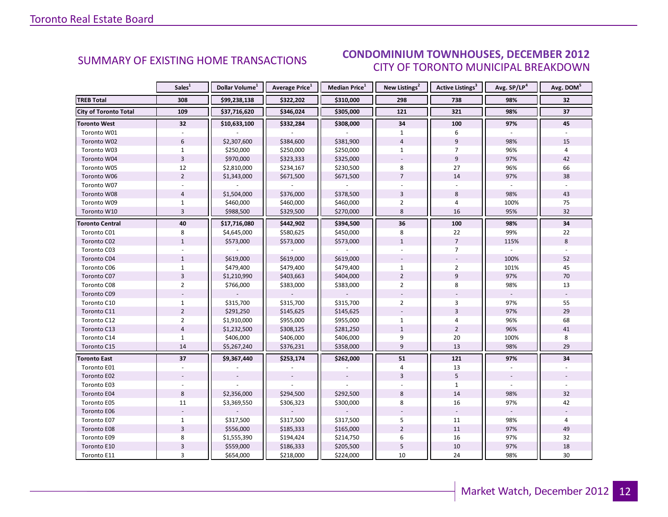#### INDUSTRIAL 2012 CITY OF TORONTO MUNICIPAL BREAKDOWN SUMMARY OF EXISTING HOME TRANSACTIONS<br>CITY OF TOPONTO MUNICIPAL PREAKDOMAL

<span id="page-11-0"></span>

|                              | Sales <sup>1</sup>        | Dollar Volume <sup>1</sup> | <b>Average Price</b> <sup>1</sup> | Median Price <sup>1</sup> | New Listings <sup>2</sup> | Active Listings <sup>3</sup> | Avg. SP/LP <sup>4</sup> | Avg. DOM <sup>5</sup> |
|------------------------------|---------------------------|----------------------------|-----------------------------------|---------------------------|---------------------------|------------------------------|-------------------------|-----------------------|
| <b>TREB Total</b>            | 308                       | \$99,238,138               | \$322,202                         | \$310,000                 | 298                       | 738                          | 98%                     | 32                    |
| <b>City of Toronto Total</b> | 109                       | \$37,716,620               | \$346,024                         | \$305,000                 | 121                       | 321                          | 98%                     | 37                    |
| <b>Toronto West</b>          | 32                        | \$10,633,100               | \$332,284                         | \$308,000                 | 34                        | 100                          | 97%                     | 45                    |
| Toronto W01                  |                           |                            |                                   |                           | $\mathbf{1}$              | 6                            |                         |                       |
| Toronto W02                  | $6\,$                     | \$2,307,600                | \$384,600                         | \$381,900                 | $\overline{4}$            | $\overline{9}$               | 98%                     | 15                    |
| Toronto W03                  | $\mathbf{1}$              | \$250,000                  | \$250,000                         | \$250,000                 | $\mathbf{1}$              | $\overline{7}$               | 96%                     | 4                     |
| Toronto W04                  | $\overline{\mathbf{3}}$   | \$970,000                  | \$323,333                         | \$325,000                 |                           | 9                            | 97%                     | 42                    |
| Toronto W05                  | 12                        | \$2,810,000                | \$234,167                         | \$230,500                 | 8                         | 27                           | 96%                     | 66                    |
| Toronto W06                  | $\overline{2}$            | \$1,343,000                | \$671,500                         | \$671,500                 | $\overline{7}$            | 14                           | 97%                     | 38                    |
| Toronto W07                  |                           |                            |                                   |                           |                           |                              |                         |                       |
| Toronto W08                  | $\overline{4}$            | \$1,504,000                | \$376,000                         | \$378,500                 | $\overline{3}$            | 8                            | 98%                     | 43                    |
| Toronto W09                  | $\mathbf{1}$              | \$460,000                  | \$460,000                         | \$460,000                 | $\overline{2}$            | 4                            | 100%                    | 75                    |
| Toronto W10                  | $\overline{3}$            | \$988,500                  | \$329,500                         | \$270,000                 | 8                         | 16                           | 95%                     | 32                    |
| <b>Toronto Central</b>       | 40                        | \$17,716,080               | \$442,902                         | \$394,500                 | 36                        | 100                          | 98%                     | 34                    |
| Toronto C01                  | 8                         | \$4,645,000                | \$580,625                         | \$450,000                 | 8                         | 22                           | 99%                     | 22                    |
| Toronto C02                  | $\mathbf{1}$              | \$573,000                  | \$573,000                         | \$573,000                 | $\mathbf{1}$              | $\overline{7}$               | 115%                    | 8                     |
| Toronto C03                  |                           |                            |                                   |                           |                           | $\overline{7}$               |                         |                       |
| Toronto C04                  | $\mathbf{1}$              | \$619,000                  | \$619,000                         | \$619,000                 |                           |                              | 100%                    | 52                    |
| Toronto C06                  | $\mathbf{1}$              | \$479,400                  | \$479,400                         | \$479,400                 | $\mathbf{1}$              | $\overline{2}$               | 101%                    | 45                    |
| Toronto C07                  | $\overline{3}$            | \$1,210,990                | \$403,663                         | \$404,000                 | $\overline{2}$            | 9                            | 97%                     | 70                    |
| Toronto C08                  | $\overline{2}$            | \$766,000                  | \$383,000                         | \$383,000                 | $\overline{2}$            | 8                            | 98%                     | 13                    |
| Toronto C09                  |                           |                            |                                   |                           |                           |                              |                         |                       |
| Toronto C10                  | $\mathbf{1}$              | \$315,700                  | \$315,700                         | \$315,700                 | $\overline{2}$            | 3                            | 97%                     | 55                    |
| Toronto C11                  | $\overline{2}$            | \$291,250                  | \$145,625                         | \$145,625                 |                           | $\overline{3}$               | 97%                     | 29                    |
| Toronto C12                  | $\overline{2}$            | \$1,910,000                | \$955,000                         | \$955,000                 | $\mathbf{1}$              | 4                            | 96%                     | 68                    |
| Toronto C13                  | $\overline{4}$            | \$1,232,500                | \$308,125                         | \$281,250                 | $\mathbf{1}$              | $\overline{2}$               | 96%                     | 41                    |
| Toronto C14                  | $\mathbf{1}$              | \$406,000                  | \$406,000                         | \$406,000                 | 9                         | 20                           | 100%                    | 8                     |
| Toronto C15                  | 14                        | \$5,267,240                | \$376,231                         | \$358,000                 | 9                         | 13                           | 98%                     | 29                    |
| <b>Toronto East</b>          | 37                        | \$9,367,440                | \$253,174                         | \$262,000                 | 51                        | 121                          | 97%                     | 34                    |
| Toronto E01                  | $\overline{a}$            |                            |                                   |                           | 4                         | 13                           |                         |                       |
| Toronto E02                  |                           |                            |                                   |                           | $\overline{3}$            | 5                            |                         |                       |
| Toronto E03                  |                           |                            |                                   |                           |                           | $\mathbf{1}$                 |                         |                       |
| Toronto E04                  | 8                         | \$2,356,000                | \$294,500                         | \$292,500                 | 8                         | 14                           | 98%                     | 32                    |
| Toronto E05                  | 11                        | \$3,369,550                | \$306,323                         | \$300,000                 | 8                         | 16                           | 97%                     | 42                    |
| Toronto E06                  |                           |                            |                                   |                           |                           |                              |                         |                       |
| Toronto E07                  | $\mathbf{1}$              | \$317,500                  | \$317,500                         | \$317,500                 | 5                         | 11                           | 98%                     | 4                     |
| Toronto E08                  | $\overline{3}$            | \$556,000                  | \$185,333                         | \$165,000                 | $\overline{2}$            | 11                           | 97%                     | 49                    |
| Toronto E09                  | 8                         | \$1,555,390                | \$194,424                         | \$214,750                 | 6                         | 16                           | 97%                     | 32                    |
| Toronto E10                  | $\ensuremath{\mathsf{3}}$ | \$559,000                  | \$186,333                         | \$205,500                 | 5                         | 10                           | 97%                     | 18                    |
| Toronto E11                  | 3                         | \$654,000                  | \$218,000                         | \$224,000                 | 10                        | 24                           | 98%                     | 30                    |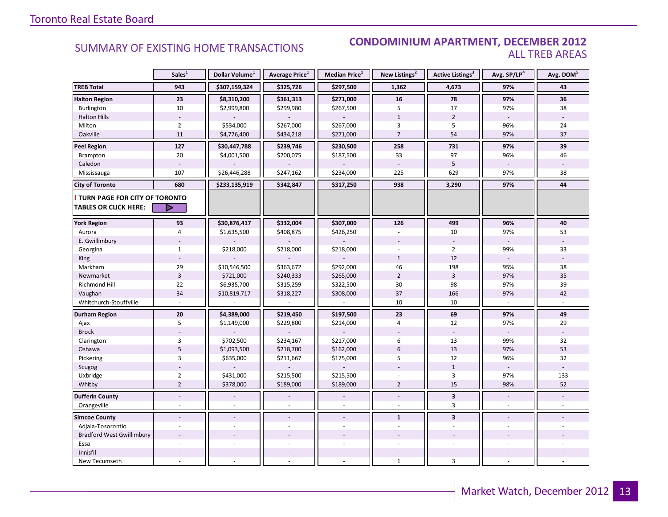### SUMMARY OF EXISTING HOME TRANSACTIONS **CONDOMINIUM APARTMENT, DECEMBER 2012** ALL TREB AREAS

|                                                                        | Sales <sup>1</sup> | Dollar Volume <sup>1</sup> | Average Price <sup>1</sup> | Median Price <sup>1</sup> | New Listings <sup>2</sup> | Active Listings <sup>3</sup> | Avg. SP/LP4    | Avg. DOM <sup>5</sup> |
|------------------------------------------------------------------------|--------------------|----------------------------|----------------------------|---------------------------|---------------------------|------------------------------|----------------|-----------------------|
| <b>TREB Total</b>                                                      | 943                | \$307,159,324              | \$325,726                  | \$297,500                 | 1,362                     | 4,673                        | 97%            | 43                    |
| <b>Halton Region</b>                                                   | 23                 | \$8,310,200                | \$361,313                  | \$271,000                 | 16                        | 78                           | 97%            | 36                    |
| Burlington                                                             | 10                 | \$2,999,800                | \$299,980                  | \$267,500                 | 5                         | 17                           | 97%            | 38                    |
| <b>Halton Hills</b>                                                    |                    |                            |                            |                           | $1\,$                     | $\overline{2}$               |                |                       |
| Milton                                                                 | $\overline{2}$     | \$534,000                  | \$267,000                  | \$267,000                 | 3                         | 5                            | 96%            | 24                    |
| Oakville                                                               | 11                 | \$4,776,400                | \$434,218                  | \$271,000                 | $\overline{7}$            | 54                           | 97%            | 37                    |
| <b>Peel Region</b>                                                     | 127                | \$30,447,788               | \$239,746                  | \$230,500                 | 258                       | 731                          | 97%            | 39                    |
| Brampton                                                               | 20                 | \$4,001,500                | \$200,075                  | \$187,500                 | 33                        | 97                           | 96%            | 46                    |
| Caledon                                                                |                    |                            |                            |                           |                           | 5                            |                |                       |
| Mississauga                                                            | 107                | \$26,446,288               | \$247,162                  | \$234,000                 | 225                       | 629                          | 97%            | 38                    |
| <b>City of Toronto</b>                                                 | 680                | \$233,135,919              | \$342,847                  | \$317,250                 | 938                       | 3,290                        | 97%            | 44                    |
| <b>! TURN PAGE FOR CITY OF TORONTO</b><br><b>TABLES OR CLICK HERE:</b> | ▷                  |                            |                            |                           |                           |                              |                |                       |
| <b>York Region</b>                                                     | 93                 | \$30,876,417               | \$332,004                  | \$307,000                 | 126                       | 499                          | 96%            | 40                    |
| Aurora                                                                 | $\overline{4}$     | \$1,635,500                | \$408,875                  | \$426,250                 |                           | 10                           | 97%            | 53                    |
| E. Gwillimbury                                                         |                    |                            |                            |                           |                           |                              |                |                       |
| Georgina                                                               | $\mathbf{1}$       | \$218,000                  | \$218,000                  | \$218,000                 |                           | $\overline{2}$               | 99%            | 33                    |
| King                                                                   |                    |                            |                            |                           | $\mathbf{1}$              | 12                           |                |                       |
| Markham                                                                | 29                 | \$10,546,500               | \$363,672                  | \$292,000                 | 46                        | 198                          | 95%            | 38                    |
| Newmarket                                                              | $\overline{3}$     | \$721,000                  | \$240,333                  | \$265,000                 | $\overline{2}$            | $\overline{3}$               | 97%            | 35                    |
| Richmond Hill                                                          | 22                 | \$6,935,700                | \$315,259                  | \$322,500                 | 30                        | 98                           | 97%            | 39                    |
| Vaughan                                                                | 34                 | \$10,819,717               | \$318,227                  | \$308,000                 | 37                        | 166                          | 97%            | 42                    |
| Whitchurch-Stouffville                                                 |                    |                            |                            |                           | 10                        | 10                           |                |                       |
| <b>Durham Region</b>                                                   | ${\bf 20}$         | \$4,389,000                | \$219,450                  | \$197,500                 | 23                        | 69                           | 97%            | 49                    |
| Ajax                                                                   | 5                  | \$1,149,000                | \$229,800                  | \$214,000                 | $\overline{4}$            | 12                           | 97%            | 29                    |
| <b>Brock</b>                                                           |                    |                            |                            |                           |                           |                              |                |                       |
| Clarington                                                             | 3                  | \$702,500                  | \$234,167                  | \$217,000                 | 6                         | 13                           | 99%            | 32                    |
| Oshawa                                                                 | $5\overline{)}$    | \$1,093,500                | \$218,700                  | \$162,000                 | 6                         | 13                           | 97%            | 53                    |
| Pickering                                                              | 3                  | \$635,000                  | \$211,667                  | \$175,000                 | 5                         | 12                           | 96%            | 32                    |
| Scugog                                                                 |                    |                            |                            |                           |                           | $\mathbf{1}$                 |                |                       |
| Uxbridge                                                               | $\overline{2}$     | \$431,000                  | \$215,500                  | \$215,500                 |                           | 3                            | 97%            | 133                   |
| Whitby                                                                 | $\overline{2}$     | \$378,000                  | \$189,000                  | \$189,000                 | $\overline{2}$            | 15                           | 98%            | 52                    |
| <b>Dufferin County</b>                                                 | $\blacksquare$     |                            |                            |                           | $\blacksquare$            | $\mathbf{3}$                 | $\blacksquare$ | $\blacksquare$        |
| Orangeville                                                            | L.                 |                            |                            |                           |                           | 3                            | $\overline{a}$ |                       |
| <b>Simcoe County</b>                                                   | $\blacksquare$     | $\sim$                     | $\overline{a}$             | $\overline{a}$            | $\mathbf{1}$              | $\overline{\mathbf{3}}$      | $\overline{a}$ |                       |
| Adjala-Tosorontio                                                      |                    |                            |                            |                           |                           |                              |                |                       |
| <b>Bradford West Gwillimbury</b>                                       |                    |                            |                            |                           |                           |                              |                |                       |
| Essa                                                                   |                    |                            |                            |                           |                           |                              |                |                       |
| Innisfil                                                               |                    |                            |                            |                           |                           |                              |                |                       |
| New Tecumseth                                                          |                    |                            |                            |                           | $\mathbf{1}$              | $\overline{3}$               |                |                       |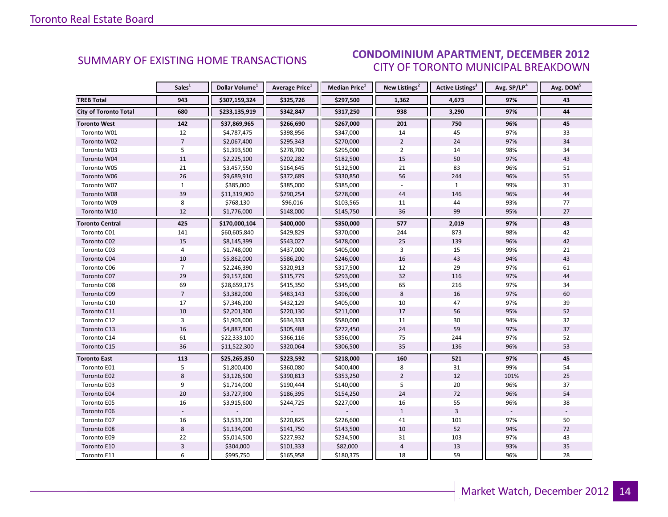#### INDUSTRIAL 2012 CITY OF TORONTO MUNICIPAL BREAKDOWN SUMMARY OF EXISTING HOME TRANSACTIONS<br>CITY OF TOPONTO MUINICIPAL PREAKDOMAL

<span id="page-13-0"></span>

|                              | Sales <sup>1</sup>        | Dollar Volume <sup>1</sup> | <b>Average Price</b> <sup>1</sup> | <b>Median Price</b> <sup>1</sup> | New Listings <sup>2</sup> | Active Listings <sup>3</sup> | Avg. SP/LP <sup>4</sup> | Avg. DOM <sup>5</sup> |
|------------------------------|---------------------------|----------------------------|-----------------------------------|----------------------------------|---------------------------|------------------------------|-------------------------|-----------------------|
| <b>TREB Total</b>            | 943                       | \$307,159,324              | \$325,726                         | \$297,500                        | 1,362                     | 4,673                        | 97%                     | 43                    |
| <b>City of Toronto Total</b> | 680                       | \$233,135,919              | \$342,847                         | \$317,250                        | 938                       | 3,290                        | 97%                     | 44                    |
| <b>Toronto West</b>          | 142                       | \$37,869,965               | \$266,690                         | \$267,000                        | 201                       | 750                          | 96%                     | 45                    |
| Toronto W01                  | 12                        | \$4,787,475                | \$398,956                         | \$347,000                        | 14                        | 45                           | 97%                     | 33                    |
| Toronto W02                  | $\overline{7}$            | \$2,067,400                | \$295,343                         | \$270,000                        | $\overline{2}$            | 24                           | 97%                     | 34                    |
| Toronto W03                  | 5                         | \$1,393,500                | \$278,700                         | \$295,000                        | $\overline{2}$            | 14                           | 98%                     | 34                    |
| Toronto W04                  | $11\,$                    | \$2,225,100                | \$202,282                         | \$182,500                        | 15                        | 50                           | 97%                     | 43                    |
| Toronto W05                  | 21                        | \$3,457,550                | \$164,645                         | \$132,500                        | 21                        | 83                           | 96%                     | 51                    |
| Toronto W06                  | 26                        | \$9,689,910                | \$372,689                         | \$330,850                        | 56                        | 244                          | 96%                     | 55                    |
| Toronto W07                  | $\mathbf{1}$              | \$385,000                  | \$385,000                         | \$385,000                        | $\mathbf{r}$              | $\mathbf{1}$                 | 99%                     | 31                    |
| Toronto W08                  | 39                        | \$11,319,900               | \$290,254                         | \$278,000                        | 44                        | 146                          | 96%                     | 44                    |
| Toronto W09                  | 8                         | \$768,130                  | \$96,016                          | \$103,565                        | 11                        | 44                           | 93%                     | 77                    |
| Toronto W10                  | 12                        | \$1,776,000                | \$148,000                         | \$145,750                        | 36                        | 99                           | 95%                     | 27                    |
| <b>Toronto Central</b>       | 425                       | \$170,000,104              | \$400,000                         | \$350,000                        | 577                       | 2,019                        | 97%                     | 43                    |
| Toronto C01                  | 141                       | \$60,605,840               | \$429,829                         | \$370,000                        | 244                       | 873                          | 98%                     | 42                    |
| Toronto C02                  | 15                        | \$8,145,399                | \$543,027                         | \$478,000                        | 25                        | 139                          | 96%                     | 42                    |
| Toronto C03                  | 4                         | \$1,748,000                | \$437,000                         | \$405,000                        | 3                         | 15                           | 99%                     | 21                    |
| Toronto C04                  | 10                        | \$5,862,000                | \$586,200                         | \$246,000                        | 16                        | 43                           | 94%                     | 43                    |
| Toronto C06                  | $\overline{7}$            | \$2,246,390                | \$320,913                         | \$317,500                        | 12                        | 29                           | 97%                     | 61                    |
| Toronto C07                  | 29                        | \$9,157,600                | \$315,779                         | \$293,000                        | 32                        | 116                          | 97%                     | 44                    |
| Toronto C08                  | 69                        | \$28,659,175               | \$415,350                         | \$345,000                        | 65                        | 216                          | 97%                     | 34                    |
| Toronto C09                  | $\overline{7}$            | \$3,382,000                | \$483,143                         | \$396,000                        | 8                         | 16                           | 97%                     | 60                    |
| Toronto C10                  | 17                        | \$7,346,200                | \$432,129                         | \$405,000                        | 10                        | 47                           | 97%                     | 39                    |
| Toronto C11                  | 10                        | \$2,201,300                | \$220,130                         | \$211,000                        | 17                        | 56                           | 95%                     | 52                    |
| Toronto C12                  | $\overline{3}$            | \$1,903,000                | \$634,333                         | \$580,000                        | 11                        | 30                           | 94%                     | 32                    |
| Toronto C13                  | 16                        | \$4,887,800                | \$305,488                         | \$272,450                        | 24                        | 59                           | 97%                     | 37                    |
| Toronto C14                  | 61                        | \$22,333,100               | \$366,116                         | \$356,000                        | 75                        | 244                          | 97%                     | 52                    |
| Toronto C15                  | 36                        | \$11,522,300               | \$320,064                         | \$306,500                        | 35                        | 136                          | 96%                     | 53                    |
| <b>Toronto East</b>          | 113                       | \$25,265,850               | \$223,592                         | \$218,000                        | 160                       | 521                          | 97%                     | 45                    |
| Toronto E01                  | 5                         | \$1,800,400                | \$360,080                         | \$400,400                        | 8                         | 31                           | 99%                     | 54                    |
| Toronto E02                  | 8                         | \$3,126,500                | \$390,813                         | \$353,250                        | $\overline{2}$            | 12                           | 101%                    | 25                    |
| Toronto E03                  | 9                         | \$1,714,000                | \$190,444                         | \$140,000                        | 5                         | 20                           | 96%                     | 37                    |
| Toronto E04                  | 20                        | \$3,727,900                | \$186,395                         | \$154,250                        | 24                        | 72                           | 96%                     | 54                    |
| Toronto E05                  | 16                        | \$3,915,600                | \$244,725                         | \$227,000                        | 16                        | 55                           | 96%                     | 38                    |
| Toronto E06                  |                           |                            |                                   |                                  | $\mathbf{1}$              | $\overline{3}$               |                         |                       |
| Toronto E07                  | 16                        | \$3,533,200                | \$220,825                         | \$226,600                        | 41                        | 101                          | 97%                     | 50                    |
| Toronto E08                  | $\,8\,$                   | \$1,134,000                | \$141,750                         | \$143,500                        | 10                        | 52                           | 94%                     | 72                    |
| Toronto E09                  | 22                        | \$5,014,500                | \$227,932                         | \$234,500                        | 31                        | 103                          | 97%                     | 43                    |
| Toronto E10                  | $\ensuremath{\mathsf{3}}$ | \$304,000                  | \$101,333                         | \$82,000                         | $\overline{4}$            | 13                           | 93%                     | 35                    |
| Toronto E11                  | 6                         | \$995,750                  | \$165,958                         | \$180,375                        | 18                        | 59                           | 96%                     | 28                    |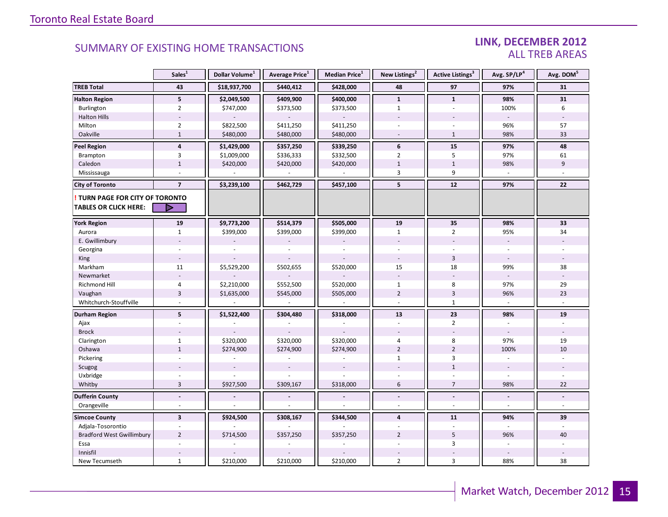### LINK, DECEMBER 2012 ALL TREB AREAS

|                                  | Sales <sup>1</sup>       | Dollar Volume <sup>1</sup> | Average Price <sup>1</sup> | Median Price <sup>1</sup> | New Listings <sup>2</sup> | Active Listings <sup>3</sup> | Avg. SP/LP <sup>4</sup> | Avg. DOM <sup>5</sup> |
|----------------------------------|--------------------------|----------------------------|----------------------------|---------------------------|---------------------------|------------------------------|-------------------------|-----------------------|
| <b>TREB Total</b>                | 43                       | \$18,937,700               | \$440,412                  | \$428,000                 | 48                        | 97                           | 97%                     | 31                    |
| <b>Halton Region</b>             | 5                        | \$2,049,500                | \$409,900                  | \$400,000                 | $\mathbf{1}$              | $\mathbf{1}$                 | 98%                     | 31                    |
| Burlington                       | $\overline{2}$           | \$747,000                  | \$373,500                  | \$373,500                 | $\mathbf{1}$              | ÷.                           | 100%                    | 6                     |
| <b>Halton Hills</b>              |                          |                            |                            |                           |                           |                              | $\sim$                  |                       |
| Milton                           | $\overline{2}$           | \$822,500                  | \$411,250                  | \$411,250                 |                           |                              | 96%                     | 57                    |
| Oakville                         | $\mathbf{1}$             | \$480,000                  | \$480,000                  | \$480,000                 |                           | $\mathbf{1}$                 | 98%                     | 33                    |
| <b>Peel Region</b>               | $\overline{4}$           | \$1,429,000                | \$357,250                  | \$339,250                 | 6                         | 15                           | 97%                     | 48                    |
| Brampton                         | $\overline{3}$           | \$1,009,000                | \$336,333                  | \$332,500                 | $\overline{2}$            | 5                            | 97%                     | 61                    |
| Caledon                          | $1\,$                    | \$420,000                  | \$420,000                  | \$420,000                 | $1\,$                     | $\mathbf{1}$                 | 98%                     | 9                     |
| Mississauga                      |                          |                            |                            |                           | $\overline{3}$            | 9                            | $\mathcal{L}$           | $\omega$              |
| <b>City of Toronto</b>           | $\overline{7}$           | \$3,239,100                | \$462,729                  | \$457,100                 | 5                         | 12                           | 97%                     | 22                    |
| TURN PAGE FOR CITY OF TORONTO    |                          |                            |                            |                           |                           |                              |                         |                       |
| <b>TABLES OR CLICK HERE:</b>     | ▷                        |                            |                            |                           |                           |                              |                         |                       |
| <b>York Region</b>               | 19                       | \$9,773,200                | \$514,379                  | \$505,000                 | 19                        | 35                           | 98%                     | 33                    |
| Aurora                           | $\mathbf{1}$             | \$399,000                  | \$399,000                  | \$399,000                 | $\mathbf{1}$              | $\overline{2}$               | 95%                     | 34                    |
| E. Gwillimbury                   |                          |                            |                            |                           |                           |                              | $\bar{a}$               |                       |
| Georgina                         |                          |                            |                            |                           |                           |                              | $\sim$                  |                       |
| King                             | $\overline{a}$           |                            |                            |                           |                           | $\overline{3}$               | $\sim$                  |                       |
| Markham                          | 11                       | \$5,529,200                | \$502,655                  | \$520,000                 | 15                        | 18                           | 99%                     | 38                    |
| Newmarket                        | $\overline{\phantom{a}}$ |                            |                            |                           | $\overline{\phantom{a}}$  |                              | $\sim$                  |                       |
| Richmond Hill                    | $\overline{4}$           | \$2,210,000                | \$552,500                  | \$520,000                 | $\mathbf{1}$              | 8                            | 97%                     | 29                    |
| Vaughan                          | $\overline{3}$           | \$1,635,000                | \$545,000                  | \$505,000                 | $\overline{2}$            | $\overline{3}$               | 96%                     | 23                    |
| Whitchurch-Stouffville           |                          |                            |                            |                           | $\overline{a}$            | $\mathbf{1}$                 |                         |                       |
| Durham Region                    | 5                        | \$1,522,400                | \$304,480                  | \$318,000                 | 13                        | 23                           | 98%                     | 19                    |
| Ajax                             |                          |                            |                            |                           | $\sim$                    | $\overline{2}$               |                         |                       |
| <b>Brock</b>                     |                          |                            |                            |                           |                           |                              | $\sim$                  |                       |
| Clarington                       | $\mathbf{1}$             | \$320,000                  | \$320,000                  | \$320,000                 | $\overline{4}$            | $\bf 8$                      | 97%                     | 19                    |
| Oshawa                           | $\mathbf{1}$             | \$274,900                  | \$274,900                  | \$274,900                 | $\overline{2}$            | $\overline{2}$               | 100%                    | 10                    |
| Pickering                        | ä,                       |                            |                            |                           | $\mathbf{1}$              | 3                            | $\sim$                  |                       |
| Scugog                           |                          |                            |                            |                           |                           | $\mathbf{1}$                 | $\sim$                  |                       |
| Uxbridge                         |                          |                            |                            |                           |                           |                              |                         |                       |
| Whitby                           | $\overline{3}$           | \$927,500                  | \$309,167                  | \$318,000                 | 6                         | $\overline{7}$               | 98%                     | 22                    |
| <b>Dufferin County</b>           | $\overline{a}$           |                            |                            | $\overline{a}$            | $\sim$                    | $\overline{a}$               | $\blacksquare$          | $\blacksquare$        |
| Orangeville                      | $\sim$                   |                            |                            |                           | $\sim$                    | ÷                            | $\sim$                  | $\sim$                |
| <b>Simcoe County</b>             | $\overline{\mathbf{3}}$  | \$924,500                  | \$308,167                  | \$344,500                 | $\overline{\mathbf{4}}$   | 11                           | 94%                     | 39                    |
| Adjala-Tosorontio                |                          |                            |                            |                           |                           |                              | $\sim$                  |                       |
| <b>Bradford West Gwillimbury</b> | $\overline{2}$           | \$714,500                  | \$357,250                  | \$357,250                 | $\overline{2}$            | 5                            | 96%                     | 40                    |
| Essa                             | $\sim$                   |                            |                            |                           |                           | 3                            |                         |                       |
| Innisfil                         |                          |                            |                            |                           |                           |                              |                         |                       |
| New Tecumseth                    | $\mathbf{1}$             | \$210,000                  | \$210,000                  | \$210,000                 | $\overline{2}$            | 3                            | 88%                     | 38                    |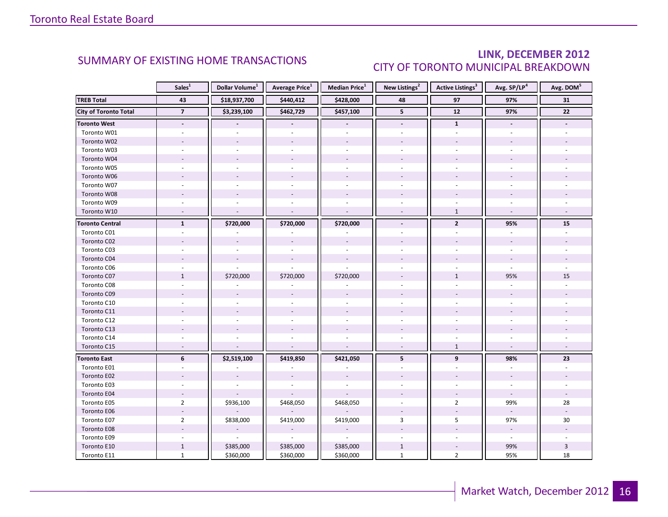### LINK, DECEMBER 2012 CITY OF TORONTO MUNICIPAL BREAKDOWN

<span id="page-15-0"></span>

|                              | Sales <sup>1</sup> | Dollar Volume <sup>1</sup> | <b>Average Price</b> <sup>1</sup> | <b>Median Price</b> <sup>1</sup> | New Listings <sup>2</sup> | <b>Active Listings<sup>3</sup></b> | Avg. SP/LP4    | Avg. DOM <sup>5</sup> |
|------------------------------|--------------------|----------------------------|-----------------------------------|----------------------------------|---------------------------|------------------------------------|----------------|-----------------------|
| <b>TREB Total</b>            | 43                 | \$18,937,700               | \$440,412                         | \$428,000                        | 48                        | 97                                 | 97%            | 31                    |
| <b>City of Toronto Total</b> | $\overline{7}$     | \$3,239,100                | \$462,729                         | \$457,100                        | $\overline{\mathbf{5}}$   | $\overline{12}$                    | 97%            | $\overline{22}$       |
| <b>Toronto West</b>          | $\blacksquare$     |                            | $\blacksquare$                    | $\blacksquare$                   | $\overline{\phantom{a}}$  | $\mathbf{1}$                       | $\blacksquare$ |                       |
| Toronto W01                  |                    |                            |                                   |                                  |                           |                                    |                |                       |
| Toronto W02                  |                    |                            |                                   |                                  |                           |                                    |                |                       |
| Toronto W03                  |                    |                            |                                   |                                  |                           |                                    |                |                       |
| Toronto W04                  |                    |                            |                                   |                                  |                           |                                    |                |                       |
| Toronto W05                  |                    |                            |                                   |                                  |                           |                                    |                |                       |
| Toronto W06                  |                    |                            |                                   |                                  |                           |                                    |                |                       |
| Toronto W07                  |                    |                            |                                   |                                  |                           |                                    |                |                       |
| Toronto W08                  |                    |                            |                                   |                                  |                           |                                    |                |                       |
| Toronto W09                  |                    |                            |                                   |                                  |                           |                                    |                |                       |
| Toronto W10                  |                    |                            |                                   |                                  |                           | $\mathbf{1}$                       |                |                       |
| <b>Toronto Central</b>       | $\mathbf{1}$       | \$720,000                  | \$720,000                         | \$720,000                        | $\overline{\phantom{a}}$  | $\mathbf{2}$                       | 95%            | 15                    |
| Toronto C01                  |                    |                            |                                   |                                  |                           |                                    |                |                       |
| Toronto C02                  |                    |                            |                                   |                                  |                           |                                    |                |                       |
| Toronto C03                  |                    |                            |                                   |                                  |                           |                                    |                |                       |
| Toronto C04                  |                    |                            |                                   |                                  |                           |                                    |                |                       |
| Toronto C06                  |                    |                            |                                   |                                  |                           |                                    |                |                       |
| Toronto C07                  | $\mathbf{1}$       | \$720,000                  | \$720,000                         | \$720,000                        |                           | $\mathbf{1}$                       | 95%            | 15                    |
| Toronto C08                  |                    |                            |                                   |                                  |                           |                                    |                |                       |
| Toronto C09                  |                    |                            |                                   |                                  |                           |                                    |                |                       |
| Toronto C10                  |                    |                            |                                   |                                  |                           |                                    |                |                       |
| Toronto C11                  |                    |                            |                                   |                                  |                           |                                    |                |                       |
| Toronto C12                  |                    |                            |                                   |                                  |                           |                                    |                |                       |
| Toronto C13                  |                    |                            |                                   |                                  |                           |                                    |                |                       |
| Toronto C14                  |                    |                            |                                   |                                  |                           |                                    |                |                       |
| Toronto C15                  | $\sim$             |                            |                                   |                                  | $\sim$                    | $\mathbf{1}$                       |                |                       |
| <b>Toronto East</b>          | 6                  | \$2,519,100                | \$419,850                         | \$421,050                        | 5                         | 9                                  | 98%            | 23                    |
| Toronto E01                  |                    |                            |                                   |                                  |                           |                                    |                |                       |
| Toronto E02                  |                    |                            |                                   |                                  |                           |                                    |                |                       |
| Toronto E03                  |                    |                            |                                   |                                  |                           |                                    |                |                       |
| Toronto E04                  |                    |                            |                                   |                                  |                           |                                    |                |                       |
| Toronto E05                  | $\overline{2}$     | \$936,100                  | \$468,050                         | \$468,050                        |                           | $\overline{2}$                     | 99%            | 28                    |
| Toronto E06                  |                    |                            |                                   |                                  |                           |                                    |                |                       |
| Toronto E07                  | $\overline{2}$     | \$838,000                  | \$419,000                         | \$419,000                        | 3                         | 5                                  | 97%            | 30                    |
| Toronto E08                  |                    |                            |                                   |                                  |                           |                                    |                |                       |
| Toronto E09                  |                    | $\omega$                   | $\omega$                          | $\omega$                         |                           |                                    | $\sim$         |                       |
| Toronto E10                  | $\mathbf{1}$       | \$385,000                  | \$385,000                         | \$385,000                        | $\mathbf{1}$              |                                    | 99%            | 3                     |
| Toronto E11                  | $\mathbf{1}$       | \$360,000                  | \$360,000                         | \$360,000                        | $\mathbf{1}$              | $\overline{2}$                     | 95%            | 18                    |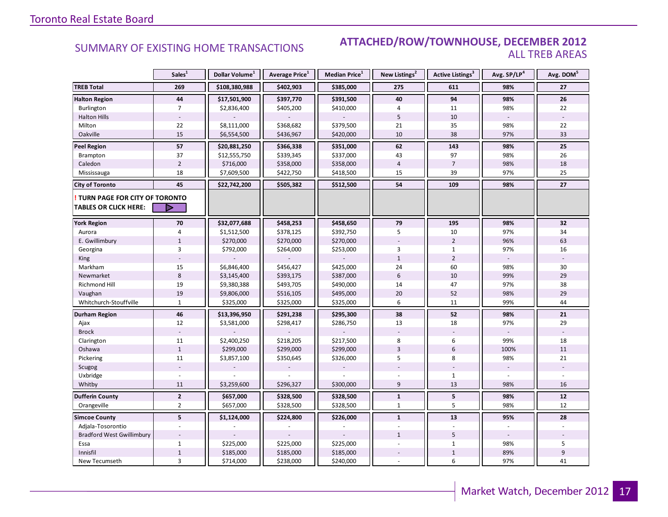### SUMMARY OF EXISTING HOME TRANSACTIONS **ATTACHED/ROW/TOWNHOUSE, DECEMBER 2012** ALL TREB AREAS

|                                  | Sales <sup>1</sup> | Dollar Volume <sup>1</sup> | Average Price <sup>1</sup> | Median Price <sup>1</sup> | New Listings <sup>2</sup> | Active Listings <sup>3</sup> | Avg. SP/LP <sup>4</sup> | Avg. DOM <sup>5</sup> |
|----------------------------------|--------------------|----------------------------|----------------------------|---------------------------|---------------------------|------------------------------|-------------------------|-----------------------|
| <b>TREB Total</b>                | 269                | \$108,380,988              | \$402,903                  | \$385,000                 | 275                       | 611                          | 98%                     | 27                    |
| <b>Halton Region</b>             | 44                 | \$17,501,900               | \$397,770                  | \$391,500                 | 40                        | 94                           | 98%                     | 26                    |
| Burlington                       | $\overline{7}$     | \$2,836,400                | \$405,200                  | \$410,000                 | 4                         | 11                           | 98%                     | 22                    |
| <b>Halton Hills</b>              |                    |                            |                            |                           | 5                         | 10                           |                         |                       |
| Milton                           | 22                 | \$8,111,000                | \$368,682                  | \$379,500                 | 21                        | 35                           | 98%                     | 22                    |
| Oakville                         | 15                 | \$6,554,500                | \$436,967                  | \$420,000                 | 10                        | 38                           | 97%                     | 33                    |
| <b>Peel Region</b>               | 57                 | \$20,881,250               | \$366,338                  | \$351,000                 | 62                        | 143                          | 98%                     | 25                    |
| Brampton                         | 37                 | \$12,555,750               | \$339,345                  | \$337,000                 | 43                        | 97                           | 98%                     | 26                    |
| Caledon                          | $\overline{2}$     | \$716,000                  | \$358,000                  | \$358,000                 | $\overline{4}$            | $\overline{7}$               | 98%                     | 18                    |
| Mississauga                      | 18                 | \$7,609,500                | \$422,750                  | \$418,500                 | 15                        | 39                           | 97%                     | 25                    |
| <b>City of Toronto</b>           | 45                 | \$22,742,200               | \$505,382                  | \$512,500                 | 54                        | 109                          | 98%                     | 27                    |
| TURN PAGE FOR CITY OF TORONTO    |                    |                            |                            |                           |                           |                              |                         |                       |
| <b>TABLES OR CLICK HERE:</b>     | ▷                  |                            |                            |                           |                           |                              |                         |                       |
| <b>York Region</b>               | 70                 | \$32,077,688               | \$458,253                  | \$458,650                 | 79                        | 195                          | 98%                     | 32                    |
| Aurora                           | $\overline{4}$     | \$1,512,500                | \$378,125                  | \$392,750                 | 5                         | 10                           | 97%                     | 34                    |
| E. Gwillimbury                   | $\mathbf{1}$       | \$270,000                  | \$270,000                  | \$270,000                 |                           | $\overline{2}$               | 96%                     | 63                    |
| Georgina                         | 3                  | \$792,000                  | \$264,000                  | \$253,000                 | 3                         | $\mathbf{1}$                 | 97%                     | 16                    |
| King                             |                    |                            |                            |                           | $\mathbf{1}$              | $\overline{2}$               |                         |                       |
| Markham                          | 15                 | \$6,846,400                | \$456,427                  | \$425,000                 | 24                        | 60                           | 98%                     | 30                    |
| Newmarket                        | $8\phantom{1}$     | \$3,145,400                | \$393,175                  | \$387,000                 | $6\,$                     | 10                           | 99%                     | 29                    |
| <b>Richmond Hill</b>             | 19                 | \$9,380,388                | \$493,705                  | \$490,000                 | 14                        | 47                           | 97%                     | 38                    |
| Vaughan                          | 19                 | \$9,806,000                | \$516,105                  | \$495,000                 | 20                        | 52                           | 98%                     | 29                    |
| Whitchurch-Stouffville           | $\mathbf{1}$       | \$325,000                  | \$325,000                  | \$325,000                 | 6                         | 11                           | 99%                     | 44                    |
| Durham Region                    | 46                 | \$13,396,950               | \$291,238                  | \$295,300                 | 38                        | 52                           | 98%                     | 21                    |
| Ajax                             | 12                 | \$3,581,000                | \$298,417                  | \$286,750                 | 13                        | 18                           | 97%                     | 29                    |
| <b>Brock</b>                     |                    |                            |                            |                           |                           |                              |                         |                       |
| Clarington                       | 11                 | \$2,400,250                | \$218,205                  | \$217,500                 | 8                         | 6                            | 99%                     | 18                    |
| Oshawa                           | $\mathbf{1}$       | \$299,000                  | \$299,000                  | \$299,000                 | $\overline{3}$            | 6                            | 100%                    | 11                    |
| Pickering                        | 11                 | \$3,857,100                | \$350,645                  | \$326,000                 | 5                         | 8                            | 98%                     | 21                    |
| Scugog                           |                    |                            |                            |                           |                           |                              |                         |                       |
| Uxbridge                         |                    |                            |                            |                           |                           | $\mathbf{1}$                 |                         |                       |
| Whitby                           | 11                 | \$3,259,600                | \$296,327                  | \$300,000                 | $\overline{9}$            | 13                           | 98%                     | 16                    |
| <b>Dufferin County</b>           | $\mathbf{2}$       | \$657,000                  | \$328,500                  | \$328,500                 | $\mathbf{1}$              | 5                            | 98%                     | 12                    |
| Orangeville                      | $\overline{2}$     | \$657,000                  | \$328,500                  | \$328,500                 | $\mathbf{1}$              | 5                            | 98%                     | 12                    |
| <b>Simcoe County</b>             | 5 <sup>1</sup>     | \$1,124,000                | \$224,800                  | \$226,000                 | $\mathbf{1}$              | 13                           | 95%                     | 28                    |
| Adjala-Tosorontio                |                    |                            |                            |                           |                           |                              |                         |                       |
| <b>Bradford West Gwillimbury</b> |                    |                            |                            |                           | $\mathbf{1}$              | 5                            |                         |                       |
| Essa                             | $\mathbf{1}$       | \$225,000                  | \$225,000                  | \$225,000                 |                           | $\mathbf{1}$                 | 98%                     | 5                     |
| Innisfil                         | $\mathbf 1$        | \$185,000                  | \$185,000                  | \$185,000                 |                           | $1\,$                        | 89%                     | 9                     |
| New Tecumseth                    | 3                  | \$714,000                  | \$238,000                  | \$240,000                 |                           | 6                            | 97%                     | 41                    |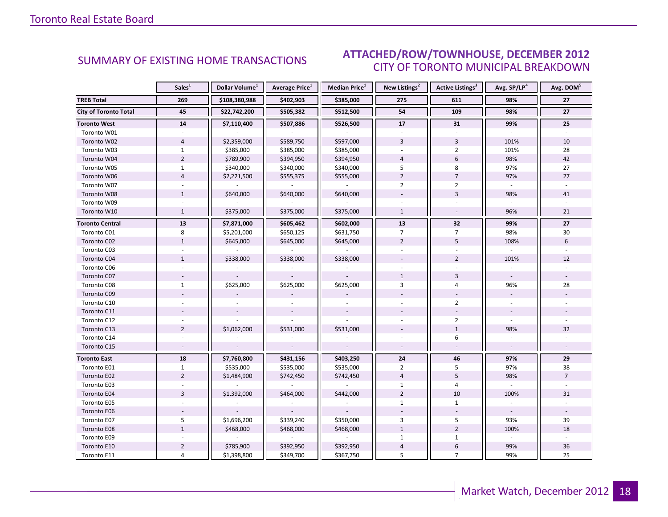#### INDUSTRIAL 2012 CITY OF TORONTO MUNICIPAL BREAKDOWN SUMMARY OF EXISTING HOME TRANSACTIONS **ATTACHED/ROW/TOWNHOUSE, DECEMBER 2012**

<span id="page-17-0"></span>

|                              | Sales <sup>1</sup> | Dollar Volume <sup>1</sup> | <b>Average Price</b> <sup>1</sup> | Median Price <sup>1</sup> | New Listings <sup>2</sup> | Active Listings <sup>3</sup> | Avg. SP/LP <sup>4</sup> | Avg. DOM <sup>5</sup> |
|------------------------------|--------------------|----------------------------|-----------------------------------|---------------------------|---------------------------|------------------------------|-------------------------|-----------------------|
| <b>TREB Total</b>            | 269                | \$108,380,988              | \$402,903                         | \$385,000                 | 275                       | 611                          | 98%                     | 27                    |
| <b>City of Toronto Total</b> | 45                 | \$22,742,200               | \$505,382                         | \$512,500                 | 54                        | 109                          | 98%                     | 27                    |
| <b>Toronto West</b>          | 14                 | \$7,110,400                | \$507,886                         | \$526,500                 | 17                        | 31                           | 99%                     | 25                    |
| Toronto W01                  |                    |                            |                                   |                           |                           |                              |                         |                       |
| Toronto W02                  | $\overline{4}$     | \$2,359,000                | \$589,750                         | \$597,000                 | $\overline{3}$            | $\overline{3}$               | 101%                    | 10                    |
| Toronto W03                  | $\mathbf{1}$       | \$385,000                  | \$385,000                         | \$385,000                 |                           | $\overline{2}$               | 101%                    | 28                    |
| Toronto W04                  | $\overline{2}$     | \$789,900                  | \$394,950                         | \$394,950                 | $\overline{4}$            | 6                            | 98%                     | 42                    |
| Toronto W05                  | $\mathbf{1}$       | \$340,000                  | \$340,000                         | \$340,000                 | 5                         | 8                            | 97%                     | 27                    |
| Toronto W06                  | $\overline{4}$     | \$2,221,500                | \$555,375                         | \$555,000                 | $\overline{2}$            | $\overline{7}$               | 97%                     | 27                    |
| Toronto W07                  |                    |                            |                                   |                           | $\overline{2}$            | $\overline{2}$               | $\omega$                |                       |
| Toronto W08                  | $\mathbf{1}$       | \$640,000                  | \$640,000                         | \$640,000                 |                           | $\overline{3}$               | 98%                     | 41                    |
| Toronto W09                  |                    |                            |                                   |                           |                           |                              |                         |                       |
| Toronto W10                  | $\mathbf{1}$       | \$375,000                  | \$375,000                         | \$375,000                 | $\mathbf{1}$              | $\sim$                       | 96%                     | 21                    |
| <b>Toronto Central</b>       | 13                 | \$7,871,000                | \$605,462                         | \$602,000                 | 13                        | 32                           | 99%                     | 27                    |
| Toronto C01                  | 8                  | \$5,201,000                | \$650,125                         | \$631,750                 | $\overline{7}$            | $\overline{7}$               | 98%                     | 30                    |
| Toronto C02                  | $\mathbf{1}$       | \$645,000                  | \$645,000                         | \$645,000                 | $\overline{2}$            | 5                            | 108%                    | 6                     |
| Toronto C03                  |                    |                            |                                   |                           |                           |                              |                         |                       |
| Toronto C04                  | $\mathbf{1}$       | \$338,000                  | \$338,000                         | \$338,000                 |                           | $\overline{2}$               | 101%                    | 12                    |
| Toronto C06                  |                    |                            |                                   |                           |                           |                              |                         |                       |
| Toronto C07                  |                    |                            |                                   |                           | $\mathbf{1}$              | 3                            |                         |                       |
| Toronto C08                  | $\mathbf{1}$       | \$625,000                  | \$625,000                         | \$625,000                 | 3                         | 4                            | 96%                     | 28                    |
| Toronto C09                  |                    |                            |                                   |                           |                           |                              |                         |                       |
| Toronto C10                  |                    |                            |                                   |                           |                           | $\overline{2}$               |                         |                       |
| Toronto C11                  |                    |                            |                                   |                           |                           |                              |                         |                       |
| Toronto C12                  |                    |                            |                                   |                           |                           | $\overline{2}$               |                         |                       |
| Toronto C13                  | $\overline{2}$     | \$1,062,000                | \$531,000                         | \$531,000                 |                           | $\mathbf{1}$                 | 98%                     | 32                    |
| Toronto C14                  |                    |                            |                                   |                           |                           | 6                            |                         |                       |
| Toronto C15                  |                    |                            |                                   |                           |                           |                              | $\sim$                  |                       |
| <b>Toronto East</b>          | 18                 | \$7,760,800                | \$431,156                         | \$403,250                 | 24                        | 46                           | 97%                     | 29                    |
| Toronto E01                  | $\mathbf{1}$       | \$535,000                  | \$535,000                         | \$535,000                 | $\overline{2}$            | 5                            | 97%                     | 38                    |
| Toronto E02                  | $\overline{2}$     | \$1,484,900                | \$742,450                         | \$742,450                 | $\overline{4}$            | 5                            | 98%                     | $\overline{7}$        |
| Toronto E03                  |                    |                            |                                   |                           | 1                         | 4                            |                         |                       |
| Toronto E04                  | $\overline{3}$     | \$1,392,000                | \$464,000                         | \$442,000                 | $\overline{2}$            | 10                           | 100%                    | 31                    |
| Toronto E05                  |                    |                            |                                   |                           | $\mathbf{1}$              | $\mathbf{1}$                 |                         |                       |
| Toronto E06                  |                    |                            |                                   |                           |                           |                              |                         |                       |
| Toronto E07                  | 5                  | \$1,696,200                | \$339,240                         | \$350,000                 | 3                         | 5                            | 93%                     | 39                    |
| Toronto E08                  | $\mathbf{1}$       | \$468,000                  | \$468,000                         | \$468,000                 | $\mathbf{1}$              | $\overline{2}$               | 100%                    | 18                    |
| Toronto E09                  |                    |                            | $\omega$                          | $\omega$                  | $\mathbf{1}$              | $\mathbf{1}$                 | $\omega$                |                       |
| Toronto E10                  | $\overline{2}$     | \$785,900                  | \$392,950                         | \$392,950                 | $\overline{4}$            | 6                            | 99%                     | 36                    |
| Toronto E11                  | 4                  | \$1,398,800                | \$349,700                         | \$367,750                 | 5                         | $\overline{7}$               | 99%                     | 25                    |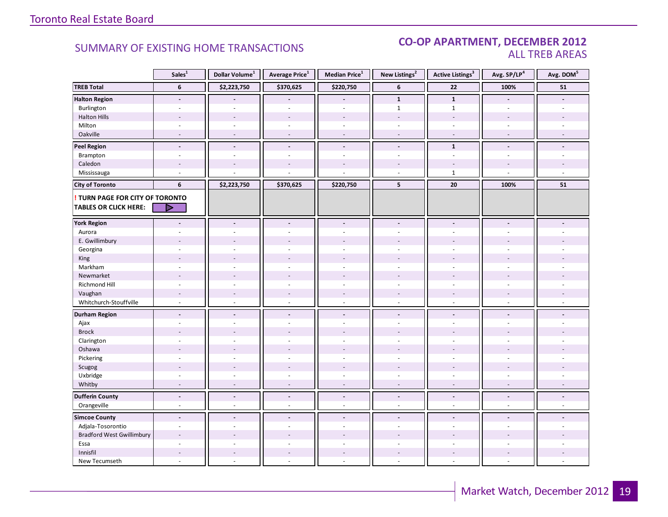#### CO-OP APARTMENT, DECEMBER 2012 ALL TREB AREAS

|                                  | Sales <sup>1</sup>       | Dollar Volume <sup>1</sup> | Average Price <sup>1</sup>   | Median Price <sup>1</sup> | New Listings <sup>2</sup> | <b>Active Listings<sup>3</sup></b> | Avg. SP/LP <sup>4</sup>  | Avg. DOM <sup>5</sup> |
|----------------------------------|--------------------------|----------------------------|------------------------------|---------------------------|---------------------------|------------------------------------|--------------------------|-----------------------|
| <b>TREB Total</b>                | $6\phantom{1}$           | \$2,223,750                | \$370,625                    | \$220,750                 | 6                         | $\bf 22$                           | 100%                     | ${\bf 51}$            |
| <b>Halton Region</b>             | $\overline{\phantom{a}}$ |                            |                              | $\overline{\phantom{a}}$  | $\mathbf{1}$              | $\mathbf{1}$                       | $\blacksquare$           |                       |
| Burlington                       | ٠                        |                            |                              | $\overline{a}$            | $\mathbf{1}$              | $\mathbf{1}$                       | $\overline{a}$           |                       |
| <b>Halton Hills</b>              | $\sim$                   | $\sim$                     | $\overline{a}$               | $\overline{\phantom{a}}$  | $\overline{\phantom{a}}$  | $\overline{\phantom{a}}$           | $\overline{\phantom{a}}$ |                       |
| Milton                           | $\sim$                   | $\sim$                     | $\sim$                       | $\overline{\phantom{a}}$  | $\sim$                    | $\sim$                             | $\sim$                   |                       |
| Oakville                         | $\overline{a}$           | $\sim$                     | $\blacksquare$               | $\overline{\phantom{a}}$  | $\sim$                    | $\overline{\phantom{a}}$           | $\sim$                   | $\sim$                |
| <b>Peel Region</b>               | $\overline{\phantom{a}}$ | $\overline{\phantom{a}}$   | $\overline{\phantom{a}}$     | $\overline{\phantom{a}}$  | $\overline{\phantom{a}}$  | $\mathbf{1}$                       | $\overline{\phantom{a}}$ |                       |
| Brampton                         | $\overline{\phantom{a}}$ | $\sim$                     | ÷.                           | ä,                        | $\overline{\phantom{a}}$  | $\mathbb{L}$                       | $\sim$                   |                       |
| Caledon                          | $\overline{\phantom{a}}$ |                            |                              | $\overline{a}$            |                           |                                    |                          |                       |
| Mississauga                      | ÷,                       |                            |                              |                           | $\sim$                    | $\mathbf{1}$                       | $\overline{a}$           |                       |
| <b>City of Toronto</b>           | 6                        | \$2,223,750                | \$370,625                    | \$220,750                 | 5                         | ${\bf 20}$                         | 100%                     | 51                    |
| TURN PAGE FOR CITY OF TORONTO    |                          |                            |                              |                           |                           |                                    |                          |                       |
| <b>TABLES OR CLICK HERE:</b>     | D                        |                            |                              |                           |                           |                                    |                          |                       |
|                                  |                          |                            |                              |                           |                           |                                    |                          |                       |
| <b>York Region</b>               | $\overline{a}$           | $\blacksquare$             | $\blacksquare$               | $\blacksquare$            | $\blacksquare$            | $\blacksquare$                     | $\blacksquare$           |                       |
| Aurora                           | ÷.                       |                            |                              |                           |                           |                                    |                          |                       |
| E. Gwillimbury                   |                          |                            |                              | L.                        |                           |                                    |                          |                       |
| Georgina                         |                          |                            |                              |                           |                           |                                    |                          |                       |
| King                             | $\overline{\phantom{a}}$ |                            | $\overline{a}$               | $\overline{a}$            |                           |                                    |                          |                       |
| Markham                          | ÷,                       | $\sim$                     | ä,                           | ÷,                        | $\sim$                    | $\overline{\phantom{a}}$           | ä,                       |                       |
| Newmarket                        |                          |                            |                              |                           |                           |                                    |                          |                       |
| Richmond Hill                    |                          |                            |                              |                           |                           |                                    |                          |                       |
| Vaughan                          | $\overline{a}$           |                            | $\qquad \qquad \blacksquare$ | ÷,                        |                           |                                    |                          |                       |
| Whitchurch-Stouffville           | $\omega$                 | $\sim$                     | $\overline{a}$               | $\sim$                    | $\sim$                    | $\sim$                             | $\sim$                   |                       |
| <b>Durham Region</b>             | $\blacksquare$           | $\blacksquare$             | $\blacksquare$               | $\blacksquare$            | $\blacksquare$            | $\blacksquare$                     | $\sim$                   |                       |
| Ajax                             | ÷,                       |                            | $\bar{a}$                    | $\sim$                    | $\sim$                    | $\overline{\phantom{a}}$           | $\sim$                   |                       |
| <b>Brock</b>                     | $\overline{\phantom{a}}$ |                            |                              |                           |                           |                                    |                          |                       |
| Clarington                       | ÷,                       |                            |                              |                           |                           |                                    |                          |                       |
| Oshawa                           |                          |                            |                              |                           |                           |                                    |                          |                       |
| Pickering                        | ÷,                       | $\sim$                     | ÷.                           | $\overline{a}$            | $\sim$                    | $\overline{a}$                     | $\sim$                   |                       |
| Scugog                           |                          |                            |                              |                           |                           |                                    |                          |                       |
| Uxbridge                         | ÷.                       | $\sim$                     | ÷.                           | $\sim$                    | $\sim$                    | ÷.                                 | ÷.                       |                       |
| Whitby                           | $\overline{\phantom{a}}$ | $\overline{\phantom{a}}$   | $\overline{a}$               | $\sim$                    | $\overline{\phantom{a}}$  | $\overline{\phantom{a}}$           | $\overline{a}$           |                       |
| <b>Dufferin County</b>           | $\overline{a}$           | $\overline{a}$             | $\overline{a}$               | $\Box$                    | $\blacksquare$            | $\overline{a}$                     | $\Box$                   | $\overline{a}$        |
| Orangeville                      | $\omega$                 | $\sim$                     | ÷.                           | $\omega$                  | $\sim$                    | ÷.                                 | $\overline{a}$           | $\overline{a}$        |
| <b>Simcoe County</b>             | $\blacksquare$           | $\blacksquare$             | $\overline{a}$               | $\overline{a}$            | $\blacksquare$            | $\overline{a}$                     |                          |                       |
| Adjala-Tosorontio                | $\overline{\phantom{a}}$ |                            | L,                           | L.                        | $\sim$                    | ÷.                                 |                          |                       |
| <b>Bradford West Gwillimbury</b> |                          |                            |                              |                           |                           |                                    |                          |                       |
| Essa                             | ÷.                       | $\sim$                     | L.                           | ÷.                        | $\overline{a}$            | ÷.                                 | ÷.                       |                       |
| Innisfil                         |                          |                            |                              |                           |                           |                                    |                          |                       |
| New Tecumseth                    | $\overline{a}$           |                            | ÷                            | $\overline{a}$            |                           | $\overline{a}$                     | $\sim$                   |                       |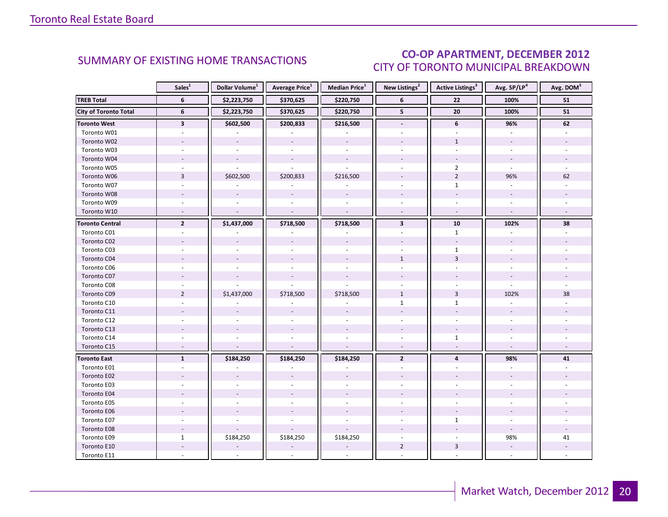### CO-OP APARTMENT, DECEMBER 2012 CITY OF TORONTO MUNICIPAL BREAKDOWN

<span id="page-19-0"></span>

|                              | Sales <sup>1</sup>      | Dollar Volume <sup>1</sup> | <b>Average Price</b> <sup>1</sup> | Median Price <sup>1</sup> | New Listings <sup>2</sup> | <b>Active Listings<sup>3</sup></b> | Avg. SP/LP <sup>4</sup>  | Avg. DOM <sup>5</sup> |
|------------------------------|-------------------------|----------------------------|-----------------------------------|---------------------------|---------------------------|------------------------------------|--------------------------|-----------------------|
| <b>TREB Total</b>            | 6                       | \$2,223,750                | \$370,625                         | \$220,750                 | 6                         | 22                                 | 100%                     | 51                    |
| <b>City of Toronto Total</b> | 6                       | \$2,223,750                | \$370,625                         | \$220,750                 | 5 <sup>1</sup>            | 20                                 | 100%                     | 51                    |
| <b>Toronto West</b>          | $\overline{\mathbf{3}}$ | \$602,500                  | \$200,833                         | \$216,500                 | $\overline{\phantom{a}}$  | 6                                  | 96%                      | 62                    |
| Toronto W01                  |                         |                            |                                   |                           |                           |                                    |                          |                       |
| Toronto W02                  |                         |                            |                                   |                           |                           | $\mathbf{1}$                       |                          |                       |
| Toronto W03                  | $\omega$                | $\omega$                   | $\omega$                          | $\omega$                  | $\overline{a}$            | $\overline{a}$                     | $\mathbf{r}$             |                       |
| Toronto W04                  |                         | $\overline{\phantom{a}}$   | $\blacksquare$                    | $\bar{\phantom{a}}$       |                           |                                    | $\omega$                 |                       |
| Toronto W05                  |                         |                            |                                   |                           |                           | $\overline{2}$                     |                          |                       |
| Toronto W06                  | $\overline{3}$          | \$602,500                  | \$200,833                         | \$216,500                 |                           | $\overline{2}$                     | 96%                      | 62                    |
| Toronto W07                  |                         |                            |                                   |                           |                           | $\mathbf{1}$                       |                          |                       |
| Toronto W08                  |                         |                            |                                   |                           |                           |                                    |                          |                       |
| Toronto W09                  |                         |                            |                                   |                           |                           |                                    |                          |                       |
| Toronto W10                  | $\sim$                  | $\sim$                     | $\mathcal{L}$                     | $\mathbb{L}$              | $\omega$                  | $\omega$                           | $\omega$                 |                       |
| <b>Toronto Central</b>       | $\mathbf{2}$            | \$1,437,000                | \$718,500                         | \$718,500                 | $\overline{\mathbf{3}}$   | ${\bf 10}$                         | 102%                     | 38                    |
| Toronto C01                  |                         |                            |                                   |                           |                           | $\mathbf{1}$                       |                          |                       |
| Toronto C02                  |                         |                            | $\overline{\phantom{a}}$          |                           |                           | $\overline{\phantom{a}}$           |                          |                       |
| Toronto C03                  | ÷.                      |                            |                                   | $\omega$                  |                           | $\mathbf{1}$                       |                          |                       |
| Toronto C04                  |                         |                            |                                   |                           | $\mathbf{1}$              | $\overline{3}$                     |                          |                       |
| Toronto C06                  |                         |                            |                                   |                           |                           |                                    |                          |                       |
| Toronto C07                  |                         |                            |                                   |                           |                           |                                    |                          |                       |
| Toronto C08                  |                         |                            |                                   |                           |                           |                                    |                          |                       |
| Toronto C09                  | $\overline{2}$          | \$1,437,000                | \$718,500                         | \$718,500                 | $\mathbf{1}$              | $\overline{3}$                     | 102%                     | 38                    |
| Toronto C10                  |                         |                            |                                   |                           | $\mathbf{1}$              | $\mathbf{1}$                       |                          |                       |
| Toronto C11                  |                         |                            |                                   |                           |                           |                                    |                          |                       |
| Toronto C12                  |                         |                            |                                   |                           |                           |                                    |                          |                       |
| Toronto C13                  |                         |                            |                                   |                           |                           |                                    |                          |                       |
| Toronto C14                  |                         |                            |                                   |                           |                           | $\mathbf{1}$                       |                          |                       |
| Toronto C15                  | $\sim$                  |                            |                                   | $\overline{\phantom{a}}$  | $\sim$                    |                                    | $\sim$                   |                       |
| <b>Toronto East</b>          | $\mathbf{1}$            | \$184,250                  | \$184,250                         | \$184,250                 | $\overline{2}$            | $\overline{4}$                     | 98%                      | 41                    |
| Toronto E01                  |                         |                            |                                   |                           |                           |                                    |                          |                       |
| Toronto E02                  |                         |                            |                                   |                           |                           |                                    |                          |                       |
| Toronto E03                  |                         |                            |                                   |                           |                           |                                    |                          |                       |
| Toronto E04                  |                         |                            |                                   |                           |                           |                                    |                          |                       |
| Toronto E05                  |                         |                            |                                   |                           |                           |                                    |                          |                       |
| Toronto E06                  |                         |                            |                                   |                           |                           |                                    |                          |                       |
| Toronto E07                  |                         |                            |                                   |                           |                           | $\mathbf{1}$                       |                          |                       |
| Toronto E08                  |                         |                            |                                   |                           |                           |                                    |                          |                       |
| Toronto E09                  | $\mathbf{1}$            | \$184,250                  | \$184,250                         | \$184,250                 |                           |                                    | 98%                      | 41                    |
| Toronto E10                  |                         |                            |                                   |                           | $\overline{2}$            | 3                                  | $\overline{\phantom{a}}$ |                       |
| Toronto E11                  |                         |                            |                                   |                           |                           |                                    |                          |                       |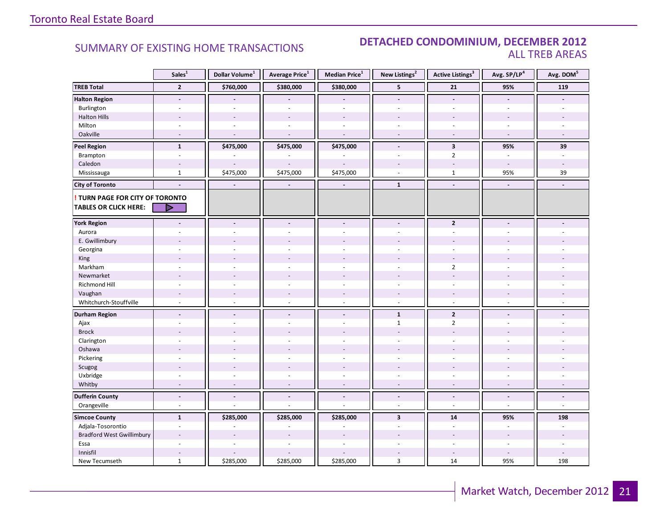### SUMMARY OF EXISTING HOME TRANSACTIONS **DETACHED CONDOMINIUM, DECEMBER 2012** ALL TREB AREAS

|                                        | Sales <sup>1</sup>       | Dollar Volume <sup>1</sup> | Average Price <sup>1</sup> | Median Price <sup>1</sup> | New Listings <sup>2</sup> | Active Listings <sup>3</sup> | Avg. SP/LP4              | Avg. DOM <sup>5</sup>    |
|----------------------------------------|--------------------------|----------------------------|----------------------------|---------------------------|---------------------------|------------------------------|--------------------------|--------------------------|
| <b>TREB Total</b>                      | $\overline{2}$           | \$760,000                  | \$380,000                  | \$380,000                 | 5                         | 21                           | 95%                      | 119                      |
| <b>Halton Region</b>                   | $\overline{\phantom{a}}$ |                            |                            |                           | $\overline{\phantom{a}}$  | $\blacksquare$               |                          |                          |
| Burlington                             | $\mathbf{r}$             | $\overline{a}$             | ÷,                         | L.                        | $\overline{a}$            | ÷.                           | $\sim$                   |                          |
| <b>Halton Hills</b>                    |                          |                            |                            |                           |                           |                              |                          |                          |
| Milton                                 | $\sim$                   | $\sim$                     | $\sim$                     | ÷,                        | $\sim$                    | $\sim$                       | $\sim$                   |                          |
| Oakville                               | $\sim$                   | $\sim$                     |                            | J.                        | $\sim$                    | $\sim$                       | $\overline{\phantom{a}}$ |                          |
| <b>Peel Region</b>                     | $\mathbf{1}$             | \$475,000                  | \$475,000                  | \$475,000                 | $\blacksquare$            | $\overline{\mathbf{3}}$      | 95%                      | 39                       |
| Brampton                               | $\sim$                   |                            |                            |                           | $\sim$                    | $\overline{2}$               | $\overline{\phantom{a}}$ | $\sim$                   |
| Caledon                                | $\sim$                   | $\sim$                     |                            |                           |                           | $\sim$                       | $\sim$                   | $\overline{\phantom{a}}$ |
| Mississauga                            | $\mathbf 1$              | \$475,000                  | \$475,000                  | \$475,000                 | ÷.                        | $\mathbf{1}$                 | 95%                      | 39                       |
| <b>City of Toronto</b>                 | $\blacksquare$           | $\blacksquare$             | $\blacksquare$             | $\blacksquare$            | $\mathbf 1$               | $\blacksquare$               | $\blacksquare$           | $\blacksquare$           |
| <b>! TURN PAGE FOR CITY OF TORONTO</b> |                          |                            |                            |                           |                           |                              |                          |                          |
| <b>TABLES OR CLICK HERE:</b>           | ▷                        |                            |                            |                           |                           |                              |                          |                          |
| <b>York Region</b>                     |                          |                            |                            | $\overline{a}$            |                           | $\overline{2}$               |                          |                          |
| Aurora                                 |                          |                            |                            |                           |                           |                              |                          |                          |
| E. Gwillimbury                         |                          |                            |                            |                           |                           |                              |                          |                          |
| Georgina                               |                          |                            |                            | $\ddot{\phantom{1}}$      |                           | $\overline{a}$               |                          |                          |
| King                                   |                          |                            |                            |                           |                           |                              |                          |                          |
| Markham                                | ä,                       | ÷,                         | $\sim$                     | ä,                        | $\sim$                    | $\overline{2}$               | $\sim$                   |                          |
| Newmarket                              | ٠                        |                            |                            |                           |                           | $\overline{a}$               |                          |                          |
| Richmond Hill                          |                          |                            |                            |                           |                           |                              |                          |                          |
| Vaughan                                | $\overline{\phantom{a}}$ | $\sim$                     | $\overline{\phantom{a}}$   | $\overline{a}$            | $\overline{\phantom{a}}$  | $\overline{\phantom{a}}$     | $\overline{\phantom{a}}$ |                          |
| Whitchurch-Stouffville                 | $\omega$                 | $\sim$                     | $\sim$                     | ÷,                        | $\omega$                  | $\omega$                     | $\omega$                 |                          |
| <b>Durham Region</b>                   | $\blacksquare$           | $\blacksquare$             | $\blacksquare$             | $\overline{\phantom{a}}$  | $\mathbf{1}$              | $\overline{2}$               | $\blacksquare$           |                          |
| Ajax                                   |                          |                            |                            | ä,                        | $\mathbf{1}$              | $\overline{2}$               | ÷                        |                          |
| <b>Brock</b>                           |                          |                            |                            |                           |                           |                              |                          |                          |
| Clarington                             |                          |                            |                            |                           |                           |                              |                          |                          |
| Oshawa                                 |                          | $\overline{a}$             |                            |                           |                           |                              |                          |                          |
| Pickering                              | ÷,                       |                            |                            | ä,                        | $\overline{\phantom{a}}$  | ÷.                           |                          |                          |
| Scugog                                 |                          |                            |                            |                           |                           |                              |                          |                          |
| Uxbridge                               | ä,                       | $\overline{a}$             |                            | ÷.                        |                           | ÷.                           | ÷.                       |                          |
| Whitby                                 | $\overline{a}$           |                            |                            | $\overline{a}$            |                           | ÷,                           |                          |                          |
| <b>Dufferin County</b>                 | $\blacksquare$           | $\overline{a}$             | $\overline{a}$             | $\overline{a}$            | $\sim$                    | $\overline{a}$               | $\overline{a}$           | $\blacksquare$           |
| Orangeville                            | $\sim$                   |                            |                            | ä,                        | $\sim$                    | ÷                            | $\sim$                   | $\sim$                   |
| <b>Simcoe County</b>                   | $\mathbf{1}$             | \$285,000                  | \$285,000                  | \$285,000                 | $\overline{\mathbf{3}}$   | 14                           | 95%                      | 198                      |
| Adjala-Tosorontio                      | $\overline{\phantom{a}}$ |                            |                            |                           |                           | $\overline{\phantom{a}}$     | $\sim$                   |                          |
| <b>Bradford West Gwillimbury</b>       |                          |                            |                            |                           |                           |                              |                          |                          |
| Essa                                   | $\sim$                   | ÷.                         | $\overline{a}$             | ä,                        |                           | ÷                            | $\sim$                   | ÷.                       |
| Innisfil                               |                          |                            |                            |                           |                           | $\sim$                       |                          |                          |
| New Tecumseth                          | $\mathbf{1}$             | \$285,000                  | \$285,000                  | \$285,000                 | 3                         | 14                           | 95%                      | 198                      |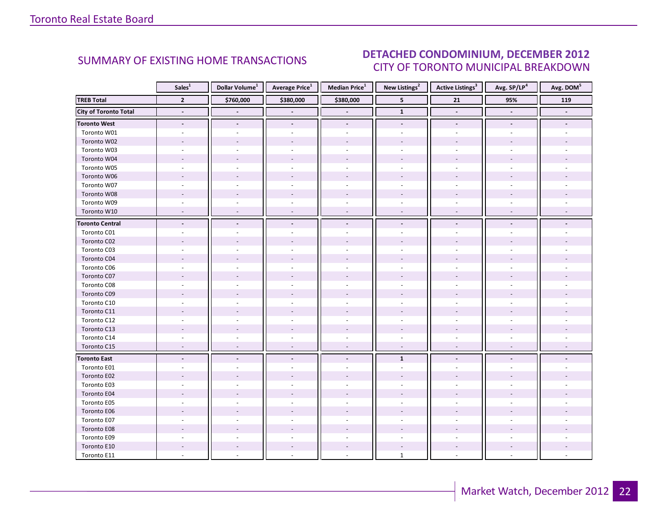#### INDUSTRIAL 2012 CITY OF TORONTO MUNICIPAL BREAKDOWN SUMMARY OF EXISTING HOME TRANSACTIONS **DETACHED CONDOMINIUM, DECEMBER 2012**

<span id="page-21-0"></span>

|                              | Sales <sup>1</sup>       | Dollar Volume <sup>1</sup> | <b>Average Price</b> <sup>1</sup> | Median Price <sup>1</sup> | New Listings <sup>2</sup> | <b>Active Listings</b> <sup>3</sup> | Avg. SP/LP4    | Avg. DOM <sup>5</sup> |
|------------------------------|--------------------------|----------------------------|-----------------------------------|---------------------------|---------------------------|-------------------------------------|----------------|-----------------------|
| <b>TREB Total</b>            | $\overline{2}$           | \$760,000                  | \$380,000                         | \$380,000                 | $5\phantom{.0}$           | $\overline{21}$                     | 95%            | 119                   |
| <b>City of Toronto Total</b> | $\blacksquare$           |                            |                                   |                           | $\mathbf 1$               | $\blacksquare$                      | $\blacksquare$ |                       |
| <b>Toronto West</b>          | $\overline{\phantom{a}}$ |                            | $\overline{\phantom{a}}$          | $\overline{\phantom{a}}$  | $\overline{\phantom{a}}$  | $\overline{\phantom{a}}$            |                |                       |
| Toronto W01                  |                          |                            |                                   |                           |                           |                                     |                |                       |
| Toronto W02                  |                          |                            |                                   |                           |                           |                                     |                |                       |
| Toronto W03                  |                          |                            |                                   | $\overline{a}$            |                           |                                     |                |                       |
| Toronto W04                  |                          |                            |                                   |                           |                           |                                     |                |                       |
| Toronto W05                  |                          |                            |                                   |                           |                           |                                     |                |                       |
| Toronto W06                  |                          |                            |                                   |                           |                           |                                     |                |                       |
| Toronto W07                  |                          |                            |                                   |                           |                           |                                     |                |                       |
| Toronto W08                  |                          |                            |                                   |                           |                           |                                     |                |                       |
| Toronto W09                  |                          |                            |                                   |                           |                           |                                     |                |                       |
| Toronto W10                  |                          |                            |                                   |                           |                           |                                     |                |                       |
| <b>Toronto Central</b>       |                          |                            |                                   |                           |                           |                                     |                |                       |
| Toronto C01                  |                          |                            |                                   |                           |                           |                                     |                |                       |
| Toronto C02                  |                          |                            |                                   |                           |                           |                                     |                |                       |
| Toronto C03                  |                          |                            |                                   |                           |                           |                                     |                |                       |
| Toronto C04                  |                          |                            |                                   |                           |                           |                                     |                |                       |
| Toronto C06                  |                          |                            |                                   |                           |                           |                                     |                |                       |
| Toronto C07                  |                          |                            |                                   |                           |                           |                                     |                |                       |
| Toronto C08                  |                          |                            |                                   |                           |                           |                                     |                |                       |
| Toronto C09                  |                          |                            |                                   |                           |                           |                                     |                |                       |
| Toronto C10                  |                          |                            |                                   |                           |                           |                                     |                |                       |
| Toronto C11                  |                          |                            |                                   |                           |                           |                                     |                |                       |
| Toronto C12                  |                          |                            |                                   | ä,                        |                           |                                     |                |                       |
| Toronto C13                  |                          |                            |                                   |                           |                           |                                     |                |                       |
| Toronto C14                  |                          |                            |                                   |                           |                           |                                     |                |                       |
| Toronto C15                  | $\overline{a}$           |                            | $\overline{\phantom{a}}$          | $\sim$                    | $\sim$                    | $\overline{a}$                      |                |                       |
| <b>Toronto East</b>          | $\blacksquare$           |                            | $\overline{\phantom{a}}$          | $\blacksquare$            | $\mathbf{1}$              |                                     |                |                       |
| Toronto E01                  |                          |                            |                                   |                           |                           |                                     |                |                       |
| Toronto E02                  |                          |                            |                                   |                           |                           |                                     |                |                       |
| Toronto E03                  |                          |                            |                                   |                           |                           |                                     |                |                       |
| Toronto E04                  |                          |                            |                                   |                           |                           |                                     |                |                       |
| Toronto E05                  |                          |                            |                                   |                           |                           |                                     |                |                       |
| Toronto E06                  |                          |                            |                                   |                           |                           |                                     |                |                       |
| Toronto E07                  |                          |                            |                                   |                           |                           |                                     |                |                       |
| Toronto E08                  |                          |                            |                                   |                           |                           |                                     |                |                       |
| Toronto E09                  |                          |                            |                                   |                           |                           |                                     |                |                       |
| Toronto E10                  |                          |                            |                                   |                           |                           |                                     |                |                       |
| Toronto E11                  |                          |                            |                                   |                           | $\mathbf{1}$              |                                     |                |                       |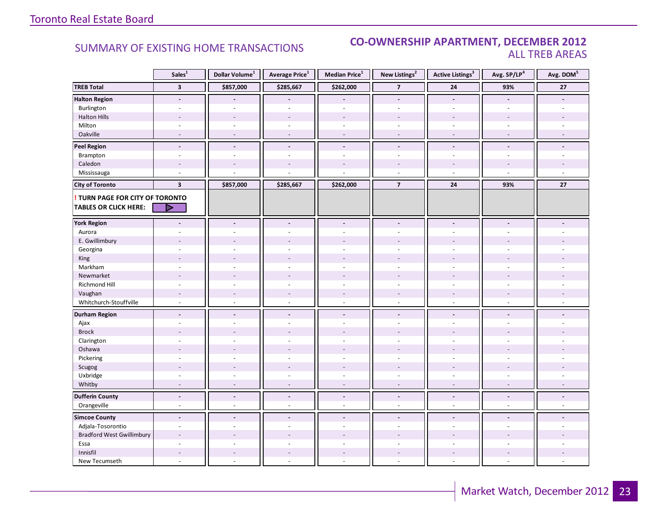### SUMMARY OF EXISTING HOME TRANSACTIONS **CO-OWNERSHIP APARTMENT, DECEMBER 2012** ALL TREB AREAS

|                                                                        | Sales <sup>1</sup>       | Dollar Volume <sup>1</sup> | Average Price <sup>1</sup> | Median Price <sup>1</sup> | New Listings <sup>2</sup> | <b>Active Listings<sup>3</sup></b> | Avg. SP/LP <sup>4</sup>  | Avg. DOM <sup>5</sup> |
|------------------------------------------------------------------------|--------------------------|----------------------------|----------------------------|---------------------------|---------------------------|------------------------------------|--------------------------|-----------------------|
| <b>TREB Total</b>                                                      | $\overline{\mathbf{3}}$  | \$857,000                  | \$285,667                  | \$262,000                 | $\overline{\phantom{a}}$  | ${\bf 24}$                         | 93%                      | $27\,$                |
| <b>Halton Region</b>                                                   | $\overline{\phantom{a}}$ |                            |                            |                           | $\overline{\phantom{a}}$  | $\blacksquare$                     |                          |                       |
| Burlington                                                             | $\omega$                 | $\sim$                     | $\sim$                     | $\sim$                    | $\omega$                  | $\overline{\phantom{a}}$           | $\sim$                   |                       |
| <b>Halton Hills</b>                                                    |                          |                            |                            |                           |                           |                                    |                          |                       |
| Milton                                                                 | ÷.                       | $\sim$                     | $\sim$                     | $\sim$                    |                           | ÷.                                 | ÷.                       |                       |
| Oakville                                                               | $\sim$                   | $\sim$                     | ÷,                         | $\overline{\phantom{a}}$  | $\overline{\phantom{a}}$  | $\sim$                             | $\overline{\phantom{a}}$ |                       |
| <b>Peel Region</b>                                                     | $\blacksquare$           | $\blacksquare$             | $\overline{a}$             | $\sim$                    | $\blacksquare$            | $\overline{a}$                     | $\blacksquare$           |                       |
| Brampton                                                               | $\overline{\phantom{a}}$ | $\blacksquare$             | $\overline{\phantom{a}}$   | $\sim$                    | $\blacksquare$            | $\overline{\phantom{a}}$           | $\sim$                   |                       |
| Caledon                                                                | $\sim$                   |                            |                            | $\overline{\phantom{a}}$  |                           |                                    |                          |                       |
| Mississauga                                                            | $\overline{\phantom{a}}$ |                            |                            |                           | $\sim$                    | $\overline{a}$                     | $\sim$                   | $\overline{a}$        |
| <b>City of Toronto</b>                                                 | $\overline{\mathbf{3}}$  | \$857,000                  | \$285,667                  | \$262,000                 | $\overline{7}$            | 24                                 | 93%                      | 27                    |
| <b>! TURN PAGE FOR CITY OF TORONTO</b><br><b>TABLES OR CLICK HERE:</b> | Þ                        |                            |                            |                           |                           |                                    |                          |                       |
| <b>York Region</b>                                                     |                          |                            | $\blacksquare$             | $\blacksquare$            |                           |                                    |                          |                       |
| Aurora                                                                 |                          |                            |                            |                           |                           |                                    |                          |                       |
| E. Gwillimbury                                                         |                          |                            |                            |                           |                           |                                    |                          |                       |
| Georgina                                                               |                          |                            |                            | $\overline{a}$            |                           |                                    |                          |                       |
| King                                                                   |                          |                            |                            |                           |                           |                                    |                          |                       |
| Markham                                                                | ÷.                       | ÷.                         | $\sim$                     | $\overline{\phantom{a}}$  | $\sim$                    | ÷.                                 | ÷.                       |                       |
| Newmarket                                                              |                          |                            |                            |                           |                           |                                    |                          |                       |
| Richmond Hill                                                          | ä,                       |                            |                            |                           |                           |                                    |                          |                       |
| Vaughan                                                                | $\overline{a}$           |                            | $\overline{a}$             | $\overline{\phantom{a}}$  |                           | $\overline{a}$                     | $\overline{a}$           |                       |
| Whitchurch-Stouffville                                                 | ÷,                       | $\sim$                     | $\bar{a}$                  | $\sim$                    | $\sim$                    | $\overline{\phantom{a}}$           | $\sim$                   |                       |
| <b>Durham Region</b>                                                   | $\overline{\phantom{a}}$ | $\blacksquare$             | $\overline{a}$             | $\blacksquare$            | $\blacksquare$            | $\overline{a}$                     | $\blacksquare$           |                       |
| Ajax                                                                   | ٠                        |                            |                            |                           |                           |                                    |                          |                       |
| <b>Brock</b>                                                           |                          |                            |                            |                           |                           |                                    |                          |                       |
| Clarington                                                             |                          |                            |                            |                           |                           |                                    |                          |                       |
| Oshawa                                                                 | $\overline{a}$           |                            |                            |                           |                           |                                    |                          |                       |
| Pickering                                                              | $\sim$                   |                            | ä,                         | $\overline{\phantom{a}}$  | $\sim$                    | ä,                                 | ÷.                       |                       |
| Scugog                                                                 | $\overline{a}$           |                            | L.                         | $\overline{a}$            |                           |                                    |                          |                       |
| Uxbridge                                                               |                          |                            |                            |                           |                           |                                    |                          |                       |
| Whitby                                                                 | ÷                        |                            |                            | L,                        |                           |                                    |                          |                       |
| <b>Dufferin County</b>                                                 | $\overline{a}$           | $\blacksquare$             | $\blacksquare$             | $\blacksquare$            | $\blacksquare$            | $\blacksquare$                     | $\blacksquare$           |                       |
| Orangeville                                                            | ÷,                       | $\sim$                     | ä,                         | $\sim$                    | $\sim$                    | ä,                                 | $\overline{a}$           |                       |
| <b>Simcoe County</b>                                                   | $\blacksquare$           | $\blacksquare$             | $\blacksquare$             | $\blacksquare$            | $\sim$                    | $\blacksquare$                     | $\overline{a}$           |                       |
| Adjala-Tosorontio                                                      | ÷,                       |                            |                            |                           |                           |                                    |                          |                       |
| <b>Bradford West Gwillimbury</b>                                       | $\overline{\phantom{a}}$ |                            | $\overline{a}$             |                           |                           |                                    |                          |                       |
| Essa                                                                   | ÷,                       |                            | ä,                         | L.                        | $\overline{a}$            | $\sim$                             | ÷.                       |                       |
| Innisfil                                                               |                          |                            |                            | $\overline{a}$            |                           |                                    |                          |                       |
| New Tecumseth                                                          |                          |                            |                            |                           |                           |                                    |                          |                       |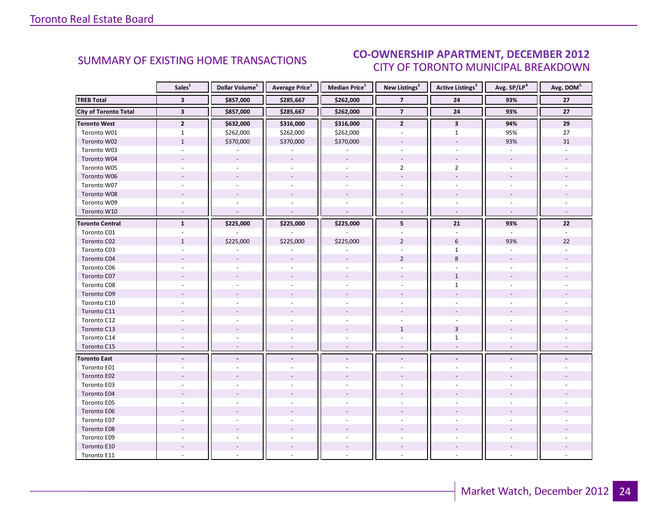#### INDUSTRIAL 2012 CITY OF TORONTO MUNICIPAL BREAKDOWN SUMMARY OF EXISTING HOME TRANSACTIONS<br>CITY OF TOPONTO MUINICIPAL PREAKDOMAL

<span id="page-23-0"></span>

|                              | Sales <sup>1</sup>      | Dollar Volume <sup>1</sup> | <b>Average Price</b> <sup>1</sup> | <b>Median Price</b> <sup>1</sup> | New Listings <sup>2</sup> | <b>Active Listings<sup>3</sup></b> | Avg. SP/LP <sup>4</sup> | Avg. DOM <sup>5</sup> |  |
|------------------------------|-------------------------|----------------------------|-----------------------------------|----------------------------------|---------------------------|------------------------------------|-------------------------|-----------------------|--|
| <b>TREB Total</b>            | $\overline{\mathbf{3}}$ | \$857,000                  | \$285,667                         | \$262,000                        | $\overline{7}$            | 24                                 | 93%                     | 27                    |  |
| <b>City of Toronto Total</b> | $\overline{\mathbf{3}}$ | \$857,000                  | \$285,667                         | \$262,000                        | $\overline{\mathbf{z}}$   | 24                                 | 93%                     | $\overline{27}$       |  |
| <b>Toronto West</b>          | $\overline{2}$          | \$632,000                  | \$316,000                         | \$316,000                        | $\mathbf{2}$              | $\mathbf{3}$                       | 94%                     | 29                    |  |
| Toronto W01                  | $\mathbf{1}$            | \$262,000                  | \$262,000                         | \$262,000                        |                           | $\mathbf{1}$                       | 95%                     | 27                    |  |
| Toronto W02                  | $\mathbf{1}$            | \$370,000                  | \$370,000                         | \$370,000                        |                           |                                    | 93%                     | 31                    |  |
| Toronto W03                  |                         |                            |                                   |                                  |                           | $\mathbf{r}$                       | $\overline{a}$          |                       |  |
| Toronto W04                  |                         |                            |                                   |                                  |                           |                                    |                         |                       |  |
| Toronto W05                  |                         |                            |                                   |                                  | $\overline{2}$            | $\overline{2}$                     |                         |                       |  |
| Toronto W06                  |                         |                            | $\sim$                            |                                  |                           |                                    |                         |                       |  |
| Toronto W07                  |                         |                            |                                   |                                  |                           |                                    |                         |                       |  |
| Toronto W08                  |                         |                            |                                   |                                  |                           |                                    |                         |                       |  |
| Toronto W09                  |                         |                            |                                   |                                  |                           |                                    |                         |                       |  |
| Toronto W10                  |                         |                            |                                   | $\sim$                           |                           | $\omega$                           |                         |                       |  |
| <b>Toronto Central</b>       | $\mathbf{1}$            | \$225,000                  | \$225,000                         | \$225,000                        | 5                         | 21                                 | 93%                     | 22                    |  |
| Toronto C01                  |                         |                            |                                   |                                  |                           |                                    |                         |                       |  |
| Toronto C02                  | $\mathbf{1}$            | \$225,000                  | \$225,000                         | \$225,000                        | $\overline{2}$            | 6                                  | 93%                     | 22                    |  |
| Toronto C03                  | $\sim$                  |                            |                                   |                                  |                           | $\mathbf{1}$                       | $\sim$                  |                       |  |
| Toronto C04                  |                         |                            |                                   |                                  | $\overline{2}$            | $\,8\,$                            |                         |                       |  |
| Toronto C06                  |                         |                            |                                   |                                  |                           |                                    |                         |                       |  |
| Toronto C07                  |                         |                            |                                   |                                  |                           | $\mathbf{1}$                       |                         |                       |  |
| Toronto C08                  |                         |                            |                                   |                                  |                           | $\mathbf{1}$                       |                         |                       |  |
| Toronto C09                  |                         |                            |                                   |                                  |                           |                                    |                         |                       |  |
| Toronto C10                  |                         |                            |                                   |                                  |                           |                                    |                         |                       |  |
| Toronto C11                  |                         |                            |                                   |                                  |                           |                                    |                         |                       |  |
| Toronto C12                  |                         |                            |                                   |                                  |                           |                                    |                         |                       |  |
| Toronto C13                  |                         |                            |                                   |                                  | $\mathbf{1}$              | $\overline{3}$                     |                         |                       |  |
| Toronto C14                  |                         |                            |                                   |                                  |                           | $\mathbf{1}$                       |                         |                       |  |
| Toronto C15                  | $\overline{a}$          |                            | $\overline{a}$                    | $\overline{\phantom{a}}$         | $\sim$                    | $\overline{\phantom{a}}$           |                         |                       |  |
| <b>Toronto East</b>          |                         |                            |                                   | $\overline{\phantom{a}}$         |                           |                                    |                         |                       |  |
| Toronto E01                  |                         |                            |                                   |                                  |                           |                                    |                         |                       |  |
| Toronto E02                  |                         |                            |                                   |                                  |                           |                                    |                         |                       |  |
| Toronto E03                  |                         |                            |                                   |                                  |                           |                                    |                         |                       |  |
| Toronto E04                  |                         |                            |                                   |                                  |                           |                                    |                         |                       |  |
| Toronto E05                  |                         |                            |                                   |                                  |                           |                                    |                         |                       |  |
| Toronto E06                  |                         |                            |                                   |                                  |                           |                                    |                         |                       |  |
| Toronto E07                  |                         |                            |                                   |                                  |                           |                                    |                         |                       |  |
| Toronto E08                  |                         |                            |                                   |                                  |                           |                                    |                         |                       |  |
| Toronto E09                  |                         |                            |                                   |                                  |                           |                                    |                         |                       |  |
| Toronto E10                  |                         |                            |                                   |                                  |                           |                                    |                         |                       |  |
| Toronto E11                  |                         |                            |                                   |                                  |                           |                                    |                         |                       |  |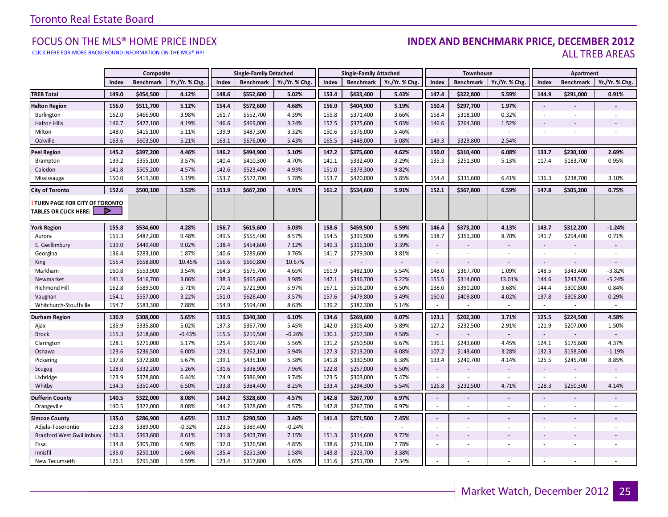#### FOCUS ON THE MLS® HOME PRICE INDEX **INDEX AND BENCHMARK PRICE, DECEMBER 2012**<br>CLICK HERE FOR MORE BACKGROUND INFORMATION ON THE MLS® HPI ALL TREB AREAS

[CLICK HERE FOR MORE BACKGROUND INFORMATION ON THE MLS® HPI](http://www.torontorealestateboard.com/market_news/home_price_index/index.htm)

|                                                               |       | Composite        |                |       | <b>Single-Family Detached</b> |                |        | <b>Single-Family Attached</b> |                |                          | Townhouse        |                |                          | Apartment                |                |
|---------------------------------------------------------------|-------|------------------|----------------|-------|-------------------------------|----------------|--------|-------------------------------|----------------|--------------------------|------------------|----------------|--------------------------|--------------------------|----------------|
|                                                               | Index | <b>Benchmark</b> | Yr./Yr. % Chg. | Index | <b>Benchmark</b>              | Yr./Yr. % Chg. | Index  | <b>Benchmark</b>              | Yr./Yr. % Chg. | Index                    | <b>Benchmark</b> | Yr./Yr. % Chg  | Index                    | <b>Benchmark</b>         | Yr./Yr. % Chg. |
| <b>TREB Total</b>                                             | 149.0 | \$454,500        | 4.12%          | 148.6 | \$552,600                     | 5.02%          | 153.4  | \$433,400                     | 5.43%          | 147.4                    | \$322,800        | 5.59%          | 144.9                    | \$291,000                | 0.91%          |
| <b>Halton Region</b>                                          | 156.0 | \$511,700        | 5.12%          | 154.4 | \$572,600                     | 4.68%          | 156.0  | \$404,900                     | 5.19%          | 150.4                    | \$297,700        | 1.97%          | $\blacksquare$           |                          |                |
| Burlington                                                    | 162.0 | \$466,900        | 3.98%          | 161.7 | \$552,700                     | 4.39%          | 155.8  | \$371,400                     | 3.66%          | 158.4                    | \$318,100        | 0.32%          | $\sim$                   | $\sim$                   |                |
| <b>Halton Hills</b>                                           | 146.7 | \$427,100        | 4.19%          | 146.6 | \$469,000                     | 3.24%          | 152.5  | \$375,600                     | 5.03%          | 146.6                    | \$264,300        | 1.52%          | $\sim$                   |                          |                |
| Milton                                                        | 148.0 | \$415,100        | 5.11%          | 139.9 | \$487,300                     | 3.32%          | 150.6  | \$376,000                     | 5.46%          |                          |                  |                |                          |                          |                |
| Oakville                                                      | 163.6 | \$603,500        | 5.21%          | 163.1 | \$676,000                     | 5.43%          | 165.5  | \$448,000                     | 5.08%          | 149.3                    | \$329,800        | 2.54%          | $\sim$                   |                          |                |
| <b>Peel Region</b>                                            | 145.2 | \$397,200        | 4.46%          | 146.2 | \$494,900                     | 5.10%          | 147.2  | \$375,600                     | 4.62%          | 150.0                    | \$310,400        | 6.08%          | 133.7                    | \$230,100                | 2.69%          |
| Brampton                                                      | 139.2 | \$355,100        | 3.57%          | 140.4 | \$410,300                     | 4.70%          | 141.1  | \$332,400                     | 3.29%          | 135.3                    | \$251,300        | 5.13%          | 117.4                    | \$183,700                | 0.95%          |
| Caledon                                                       | 141.8 | \$505,200        | 4.57%          | 142.6 | \$523,400                     | 4.93%          | 151.0  | \$373,300                     | 9.82%          | $\overline{\phantom{a}}$ |                  |                | $\sim$                   |                          |                |
| Mississauga                                                   | 150.0 | \$419,300        | 5.19%          | 153.7 | \$572,700                     | 5.78%          | 153.7  | \$420,000                     | 5.85%          | 154.4                    | \$331,600        | 6.41%          | 136.3                    | \$238,700                | 3.10%          |
| <b>City of Toronto</b>                                        | 152.6 | \$500,100        | 3.53%          | 153.9 | \$667,200                     | 4.91%          | 161.2  | \$534,600                     | 5.91%          | 152.1                    | \$367,800        | 6.59%          | 147.8                    | \$305,200                | 0.75%          |
| TURN PAGE FOR CITY OF TORONTO<br><b>TABLES OR CLICK HERE:</b> |       |                  |                |       |                               |                |        |                               |                |                          |                  |                |                          |                          |                |
| <b>York Region</b>                                            | 155.8 | \$534,600        | 4.28%          | 156.7 | \$615,600                     | 5.03%          | 158.6  | \$459,500                     | 5.59%          | 146.4                    | \$373,200        | 4.13%          | 143.7                    | \$312,200                | $-1.24%$       |
| Aurora                                                        | 151.3 | \$487,200        | 9.48%          | 149.5 | \$555,400                     | 8.57%          | 154.5  | \$399,900                     | 6.99%          | 138.7                    | \$351,300        | 8.70%          | 141.7                    | \$294,400                | 0.71%          |
| E. Gwillimbury                                                | 139.0 | \$449,400        | 9.02%          | 138.4 | \$454,600                     | 7.12%          | 149.3  | \$316,100                     | 3.39%          | $\sim$                   |                  |                | $\sim$                   |                          |                |
| Georgina                                                      | 136.4 | \$283,100        | 1.87%          | 140.6 | \$289,600                     | 3.76%          | 141.7  | \$279,300                     | 3.81%          | $\sim$                   |                  |                | $\sim$                   | $\sim$                   |                |
| <b>King</b>                                                   | 155.4 | \$658,800        | 10.45%         | 156.6 | \$660,800                     | 10.67%         | $\sim$ |                               |                | $\sim$                   |                  |                | $\sim$                   |                          |                |
| Markham                                                       | 160.8 | \$553,900        | 3.54%          | 164.3 | \$675,700                     | 4.65%          | 161.9  | \$482,100                     | 5.54%          | 148.0                    | \$367,700        | 1.09%          | 148.5                    | \$343,400                | $-3.82%$       |
| Newmarket                                                     | 141.3 | \$416,700        | 3.06%          | 138.3 | \$465,600                     | 3.98%          | 147.1  | \$346,700                     | 5.22%          | 155.5                    | \$314,000        | 13.01%         | 144.6                    | \$243,500                | $-5.24%$       |
| <b>Richmond Hill</b>                                          | 162.8 | \$589,500        | 5.71%          | 170.4 | \$721,900                     | 5.97%          | 167.1  | \$506,200                     | 6.50%          | 138.0                    | \$390,200        | 3.68%          | 144.4                    | \$300,800                | 0.84%          |
| Vaughan                                                       | 154.1 | \$557,000        | 3.22%          | 151.0 | \$628,400                     | 3.57%          | 157.6  | \$479,800                     | 5.49%          | 150.0                    | \$409,800        | 4.02%          | 137.8                    | \$305,800                | 0.29%          |
| Whitchurch-Stouffville                                        | 154.7 | \$583,300        | 7.88%          | 154.9 | \$594,400                     | 8.63%          | 139.2  | \$382,300                     | 5.14%          | $\sim$                   |                  | $\sim$         | $\sim$                   | $\sim$                   | $\sim$         |
| <b>Durham Region</b>                                          | 130.9 | \$308,000        | 5.65%          | 130.5 | \$340,300                     | 6.10%          | 134.6  | \$269,600                     | 6.07%          | 123.1                    | \$202,300        | 3.71%          | 125.5                    | \$224,500                | 4.58%          |
| Ajax                                                          | 135.9 | \$335,800        | 5.02%          | 137.3 | \$367,700                     | 5.45%          | 142.0  | \$305,400                     | 5.89%          | 127.2                    | \$232,500        | 2.91%          | 121.9                    | \$207,000                | 1.50%          |
| <b>Brock</b>                                                  | 115.3 | \$218,600        | $-0.43%$       | 115.5 | \$219,500                     | $-0.26%$       | 130.1  | \$207,300                     | 4.58%          | $\sim$                   |                  |                | $\sim$                   |                          |                |
| Clarington                                                    | 128.1 | \$271,000        | 5.17%          | 125.4 | \$301,400                     | 5.56%          | 131.2  | \$250,500                     | 6.67%          | 136.1                    | \$243,600        | 4.45%          | 124.1                    | \$175,600                | 4.37%          |
| Oshawa                                                        | 123.6 | \$236,500        | 6.00%          | 123.1 | \$262,100                     | 5.94%          | 127.3  | \$213,200                     | 6.08%          | 107.2                    | \$143,400        | 3.28%          | 132.3                    | \$158,300                | $-1.19%$       |
| Pickering                                                     | 137.8 | \$372,800        | 5.67%          | 139.1 | \$435,100                     | 5.38%          | 141.8  | \$330,500                     | 6.38%          | 133.4                    | \$240,700        | 4.14%          | 125.5                    | \$245,700                | 8.85%          |
| Scugog                                                        | 128.0 | \$332,200        | 5.26%          | 131.6 | \$338,900                     | 7.96%          | 122.8  | \$257,000                     | 6.50%          | $\sim$                   |                  |                | $\sim$                   |                          |                |
| Uxbridge                                                      | 123.9 | \$378,800        | 6.44%          | 124.9 | \$386,900                     | 3.74%          | 123.5  | \$303,000                     | 5.47%          | $\sim$                   |                  |                |                          |                          |                |
| Whitby                                                        | 134.3 | \$350,400        | 6.50%          | 133.8 | \$384,400                     | 8.25%          | 133.4  | \$294,300                     | 5.54%          | 126.8                    | \$232,500        | 4.71%          | 128.3                    | \$250,300                | 4.14%          |
| <b>Dufferin County</b>                                        | 140.5 | \$322,000        | 8.08%          | 144.2 | \$328,600                     | 4.57%          | 142.8  | \$267,700                     | 6.97%          | $\blacksquare$           |                  | $\blacksquare$ | $\overline{\phantom{a}}$ | $\overline{\phantom{a}}$ | $\blacksquare$ |
| Orangeville                                                   | 140.5 | \$322,000        | 8.08%          | 144.2 | \$328,600                     | 4.57%          | 142.8  | \$267,700                     | 6.97%          | $\overline{\phantom{a}}$ | $\sim$           | ×.             |                          | $\overline{\phantom{a}}$ | ×.             |
| <b>Simcoe County</b>                                          | 135.0 | \$286,900        | 4.65%          | 131.7 | \$290,500                     | 3.46%          | 141.4  | \$271,500                     | 7.45%          | $\blacksquare$           |                  | $\overline{a}$ | $\blacksquare$           | $\overline{a}$           |                |
| Adjala-Tosorontio                                             | 123.8 | \$389,900        | $-0.32%$       | 123.5 | \$389,400                     | $-0.24%$       | $\sim$ |                               | $\sim$         | $\blacksquare$           | $\sim$           | ×.             | $\sim$                   | $\overline{\phantom{a}}$ | ÷.             |
| <b>Bradford West Gwillimbury</b>                              | 146.3 | \$363,600        | 8.61%          | 131.8 | \$403,700                     | 7.15%          | 151.3  | \$314,600                     | 9.72%          | $\overline{\phantom{a}}$ |                  |                | $\overline{\phantom{a}}$ | $\overline{\phantom{a}}$ |                |
| Essa                                                          | 134.8 | \$305,700        | 6.90%          | 132.0 | \$326,500                     | 4.85%          | 138.6  | \$236,100                     | 7.78%          | $\overline{\phantom{a}}$ |                  |                | $\sim$                   |                          |                |
| Innisfil                                                      | 135.0 | \$250,100        | 1.66%          | 135.4 | \$251,300                     | 1.58%          | 143.8  | \$223,700                     | 3.38%          | $\blacksquare$           |                  |                | $\sim$                   |                          |                |
| New Tecumseth                                                 | 126.1 | \$291,300        | 6.59%          | 123.4 | \$317,800                     | 5.65%          | 131.6  | \$251,700                     | 7.34%          | $\sim$                   |                  | ÷.             |                          |                          |                |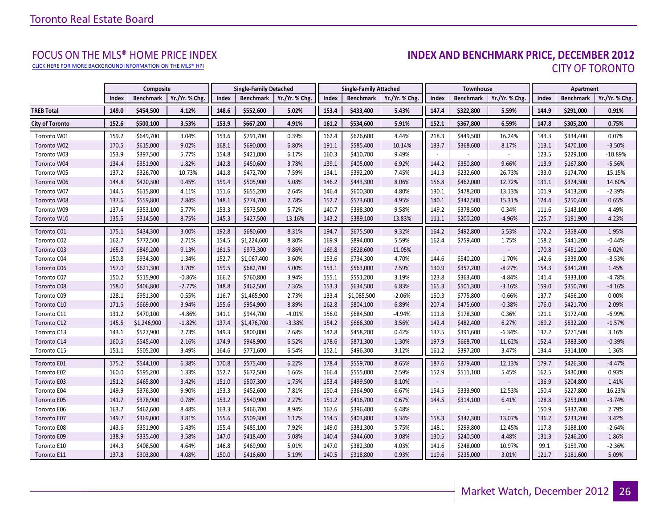[CLICK HERE FOR MORE BACKGROUND INFORMATION ON THE MLS® HPI](http://www.torontorealestateboard.com/market_news/home_price_index/index.htm)

# FOCUS ON THE MLS® HOME PRICE INDEX<br>**INDEX AND BENCHMARK PRICE, DECEMBER 2012** CITY OF TORONTO

<span id="page-25-0"></span>

|                        |       | Composite        |                |       | <b>Single-Family Detached</b> |                |       | <b>Single-Family Attached</b> |                |                          | Townhouse        |                |       | Apartment        |                |
|------------------------|-------|------------------|----------------|-------|-------------------------------|----------------|-------|-------------------------------|----------------|--------------------------|------------------|----------------|-------|------------------|----------------|
|                        | Index | <b>Benchmark</b> | Yr./Yr. % Chg. | Index | <b>Benchmark</b>              | Yr./Yr. % Chg. | Index | <b>Benchmark</b>              | Yr./Yr. % Chg. | Index                    | <b>Benchmark</b> | Yr./Yr. % Chg. | Index | <b>Benchmark</b> | Yr./Yr. % Chg. |
| <b>TREB Total</b>      | 149.0 | \$454,500        | 4.12%          | 148.6 | \$552,600                     | 5.02%          | 153.4 | \$433,400                     | 5.43%          | 147.4                    | \$322,800        | 5.59%          | 144.9 | \$291,000        | 0.91%          |
| <b>City of Toronto</b> | 152.6 | \$500,100        | 3.53%          | 153.9 | \$667,200                     | 4.91%          | 161.2 | \$534,600                     | 5.91%          | 152.1                    | \$367,800        | 6.59%          | 147.8 | \$305,200        | 0.75%          |
| Toronto W01            | 159.2 | \$649,700        | 3.04%          | 153.6 | \$791,700                     | 0.39%          | 162.4 | \$626,600                     | 4.44%          | 218.3                    | \$449,500        | 16.24%         | 143.3 | \$334,400        | 0.07%          |
| Toronto W02            | 170.5 | \$615,000        | 9.02%          | 168.1 | \$690,000                     | 6.80%          | 191.1 | \$585,400                     | 10.14%         | 133.7                    | \$368,600        | 8.17%          | 113.1 | \$470,100        | $-3.50%$       |
| Toronto W03            | 153.9 | \$397,500        | 5.77%          | 154.8 | \$421,000                     | 6.17%          | 160.3 | \$410,700                     | 9.49%          |                          |                  |                | 123.5 | \$229,100        | $-10.89%$      |
| Toronto W04            | 134.4 | \$351,900        | 1.82%          | 142.8 | \$450,600                     | 3.78%          | 139.1 | \$405,000                     | 6.92%          | 144.2                    | \$350,800        | 9.66%          | 113.9 | \$167,800        | $-5.56%$       |
| Toronto W05            | 137.2 | \$326,700        | 10.73%         | 141.8 | \$472,700                     | 7.59%          | 134.1 | \$392,200                     | 7.45%          | 141.3                    | \$232,600        | 26.73%         | 133.0 | \$174,700        | 15.15%         |
| Toronto W06            | 144.8 | \$420,300        | 9.45%          | 159.4 | \$505,900                     | 5.08%          | 146.2 | \$443,300                     | 8.06%          | 156.8                    | \$462,000        | 12.72%         | 131.1 | \$324,300        | 14.60%         |
| Toronto W07            | 144.5 | \$615,800        | 4.11%          | 151.6 | \$655,200                     | 2.64%          | 146.4 | \$600,300                     | 4.80%          | 130.1                    | \$478,200        | 13.13%         | 101.9 | \$413,200        | $-2.39%$       |
| Toronto W08            | 137.6 | \$559,800        | 2.84%          | 148.1 | \$774,700                     | 2.78%          | 152.7 | \$573,600                     | 4.95%          | 140.1                    | \$342,500        | 15.31%         | 124.4 | \$250,400        | 0.65%          |
| Toronto W09            | 137.4 | \$353,100        | 5.77%          | 153.3 | \$573,500                     | 5.72%          | 140.7 | \$398,300                     | 9.58%          | 149.2                    | \$378,500        | 0.34%          | 111.6 | \$143,100        | 4.49%          |
| Toronto W10            | 135.5 | \$314,500        | 8.75%          | 145.3 | \$427,500                     | 13.16%         | 143.2 | \$389,100                     | 13.83%         | 111.1                    | \$200,200        | $-4.96%$       | 125.7 | \$191,900        | 4.23%          |
| Toronto C01            | 175.1 | \$434,300        | 3.00%          | 192.8 | \$680,600                     | 8.31%          | 194.7 | \$675,500                     | 9.32%          | 164.2                    | \$492,800        | 5.53%          | 172.2 | \$358,400        | 1.95%          |
| Toronto C02            | 162.7 | \$772,500        | 2.71%          | 154.5 | \$1,224,600                   | 8.80%          | 169.9 | \$894,000                     | 5.59%          | 162.4                    | \$759,400        | 1.75%          | 158.2 | \$441,200        | $-0.44%$       |
| Toronto C03            | 165.0 | \$849,200        | 9.13%          | 161.5 | \$973,300                     | 9.86%          | 169.8 | \$628,600                     | 11.05%         |                          |                  |                | 170.8 | \$451,200        | 6.02%          |
| Toronto C04            | 150.8 | \$934,300        | 1.34%          | 152.7 | \$1,067,400                   | 3.60%          | 153.6 | \$734,300                     | 4.70%          | 144.6                    | \$540,200        | $-1.70%$       | 142.6 | \$339,000        | $-8.53%$       |
| Toronto C06            | 157.0 | \$621,300        | 3.70%          | 159.5 | \$682,700                     | 5.00%          | 153.1 | \$563,000                     | 7.59%          | 130.9                    | \$357,200        | $-8.27%$       | 154.3 | \$341,200        | 1.45%          |
| Toronto C07            | 150.2 | \$515,900        | $-0.86%$       | 166.2 | \$760,800                     | 3.94%          | 155.1 | \$551,200                     | 3.19%          | 123.8                    | \$363,400        | $-4.84%$       | 141.4 | \$333,100        | $-4.78%$       |
| Toronto C08            | 158.0 | \$406,800        | $-2.77%$       | 148.8 | \$462,500                     | 7.36%          | 153.3 | \$634,500                     | 6.83%          | 165.3                    | \$501,300        | $-3.16%$       | 159.0 | \$350,700        | $-4.16%$       |
| Toronto C09            | 128.1 | \$951,300        | 0.55%          | 116.7 | \$1,465,900                   | 2.73%          | 133.4 | \$1,085,500                   | $-2.06%$       | 150.3                    | \$775,800        | $-0.66%$       | 137.7 | \$456,200        | 0.00%          |
| Toronto C10            | 171.5 | \$669,000        | 3.94%          | 155.6 | \$954,900                     | 8.89%          | 162.8 | \$804,100                     | 6.89%          | 207.4                    | \$475,600        | $-0.38%$       | 176.0 | \$421,700        | 2.09%          |
| Toronto C11            | 131.2 | \$470,100        | $-4.86%$       | 141.1 | \$944,700                     | $-4.01%$       | 156.0 | \$684,500                     | $-4.94%$       | 111.8                    | \$178,300        | 0.36%          | 121.1 | \$172,400        | $-6.99%$       |
| Toronto C12            | 145.5 | \$1,246,900      | $-1.82%$       | 137.4 | \$1,476,700                   | $-3.38%$       | 154.2 | \$666,300                     | 3.56%          | 142.4                    | \$482,400        | 6.27%          | 169.2 | \$532,200        | $-1.57%$       |
| Toronto C13            | 143.1 | \$527,900        | 2.73%          | 149.3 | \$800,000                     | 2.68%          | 142.8 | \$458,200                     | 0.42%          | 137.5                    | \$391,600        | $-6.34%$       | 137.2 | \$271,500        | 3.16%          |
| Toronto C14            | 160.5 | \$545,400        | 2.16%          | 174.9 | \$948,900                     | 6.52%          | 178.6 | \$871,300                     | 1.30%          | 197.9                    | \$668,700        | 11.62%         | 152.4 | \$383,300        | $-0.39%$       |
| Toronto C15            | 151.1 | \$505,200        | 3.49%          | 164.6 | \$771,600                     | 6.54%          | 152.1 | \$496,300                     | 3.12%          | 161.2                    | \$397,200        | 3.47%          | 134.4 | \$314,100        | 1.36%          |
| Toronto E01            | 175.2 | \$544,100        | 6.38%          | 170.8 | \$575,400                     | 6.22%          | 178.4 | \$559,700                     | 8.65%          | 187.6                    | \$379,400        | 12.13%         | 179.7 | \$426,300        | $-4.47%$       |
| Toronto E02            | 160.0 | \$595,200        | 1.33%          | 152.7 | \$672,500                     | 1.66%          | 166.4 | \$555,000                     | 2.59%          | 152.9                    | \$511,100        | 5.45%          | 162.5 | \$430,000        | 0.93%          |
| Toronto E03            | 151.2 | \$465,800        | 3.42%          | 151.0 | \$507,300                     | 1.75%          | 153.4 | \$499,500                     | 8.10%          | $\overline{\phantom{a}}$ |                  |                | 136.9 | \$204,800        | 1.41%          |
| Toronto E04            | 149.9 | \$376,300        | 9.90%          | 153.3 | \$452,600                     | 7.81%          | 150.4 | \$364,900                     | 6.67%          | 154.5                    | \$333,900        | 12.53%         | 150.4 | \$227,800        | 16.23%         |
| Toronto E05            | 141.7 | \$378,900        | 0.78%          | 153.2 | \$540,900                     | 2.27%          | 151.2 | \$416,700                     | 0.67%          | 144.5                    | \$314,100        | 6.41%          | 128.8 | \$253,000        | $-3.74%$       |
| Toronto E06            | 163.7 | \$462,600        | 8.48%          | 163.3 | \$466,700                     | 8.94%          | 167.6 | \$396,400                     | 6.48%          |                          |                  |                | 150.9 | \$332,700        | 2.79%          |
| Toronto E07            | 149.7 | \$369,000        | 3.81%          | 155.6 | \$509,300                     | 1.17%          | 154.5 | \$403,800                     | 3.34%          | 158.3                    | \$342,300        | 13.07%         | 136.2 | \$233,200        | 3.42%          |
| Toronto E08            | 143.6 | \$351,900        | 5.43%          | 155.4 | \$485,100                     | 7.92%          | 149.0 | \$381,300                     | 5.75%          | 148.1                    | \$299,800        | 12.45%         | 117.8 | \$188,100        | $-2.64%$       |
| Toronto E09            | 138.9 | \$335,400        | 3.58%          | 147.0 | \$418,400                     | 5.08%          | 140.4 | \$344,600                     | 3.08%          | 130.5                    | \$240,500        | 4.48%          | 131.3 | \$246,200        | 1.86%          |
| Toronto E10            | 144.3 | \$408,500        | 4.64%          | 146.8 | \$469,900                     | 5.01%          | 147.0 | \$382,300                     | 4.03%          | 141.6                    | \$248,000        | 10.97%         | 99.1  | \$159,700        | $-2.36%$       |
| Toronto E11            | 137.8 | \$303,800        | 4.08%          | 150.0 | \$416,600                     | 5.19%          | 140.5 | \$318,800                     | 0.93%          | 119.6                    | \$235,000        | 3.01%          | 121.7 | \$181,600        | 5.09%          |